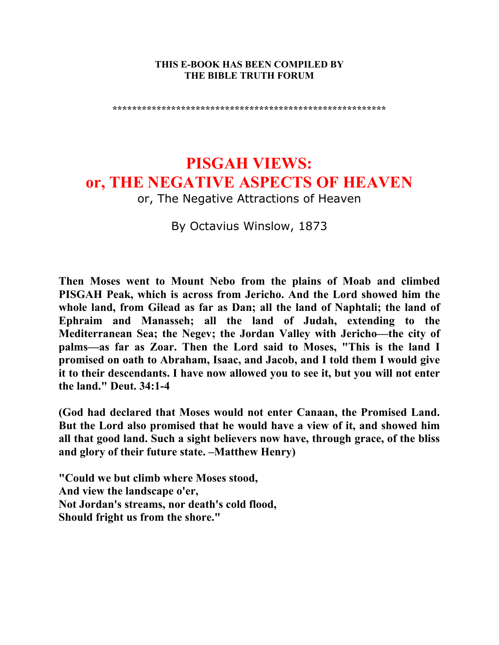#### **THIS E-BOOK HAS BEEN COMPILED BY THE BIBLE TRUTH FORUM**

**\*\*\*\*\*\*\*\*\*\*\*\*\*\*\*\*\*\*\*\*\*\*\*\*\*\*\*\*\*\*\*\*\*\*\*\*\*\*\*\*\*\*\*\*\*\*\*\*\*\*\*\*\*\*\*\*** 

# **PISGAH VIEWS: or, THE NEGATIVE ASPECTS OF HEAVEN**

or, The Negative Attractions of Heaven

By Octavius Winslow, 1873

**Then Moses went to Mount Nebo from the plains of Moab and climbed PISGAH Peak, which is across from Jericho. And the Lord showed him the whole land, from Gilead as far as Dan; all the land of Naphtali; the land of Ephraim and Manasseh; all the land of Judah, extending to the Mediterranean Sea; the Negev; the Jordan Valley with Jericho—the city of palms—as far as Zoar. Then the Lord said to Moses, "This is the land I promised on oath to Abraham, Isaac, and Jacob, and I told them I would give it to their descendants. I have now allowed you to see it, but you will not enter the land." Deut. 34:1-4** 

**(God had declared that Moses would not enter Canaan, the Promised Land. But the Lord also promised that he would have a view of it, and showed him all that good land. Such a sight believers now have, through grace, of the bliss and glory of their future state. –Matthew Henry)** 

**"Could we but climb where Moses stood, And view the landscape o'er, Not Jordan's streams, nor death's cold flood, Should fright us from the shore."**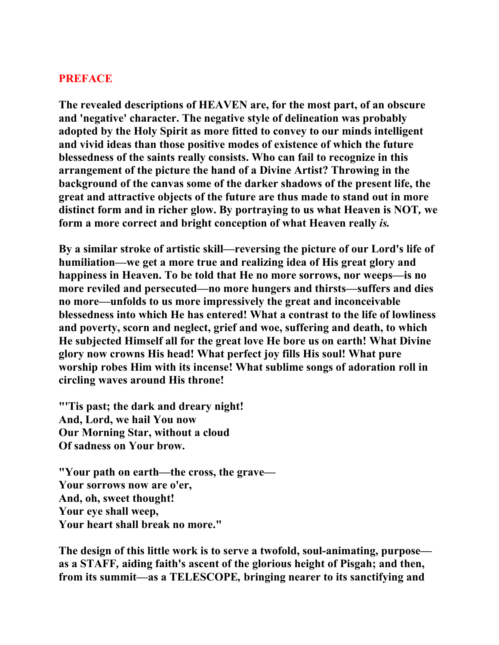### **PREFACE**

**The revealed descriptions of HEAVEN are, for the most part, of an obscure and 'negative' character. The negative style of delineation was probably adopted by the Holy Spirit as more fitted to convey to our minds intelligent and vivid ideas than those positive modes of existence of which the future blessedness of the saints really consists. Who can fail to recognize in this arrangement of the picture the hand of a Divine Artist? Throwing in the background of the canvas some of the darker shadows of the present life, the great and attractive objects of the future are thus made to stand out in more distinct form and in richer glow. By portraying to us what Heaven is NOT***,* **we form a more correct and bright conception of what Heaven really** *is.*

**By a similar stroke of artistic skill—reversing the picture of our Lord's life of humiliation—we get a more true and realizing idea of His great glory and happiness in Heaven. To be told that He no more sorrows, nor weeps—is no more reviled and persecuted—no more hungers and thirsts—suffers and dies no more—unfolds to us more impressively the great and inconceivable blessedness into which He has entered! What a contrast to the life of lowliness and poverty, scorn and neglect, grief and woe, suffering and death, to which He subjected Himself all for the great love He bore us on earth! What Divine glory now crowns His head! What perfect joy fills His soul! What pure worship robes Him with its incense! What sublime songs of adoration roll in circling waves around His throne!** 

**"'Tis past; the dark and dreary night! And, Lord, we hail You now Our Morning Star, without a cloud Of sadness on Your brow.** 

**"Your path on earth—the cross, the grave— Your sorrows now are o'er, And, oh, sweet thought! Your eye shall weep, Your heart shall break no more."** 

**The design of this little work is to serve a twofold, soul-animating, purpose as a STAFF***,* **aiding faith's ascent of the glorious height of Pisgah; and then, from its summit—as a TELESCOPE***,* **bringing nearer to its sanctifying and**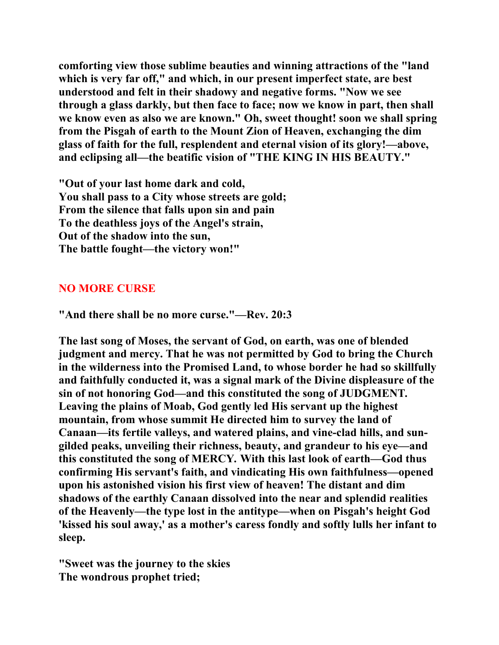**comforting view those sublime beauties and winning attractions of the "land which is very far off," and which, in our present imperfect state, are best understood and felt in their shadowy and negative forms. "Now we see through a glass darkly, but then face to face; now we know in part, then shall we know even as also we are known." Oh, sweet thought! soon we shall spring from the Pisgah of earth to the Mount Zion of Heaven, exchanging the dim glass of faith for the full, resplendent and eternal vision of its glory!—above, and eclipsing all—the beatific vision of "THE KING IN HIS BEAUTY."** 

**"Out of your last home dark and cold, You shall pass to a City whose streets are gold; From the silence that falls upon sin and pain To the deathless joys of the Angel's strain, Out of the shadow into the sun, The battle fought—the victory won!"** 

## **NO MORE CURSE**

**"And there shall be no more curse."—Rev. 20:3** 

**The last song of Moses, the servant of God, on earth, was one of blended judgment and mercy. That he was not permitted by God to bring the Church in the wilderness into the Promised Land, to whose border he had so skillfully and faithfully conducted it, was a signal mark of the Divine displeasure of the sin of not honoring God—and this constituted the song of JUDGMENT***.*  **Leaving the plains of Moab, God gently led His servant up the highest mountain, from whose summit He directed him to survey the land of Canaan—its fertile valleys, and watered plains, and vine-clad hills, and sungilded peaks, unveiling their richness, beauty, and grandeur to his eye—and this constituted the song of MERCY***.* **With this last look of earth—God thus confirming His servant's faith, and vindicating His own faithfulness—opened upon his astonished vision his first view of heaven! The distant and dim shadows of the earthly Canaan dissolved into the near and splendid realities of the Heavenly—the type lost in the antitype—when on Pisgah's height God 'kissed his soul away,' as a mother's caress fondly and softly lulls her infant to sleep.** 

**"Sweet was the journey to the skies The wondrous prophet tried;**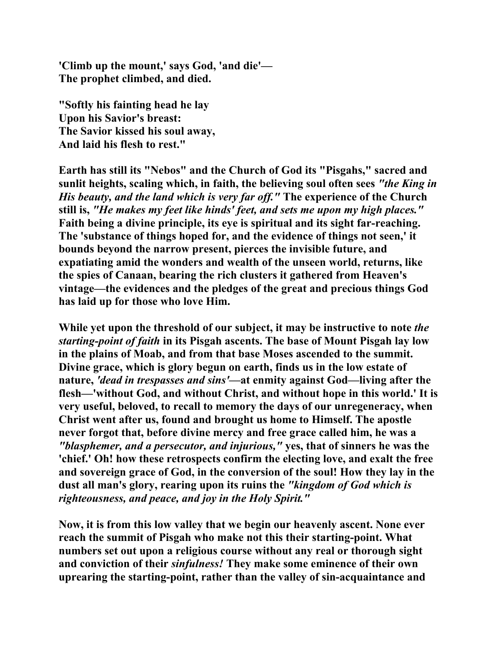**'Climb up the mount,' says God, 'and die'— The prophet climbed, and died.** 

**"Softly his fainting head he lay Upon his Savior's breast: The Savior kissed his soul away, And laid his flesh to rest."** 

**Earth has still its "Nebos" and the Church of God its "Pisgahs," sacred and sunlit heights, scaling which, in faith, the believing soul often sees** *"the King in His beauty, and the land which is very far off."* **The experience of the Church still is,** *"He makes my feet like hinds' feet, and sets me upon my high places."*  **Faith being a divine principle, its eye is spiritual and its sight far-reaching. The 'substance of things hoped for, and the evidence of things not seen,' it bounds beyond the narrow present, pierces the invisible future, and expatiating amid the wonders and wealth of the unseen world, returns, like the spies of Canaan, bearing the rich clusters it gathered from Heaven's vintage—the evidences and the pledges of the great and precious things God has laid up for those who love Him.** 

**While yet upon the threshold of our subject, it may be instructive to note** *the starting-point of faith* **in its Pisgah ascents. The base of Mount Pisgah lay low in the plains of Moab, and from that base Moses ascended to the summit. Divine grace, which is glory begun on earth, finds us in the low estate of nature,** *'dead in trespasses and sins'***—at enmity against God—living after the flesh—'without God, and without Christ, and without hope in this world.' It is very useful, beloved, to recall to memory the days of our unregeneracy, when Christ went after us, found and brought us home to Himself. The apostle never forgot that, before divine mercy and free grace called him, he was a**  *"blasphemer, and a persecutor, and injurious,"* **yes, that of sinners he was the 'chief.' Oh! how these retrospects confirm the electing love, and exalt the free and sovereign grace of God, in the conversion of the soul! How they lay in the dust all man's glory, rearing upon its ruins the** *"kingdom of God which is righteousness, and peace, and joy in the Holy Spirit."* 

**Now, it is from this low valley that we begin our heavenly ascent. None ever reach the summit of Pisgah who make not this their starting-point. What numbers set out upon a religious course without any real or thorough sight and conviction of their** *sinfulness!* **They make some eminence of their own uprearing the starting-point, rather than the valley of sin-acquaintance and**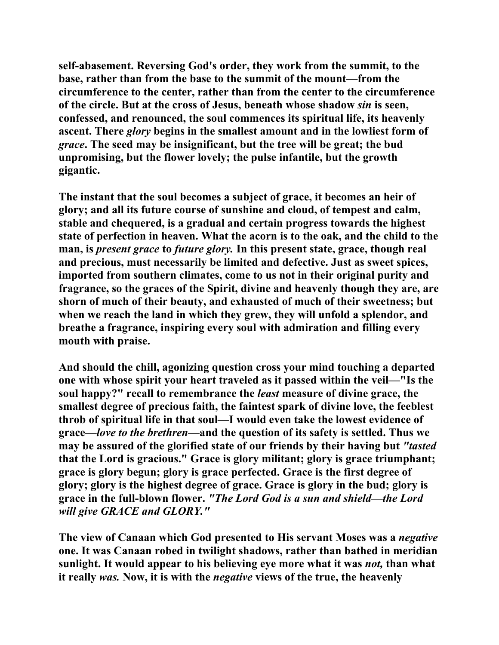**self-abasement. Reversing God's order, they work from the summit, to the base, rather than from the base to the summit of the mount—from the circumference to the center, rather than from the center to the circumference of the circle. But at the cross of Jesus, beneath whose shadow** *sin* **is seen, confessed, and renounced, the soul commences its spiritual life, its heavenly ascent. There** *glory* **begins in the smallest amount and in the lowliest form of**  *grace***. The seed may be insignificant, but the tree will be great; the bud unpromising, but the flower lovely; the pulse infantile, but the growth gigantic.** 

**The instant that the soul becomes a subject of grace, it becomes an heir of glory; and all its future course of sunshine and cloud, of tempest and calm, stable and chequered, is a gradual and certain progress towards the highest state of perfection in heaven. What the acorn is to the oak, and the child to the man, is** *present grace* **to** *future glory.* **In this present state, grace, though real and precious, must necessarily be limited and defective. Just as sweet spices, imported from southern climates, come to us not in their original purity and fragrance, so the graces of the Spirit, divine and heavenly though they are, are shorn of much of their beauty, and exhausted of much of their sweetness; but when we reach the land in which they grew, they will unfold a splendor, and breathe a fragrance, inspiring every soul with admiration and filling every mouth with praise.** 

**And should the chill, agonizing question cross your mind touching a departed one with whose spirit your heart traveled as it passed within the veil—"Is the soul happy?" recall to remembrance the** *least* **measure of divine grace, the smallest degree of precious faith, the faintest spark of divine love, the feeblest throb of spiritual life in that soul—I would even take the lowest evidence of grace—***love to the brethren***—and the question of its safety is settled. Thus we may be assured of the glorified state of our friends by their having but** *"tasted*  **that the Lord is gracious." Grace is glory militant; glory is grace triumphant; grace is glory begun; glory is grace perfected. Grace is the first degree of glory; glory is the highest degree of grace. Grace is glory in the bud; glory is grace in the full-blown flower.** *"The Lord God is a sun and shield—the Lord will give GRACE and GLORY."*

**The view of Canaan which God presented to His servant Moses was a** *negative*  **one. It was Canaan robed in twilight shadows, rather than bathed in meridian sunlight. It would appear to his believing eye more what it was** *not,* **than what it really** *was.* **Now, it is with the** *negative* **views of the true, the heavenly**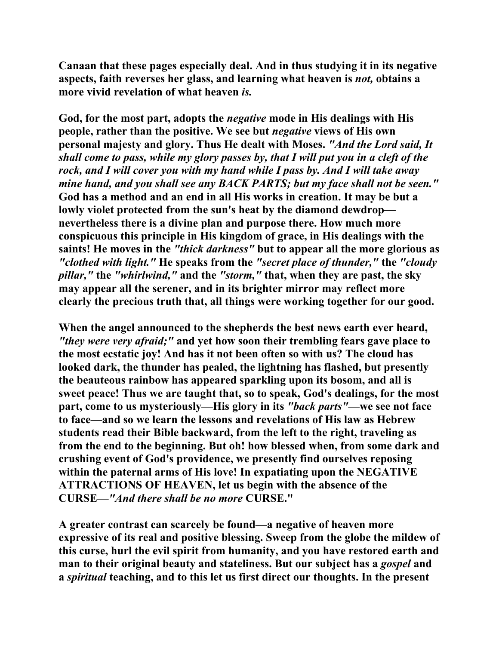**Canaan that these pages especially deal. And in thus studying it in its negative aspects, faith reverses her glass, and learning what heaven is** *not,* **obtains a more vivid revelation of what heaven** *is.*

**God, for the most part, adopts the** *negative* **mode in His dealings with His people, rather than the positive. We see but** *negative* **views of His own personal majesty and glory. Thus He dealt with Moses.** *"And the Lord said, It shall come to pass, while my glory passes by, that I will put you in a cleft of the rock, and I will cover you with my hand while I pass by. And I will take away mine hand, and you shall see any BACK PARTS; but my face shall not be seen."* **God has a method and an end in all His works in creation. It may be but a lowly violet protected from the sun's heat by the diamond dewdrop nevertheless there is a divine plan and purpose there. How much more conspicuous this principle in His kingdom of grace, in His dealings with the saints! He moves in the** *"thick darkness"* **but to appear all the more glorious as**  *"clothed with light."* **He speaks from the** *"secret place of thunder,"* **the** *"cloudy pillar,"* **the** *"whirlwind,"* **and the** *"storm,"* **that, when they are past, the sky may appear all the serener, and in its brighter mirror may reflect more clearly the precious truth that, all things were working together for our good.** 

**When the angel announced to the shepherds the best news earth ever heard,**  *"they were very afraid;"* **and yet how soon their trembling fears gave place to the most ecstatic joy! And has it not been often so with us? The cloud has looked dark, the thunder has pealed, the lightning has flashed, but presently the beauteous rainbow has appeared sparkling upon its bosom, and all is sweet peace! Thus we are taught that, so to speak, God's dealings, for the most part, come to us mysteriously—His glory in its** *"back parts"***—we see not face to face—and so we learn the lessons and revelations of His law as Hebrew students read their Bible backward, from the left to the right, traveling as from the end to the beginning. But oh! how blessed when, from some dark and crushing event of God's providence, we presently find ourselves reposing within the paternal arms of His love! In expatiating upon the NEGATIVE ATTRACTIONS OF HEAVEN, let us begin with the absence of the CURSE***—"And there shall be no more* **CURSE."** 

**A greater contrast can scarcely be found—a negative of heaven more expressive of its real and positive blessing. Sweep from the globe the mildew of this curse, hurl the evil spirit from humanity, and you have restored earth and man to their original beauty and stateliness. But our subject has a** *gospel* **and a** *spiritual* **teaching, and to this let us first direct our thoughts. In the present**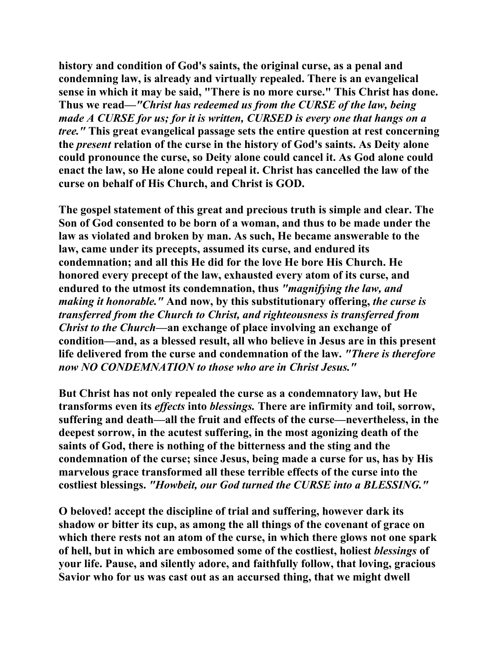**history and condition of God's saints, the original curse, as a penal and condemning law, is already and virtually repealed. There is an evangelical sense in which it may be said, "There is no more curse." This Christ has done. Thus we read—***"Christ has redeemed us from the CURSE of the law, being made A CURSE for us; for it is written, CURSED is every one that hangs on a tree."* **This great evangelical passage sets the entire question at rest concerning the** *present* **relation of the curse in the history of God's saints. As Deity alone could pronounce the curse, so Deity alone could cancel it. As God alone could enact the law, so He alone could repeal it. Christ has cancelled the law of the curse on behalf of His Church, and Christ is GOD.** 

**The gospel statement of this great and precious truth is simple and clear. The Son of God consented to be born of a woman, and thus to be made under the law as violated and broken by man. As such, He became answerable to the law, came under its precepts, assumed its curse, and endured its condemnation; and all this He did for the love He bore His Church. He honored every precept of the law, exhausted every atom of its curse, and endured to the utmost its condemnation, thus** *"magnifying the law, and making it honorable."* **And now, by this substitutionary offering,** *the curse is transferred from the Church to Christ, and righteousness is transferred from Christ to the Church***—an exchange of place involving an exchange of condition—and, as a blessed result, all who believe in Jesus are in this present life delivered from the curse and condemnation of the law.** *"There is therefore now NO CONDEMNATION to those who are in Christ Jesus."* 

**But Christ has not only repealed the curse as a condemnatory law, but He transforms even its** *effects* **into** *blessings.* **There are infirmity and toil, sorrow, suffering and death—all the fruit and effects of the curse—nevertheless, in the deepest sorrow, in the acutest suffering, in the most agonizing death of the saints of God, there is nothing of the bitterness and the sting and the condemnation of the curse; since Jesus, being made a curse for us, has by His marvelous grace transformed all these terrible effects of the curse into the costliest blessings.** *"Howbeit, our God turned the CURSE into a BLESSING."* 

**O beloved! accept the discipline of trial and suffering, however dark its shadow or bitter its cup, as among the all things of the covenant of grace on which there rests not an atom of the curse, in which there glows not one spark of hell, but in which are embosomed some of the costliest, holiest** *blessings* **of your life. Pause, and silently adore, and faithfully follow, that loving, gracious Savior who for us was cast out as an accursed thing, that we might dwell**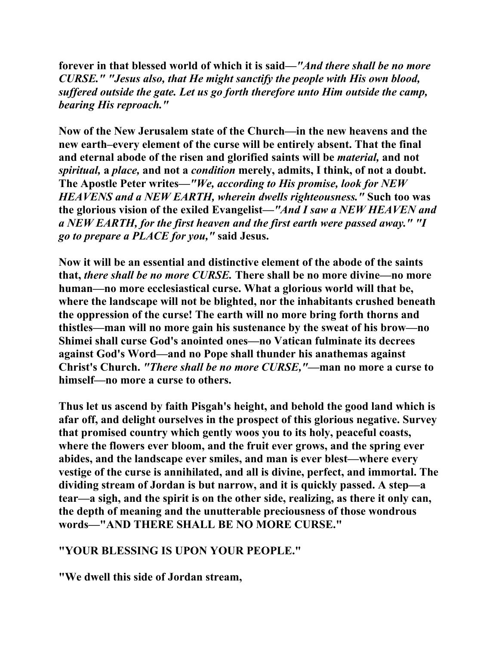**forever in that blessed world of which it is said—***"And there shall be no more CURSE." "Jesus also, that He might sanctify the people with His own blood, suffered outside the gate. Let us go forth therefore unto Him outside the camp, bearing His reproach."*

**Now of the New Jerusalem state of the Church—in the new heavens and the new earth–every element of the curse will be entirely absent. That the final and eternal abode of the risen and glorified saints will be** *material,* **and not**  *spiritual,* **a** *place,* **and not a** *condition* **merely, admits, I think, of not a doubt. The Apostle Peter writes—***"We, according to His promise, look for NEW HEAVENS and a NEW EARTH, wherein dwells righteousness."* **Such too was the glorious vision of the exiled Evangelist—***"And I saw a NEW HEAVEN and a NEW EARTH, for the first heaven and the first earth were passed away." "I go to prepare a PLACE for you,"* **said Jesus.** 

**Now it will be an essential and distinctive element of the abode of the saints that,** *there shall be no more CURSE.* **There shall be no more divine—no more human—no more ecclesiastical curse. What a glorious world will that be, where the landscape will not be blighted, nor the inhabitants crushed beneath the oppression of the curse! The earth will no more bring forth thorns and thistles—man will no more gain his sustenance by the sweat of his brow—no Shimei shall curse God's anointed ones—no Vatican fulminate its decrees against God's Word—and no Pope shall thunder his anathemas against Christ's Church.** *"There shall be no more CURSE,"***—man no more a curse to himself—no more a curse to others.** 

**Thus let us ascend by faith Pisgah's height, and behold the good land which is afar off, and delight ourselves in the prospect of this glorious negative. Survey that promised country which gently woos you to its holy, peaceful coasts, where the flowers ever bloom, and the fruit ever grows, and the spring ever abides, and the landscape ever smiles, and man is ever blest—where every vestige of the curse is annihilated, and all is divine, perfect, and immortal. The dividing stream of Jordan is but narrow, and it is quickly passed. A step—a tear—a sigh, and the spirit is on the other side, realizing, as there it only can, the depth of meaning and the unutterable preciousness of those wondrous words—"AND THERE SHALL BE NO MORE CURSE."** 

## **"YOUR BLESSING IS UPON YOUR PEOPLE."**

**"We dwell this side of Jordan stream,**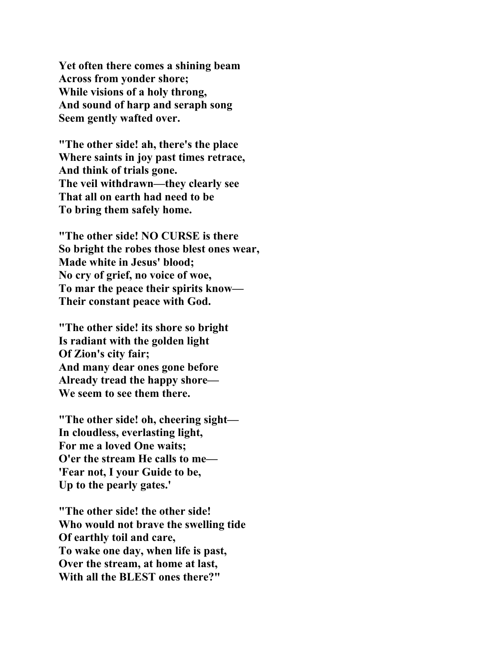**Yet often there comes a shining beam Across from yonder shore; While visions of a holy throng, And sound of harp and seraph song Seem gently wafted over.** 

**"The other side! ah, there's the place Where saints in joy past times retrace, And think of trials gone. The veil withdrawn—they clearly see That all on earth had need to be To bring them safely home.** 

**"The other side! NO CURSE is there So bright the robes those blest ones wear, Made white in Jesus' blood; No cry of grief, no voice of woe, To mar the peace their spirits know— Their constant peace with God.** 

**"The other side! its shore so bright Is radiant with the golden light Of Zion's city fair; And many dear ones gone before Already tread the happy shore— We seem to see them there.** 

**"The other side! oh, cheering sight— In cloudless, everlasting light, For me a loved One waits; O'er the stream He calls to me— 'Fear not, I your Guide to be, Up to the pearly gates.'** 

**"The other side! the other side! Who would not brave the swelling tide Of earthly toil and care, To wake one day, when life is past, Over the stream, at home at last, With all the BLEST ones there?"**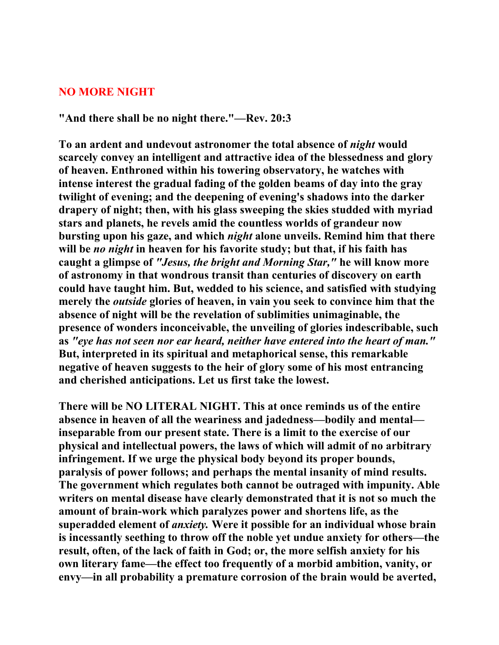#### **NO MORE NIGHT**

**"And there shall be no night there."—Rev. 20:3** 

**To an ardent and undevout astronomer the total absence of** *night* **would scarcely convey an intelligent and attractive idea of the blessedness and glory of heaven. Enthroned within his towering observatory, he watches with intense interest the gradual fading of the golden beams of day into the gray twilight of evening; and the deepening of evening's shadows into the darker drapery of night; then, with his glass sweeping the skies studded with myriad stars and planets, he revels amid the countless worlds of grandeur now bursting upon his gaze, and which** *night* **alone unveils. Remind him that there will be** *no night* **in heaven for his favorite study; but that, if his faith has caught a glimpse of** *"Jesus, the bright and Morning Star,"* **he will know more of astronomy in that wondrous transit than centuries of discovery on earth could have taught him. But, wedded to his science, and satisfied with studying merely the** *outside* **glories of heaven, in vain you seek to convince him that the absence of night will be the revelation of sublimities unimaginable, the presence of wonders inconceivable, the unveiling of glories indescribable, such as** *"eye has not seen nor ear heard, neither have entered into the heart of man."*  **But, interpreted in its spiritual and metaphorical sense, this remarkable negative of heaven suggests to the heir of glory some of his most entrancing and cherished anticipations. Let us first take the lowest.** 

**There will be NO LITERAL NIGHT. This at once reminds us of the entire absence in heaven of all the weariness and jadedness—bodily and mental inseparable from our present state. There is a limit to the exercise of our physical and intellectual powers, the laws of which will admit of no arbitrary infringement. If we urge the physical body beyond its proper bounds, paralysis of power follows; and perhaps the mental insanity of mind results. The government which regulates both cannot be outraged with impunity. Able writers on mental disease have clearly demonstrated that it is not so much the amount of brain-work which paralyzes power and shortens life, as the superadded element of** *anxiety.* **Were it possible for an individual whose brain is incessantly seething to throw off the noble yet undue anxiety for others—the result, often, of the lack of faith in God; or, the more selfish anxiety for his own literary fame—the effect too frequently of a morbid ambition, vanity, or envy—in all probability a premature corrosion of the brain would be averted,**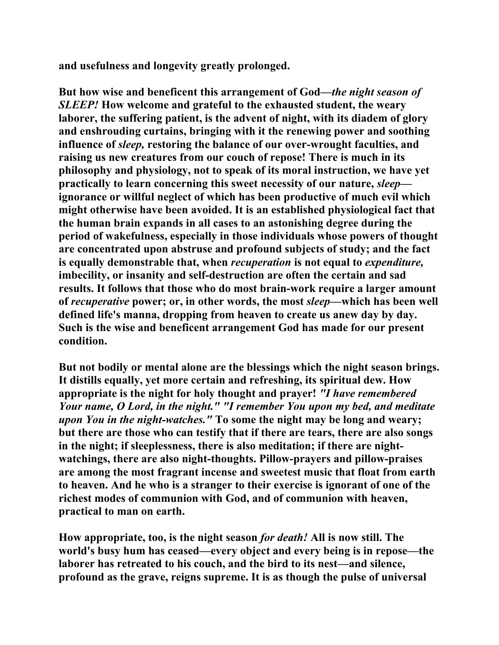**and usefulness and longevity greatly prolonged.** 

**But how wise and beneficent this arrangement of God—***the night season of SLEEP!* **How welcome and grateful to the exhausted student, the weary laborer, the suffering patient, is the advent of night, with its diadem of glory and enshrouding curtains, bringing with it the renewing power and soothing influence of** *sleep,* **restoring the balance of our over-wrought faculties, and raising us new creatures from our couch of repose! There is much in its philosophy and physiology, not to speak of its moral instruction, we have yet practically to learn concerning this sweet necessity of our nature,** *sleep* **ignorance or willful neglect of which has been productive of much evil which might otherwise have been avoided. It is an established physiological fact that the human brain expands in all cases to an astonishing degree during the period of wakefulness, especially in those individuals whose powers of thought are concentrated upon abstruse and profound subjects of study; and the fact is equally demonstrable that, when** *recuperation* **is not equal to** *expenditure,*  **imbecility, or insanity and self-destruction are often the certain and sad results. It follows that those who do most brain-work require a larger amount of** *recuperative* **power; or, in other words, the most** *sleep***—which has been well defined life's manna, dropping from heaven to create us anew day by day. Such is the wise and beneficent arrangement God has made for our present condition.** 

**But not bodily or mental alone are the blessings which the night season brings. It distills equally, yet more certain and refreshing, its spiritual dew. How appropriate is the night for holy thought and prayer!** *"I have remembered Your name, O Lord, in the night." "I remember You upon my bed, and meditate upon You in the night-watches."* **To some the night may be long and weary; but there are those who can testify that if there are tears, there are also songs in the night; if sleeplessness, there is also meditation; if there are nightwatchings, there are also night-thoughts. Pillow-prayers and pillow-praises are among the most fragrant incense and sweetest music that float from earth to heaven. And he who is a stranger to their exercise is ignorant of one of the richest modes of communion with God, and of communion with heaven, practical to man on earth.** 

**How appropriate, too, is the night season** *for death!* **All is now still. The world's busy hum has ceased—every object and every being is in repose—the laborer has retreated to his couch, and the bird to its nest—and silence, profound as the grave, reigns supreme. It is as though the pulse of universal**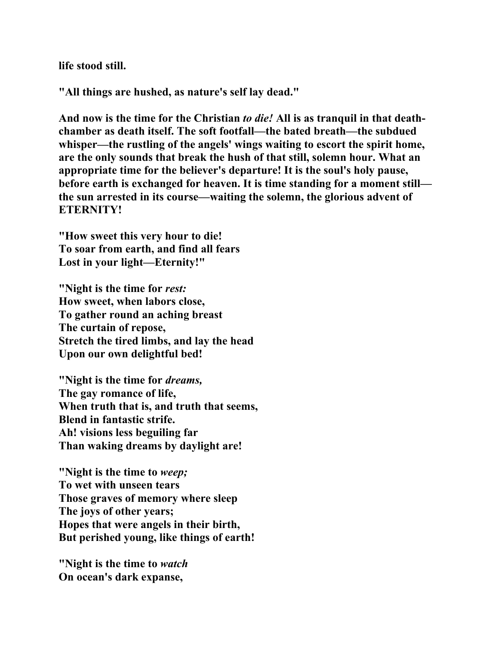**life stood still.** 

**"All things are hushed, as nature's self lay dead."** 

**And now is the time for the Christian** *to die!* **All is as tranquil in that deathchamber as death itself. The soft footfall—the bated breath—the subdued whisper—the rustling of the angels' wings waiting to escort the spirit home, are the only sounds that break the hush of that still, solemn hour. What an appropriate time for the believer's departure! It is the soul's holy pause, before earth is exchanged for heaven. It is time standing for a moment still the sun arrested in its course—waiting the solemn, the glorious advent of ETERNITY!** 

**"How sweet this very hour to die! To soar from earth, and find all fears Lost in your light—Eternity!"** 

**"Night is the time for** *rest:*  **How sweet, when labors close, To gather round an aching breast The curtain of repose, Stretch the tired limbs, and lay the head Upon our own delightful bed!** 

**"Night is the time for** *dreams,*  **The gay romance of life, When truth that is, and truth that seems, Blend in fantastic strife. Ah! visions less beguiling far Than waking dreams by daylight are!** 

**"Night is the time to** *weep;*  **To wet with unseen tears Those graves of memory where sleep The joys of other years; Hopes that were angels in their birth, But perished young, like things of earth!** 

**"Night is the time to** *watch* **On ocean's dark expanse,**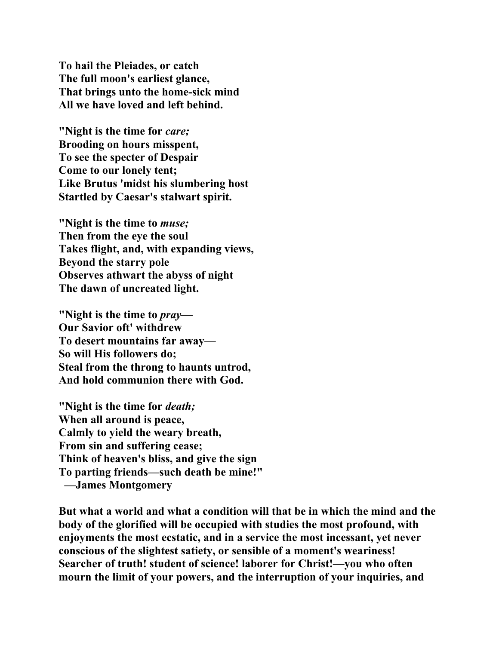**To hail the Pleiades, or catch The full moon's earliest glance, That brings unto the home-sick mind All we have loved and left behind.** 

**"Night is the time for** *care;*  **Brooding on hours misspent, To see the specter of Despair Come to our lonely tent; Like Brutus 'midst his slumbering host Startled by Caesar's stalwart spirit.** 

**"Night is the time to** *muse;* **Then from the eye the soul Takes flight, and, with expanding views, Beyond the starry pole Observes athwart the abyss of night The dawn of uncreated light.** 

**"Night is the time to** *pray—*  **Our Savior oft' withdrew To desert mountains far away— So will His followers do; Steal from the throng to haunts untrod, And hold communion there with God.** 

**"Night is the time for** *death;*  **When all around is peace, Calmly to yield the weary breath, From sin and suffering cease; Think of heaven's bliss, and give the sign To parting friends—such death be mine!" —James Montgomery** 

**But what a world and what a condition will that be in which the mind and the body of the glorified will be occupied with studies the most profound, with enjoyments the most ecstatic, and in a service the most incessant, yet never conscious of the slightest satiety, or sensible of a moment's weariness! Searcher of truth! student of science! laborer for Christ!—you who often mourn the limit of your powers, and the interruption of your inquiries, and**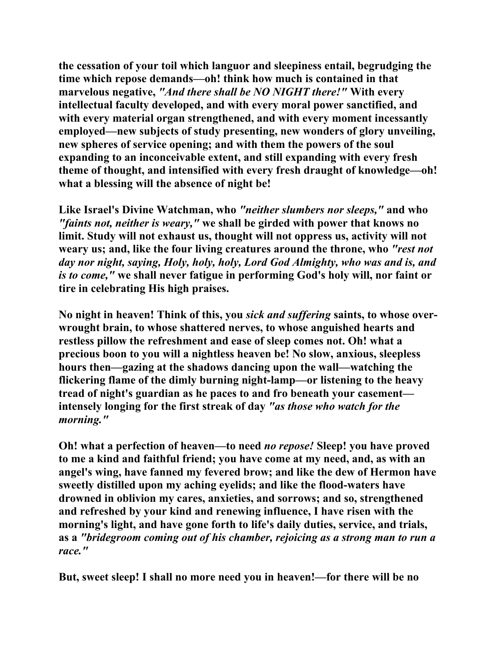**the cessation of your toil which languor and sleepiness entail, begrudging the time which repose demands—oh! think how much is contained in that marvelous negative,** *"And there shall be NO NIGHT there!"* **With every intellectual faculty developed, and with every moral power sanctified, and with every material organ strengthened, and with every moment incessantly employed—new subjects of study presenting, new wonders of glory unveiling, new spheres of service opening; and with them the powers of the soul expanding to an inconceivable extent, and still expanding with every fresh theme of thought, and intensified with every fresh draught of knowledge—oh! what a blessing will the absence of night be!** 

**Like Israel's Divine Watchman, who** *"neither slumbers nor sleeps,"* **and who**  *"faints not, neither is weary,"* **we shall be girded with power that knows no limit. Study will not exhaust us, thought will not oppress us, activity will not weary us; and, like the four living creatures around the throne, who** *"rest not day nor night, saying, Holy, holy, holy, Lord God Almighty, who was and is, and is to come,"* **we shall never fatigue in performing God's holy will, nor faint or tire in celebrating His high praises.** 

**No night in heaven! Think of this, you** *sick and suffering* **saints, to whose overwrought brain, to whose shattered nerves, to whose anguished hearts and restless pillow the refreshment and ease of sleep comes not. Oh! what a precious boon to you will a nightless heaven be! No slow, anxious, sleepless hours then—gazing at the shadows dancing upon the wall—watching the flickering flame of the dimly burning night-lamp—or listening to the heavy tread of night's guardian as he paces to and fro beneath your casement intensely longing for the first streak of day** *"as those who watch for the morning."* 

**Oh! what a perfection of heaven—to need** *no repose!* **Sleep! you have proved to me a kind and faithful friend; you have come at my need, and, as with an angel's wing, have fanned my fevered brow; and like the dew of Hermon have sweetly distilled upon my aching eyelids; and like the flood-waters have drowned in oblivion my cares, anxieties, and sorrows; and so, strengthened and refreshed by your kind and renewing influence, I have risen with the morning's light, and have gone forth to life's daily duties, service, and trials, as a** *"bridegroom coming out of his chamber, rejoicing as a strong man to run a race."* 

**But, sweet sleep! I shall no more need you in heaven!—for there will be no**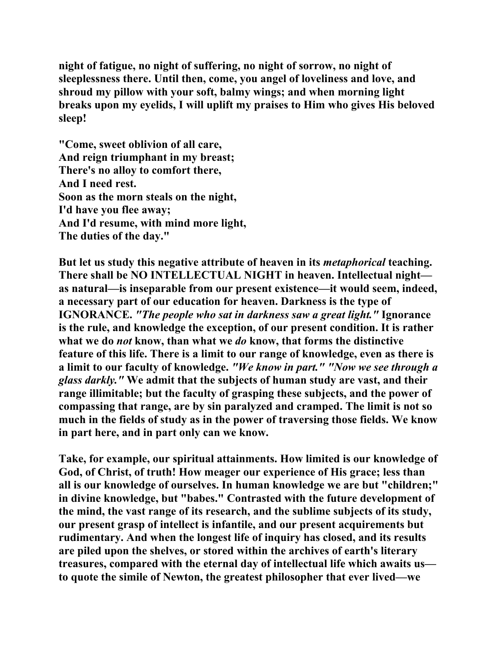**night of fatigue, no night of suffering, no night of sorrow, no night of sleeplessness there. Until then, come, you angel of loveliness and love, and shroud my pillow with your soft, balmy wings; and when morning light breaks upon my eyelids, I will uplift my praises to Him who gives His beloved sleep!** 

**"Come, sweet oblivion of all care, And reign triumphant in my breast; There's no alloy to comfort there, And I need rest. Soon as the morn steals on the night, I'd have you flee away; And I'd resume, with mind more light, The duties of the day."** 

**But let us study this negative attribute of heaven in its** *metaphorical* **teaching. There shall be NO INTELLECTUAL NIGHT in heaven. Intellectual night as natural—is inseparable from our present existence—it would seem, indeed, a necessary part of our education for heaven. Darkness is the type of IGNORANCE.** *"The people who sat in darkness saw a great light."* **Ignorance is the rule, and knowledge the exception, of our present condition. It is rather what we do** *not* **know, than what we** *do* **know, that forms the distinctive feature of this life. There is a limit to our range of knowledge, even as there is a limit to our faculty of knowledge.** *"We know in part." "Now we see through a glass darkly."* **We admit that the subjects of human study are vast, and their range illimitable; but the faculty of grasping these subjects, and the power of compassing that range, are by sin paralyzed and cramped. The limit is not so much in the fields of study as in the power of traversing those fields. We know in part here, and in part only can we know.** 

**Take, for example, our spiritual attainments. How limited is our knowledge of God, of Christ, of truth! How meager our experience of His grace; less than all is our knowledge of ourselves. In human knowledge we are but "children;" in divine knowledge, but "babes." Contrasted with the future development of the mind, the vast range of its research, and the sublime subjects of its study, our present grasp of intellect is infantile, and our present acquirements but rudimentary. And when the longest life of inquiry has closed, and its results are piled upon the shelves, or stored within the archives of earth's literary treasures, compared with the eternal day of intellectual life which awaits us to quote the simile of Newton, the greatest philosopher that ever lived—we**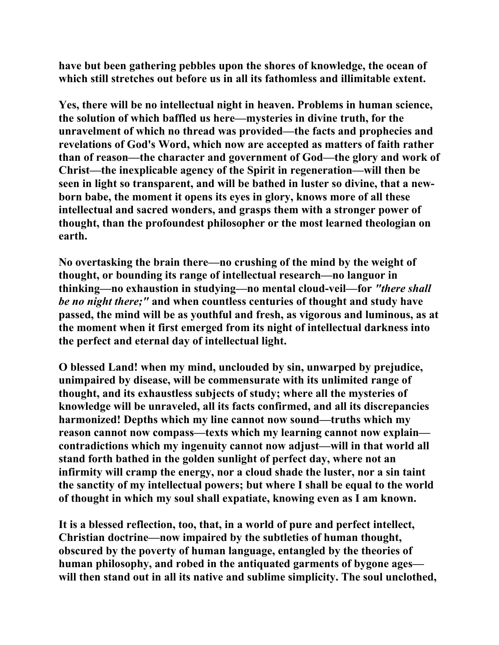**have but been gathering pebbles upon the shores of knowledge, the ocean of which still stretches out before us in all its fathomless and illimitable extent.** 

**Yes, there will be no intellectual night in heaven. Problems in human science, the solution of which baffled us here—mysteries in divine truth, for the unravelment of which no thread was provided—the facts and prophecies and revelations of God's Word, which now are accepted as matters of faith rather than of reason—the character and government of God—the glory and work of Christ—the inexplicable agency of the Spirit in regeneration—will then be seen in light so transparent, and will be bathed in luster so divine, that a newborn babe, the moment it opens its eyes in glory, knows more of all these intellectual and sacred wonders, and grasps them with a stronger power of thought, than the profoundest philosopher or the most learned theologian on earth.** 

**No overtasking the brain there—no crushing of the mind by the weight of thought, or bounding its range of intellectual research—no languor in thinking—no exhaustion in studying—no mental cloud-veil—for** *"there shall be no night there;"* **and when countless centuries of thought and study have passed, the mind will be as youthful and fresh, as vigorous and luminous, as at the moment when it first emerged from its night of intellectual darkness into the perfect and eternal day of intellectual light.** 

**O blessed Land! when my mind, unclouded by sin, unwarped by prejudice, unimpaired by disease, will be commensurate with its unlimited range of thought, and its exhaustless subjects of study; where all the mysteries of knowledge will be unraveled, all its facts confirmed, and all its discrepancies harmonized! Depths which my line cannot now sound—truths which my reason cannot now compass—texts which my learning cannot now explain contradictions which my ingenuity cannot now adjust—will in that world all stand forth bathed in the golden sunlight of perfect day, where not an infirmity will cramp the energy, nor a cloud shade the luster, nor a sin taint the sanctity of my intellectual powers; but where I shall be equal to the world of thought in which my soul shall expatiate, knowing even as I am known.** 

**It is a blessed reflection, too, that, in a world of pure and perfect intellect, Christian doctrine—now impaired by the subtleties of human thought, obscured by the poverty of human language, entangled by the theories of human philosophy, and robed in the antiquated garments of bygone ages will then stand out in all its native and sublime simplicity. The soul unclothed,**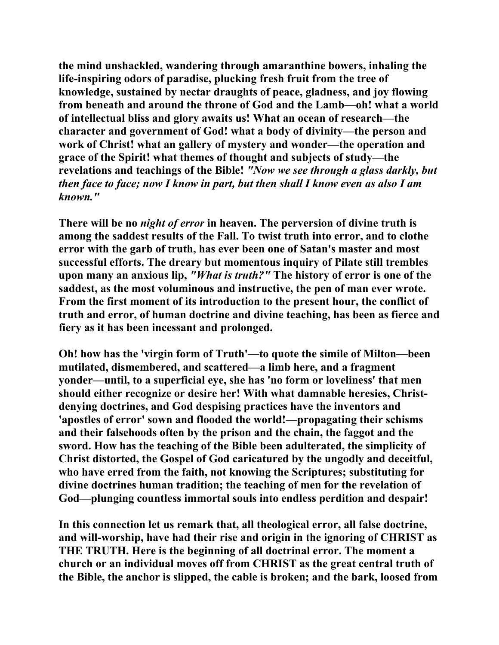**the mind unshackled, wandering through amaranthine bowers, inhaling the life-inspiring odors of paradise, plucking fresh fruit from the tree of knowledge, sustained by nectar draughts of peace, gladness, and joy flowing from beneath and around the throne of God and the Lamb—oh! what a world of intellectual bliss and glory awaits us! What an ocean of research—the character and government of God! what a body of divinity—the person and work of Christ! what an gallery of mystery and wonder—the operation and grace of the Spirit! what themes of thought and subjects of study—the revelations and teachings of the Bible!** *"Now we see through a glass darkly, but then face to face; now I know in part, but then shall I know even as also I am known."*

**There will be no** *night of error* **in heaven. The perversion of divine truth is among the saddest results of the Fall. To twist truth into error, and to clothe error with the garb of truth, has ever been one of Satan's master and most successful efforts. The dreary but momentous inquiry of Pilate still trembles upon many an anxious lip,** *"What is truth?"* **The history of error is one of the saddest, as the most voluminous and instructive, the pen of man ever wrote. From the first moment of its introduction to the present hour, the conflict of truth and error, of human doctrine and divine teaching, has been as fierce and fiery as it has been incessant and prolonged.** 

**Oh! how has the 'virgin form of Truth'—to quote the simile of Milton—been mutilated, dismembered, and scattered—a limb here, and a fragment yonder—until, to a superficial eye, she has 'no form or loveliness' that men should either recognize or desire her! With what damnable heresies, Christdenying doctrines, and God despising practices have the inventors and 'apostles of error' sown and flooded the world!—propagating their schisms and their falsehoods often by the prison and the chain, the faggot and the sword. How has the teaching of the Bible been adulterated, the simplicity of Christ distorted, the Gospel of God caricatured by the ungodly and deceitful, who have erred from the faith, not knowing the Scriptures; substituting for divine doctrines human tradition; the teaching of men for the revelation of God—plunging countless immortal souls into endless perdition and despair!** 

**In this connection let us remark that, all theological error, all false doctrine, and will-worship, have had their rise and origin in the ignoring of CHRIST as THE TRUTH. Here is the beginning of all doctrinal error. The moment a church or an individual moves off from CHRIST as the great central truth of the Bible, the anchor is slipped, the cable is broken; and the bark, loosed from**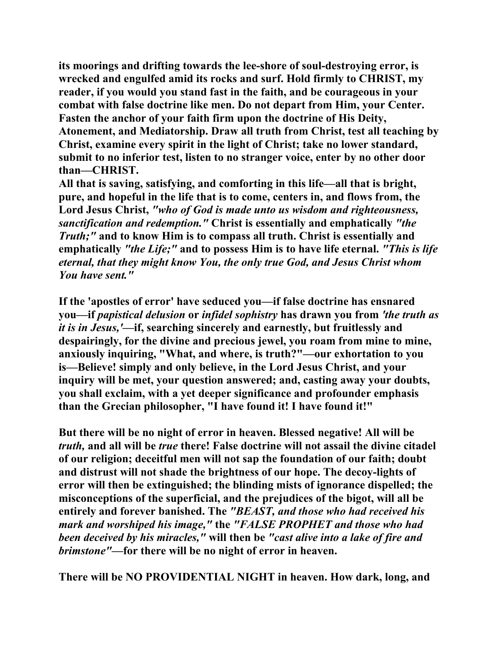**its moorings and drifting towards the lee-shore of soul-destroying error, is wrecked and engulfed amid its rocks and surf. Hold firmly to CHRIST, my reader, if you would you stand fast in the faith, and be courageous in your combat with false doctrine like men. Do not depart from Him, your Center. Fasten the anchor of your faith firm upon the doctrine of His Deity, Atonement, and Mediatorship. Draw all truth from Christ, test all teaching by Christ, examine every spirit in the light of Christ; take no lower standard, submit to no inferior test, listen to no stranger voice, enter by no other door than—CHRIST.** 

**All that is saving, satisfying, and comforting in this life—all that is bright, pure, and hopeful in the life that is to come, centers in, and flows from, the Lord Jesus Christ,** *"who of God is made unto us wisdom and righteousness, sanctification and redemption."* **Christ is essentially and emphatically** *"the Truth;"* **and to know Him is to compass all truth. Christ is essentially and emphatically** *"the Life;"* **and to possess Him is to have life eternal.** *"This is life eternal, that they might know You, the only true God, and Jesus Christ whom You have sent."* 

**If the 'apostles of error' have seduced you—if false doctrine has ensnared you—if** *papistical delusion* **or** *infidel sophistry* **has drawn you from** *'the truth as it is in Jesus,'***—if, searching sincerely and earnestly, but fruitlessly and despairingly, for the divine and precious jewel, you roam from mine to mine, anxiously inquiring, "What, and where, is truth?"—our exhortation to you is—Believe! simply and only believe, in the Lord Jesus Christ, and your inquiry will be met, your question answered; and, casting away your doubts, you shall exclaim, with a yet deeper significance and profounder emphasis than the Grecian philosopher, "I have found it! I have found it!"** 

**But there will be no night of error in heaven. Blessed negative! All will be**  *truth,* **and all will be** *true* **there! False doctrine will not assail the divine citadel of our religion; deceitful men will not sap the foundation of our faith; doubt and distrust will not shade the brightness of our hope. The decoy-lights of error will then be extinguished; the blinding mists of ignorance dispelled; the misconceptions of the superficial, and the prejudices of the bigot, will all be entirely and forever banished. The** *"BEAST, and those who had received his mark and worshiped his image,"* **the** *"FALSE PROPHET and those who had been deceived by his miracles,"* **will then be** *"cast alive into a lake of fire and brimstone"***—for there will be no night of error in heaven.** 

**There will be NO PROVIDENTIAL NIGHT in heaven. How dark, long, and**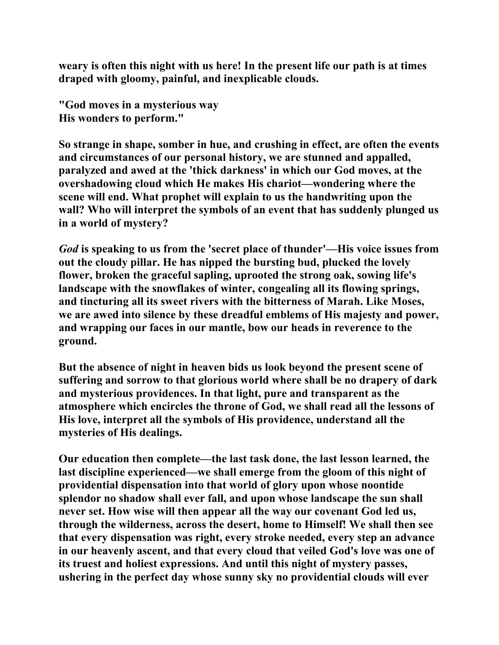**weary is often this night with us here! In the present life our path is at times draped with gloomy, painful, and inexplicable clouds.** 

**"God moves in a mysterious way His wonders to perform."** 

**So strange in shape, somber in hue, and crushing in effect, are often the events and circumstances of our personal history, we are stunned and appalled, paralyzed and awed at the 'thick darkness' in which our God moves, at the overshadowing cloud which He makes His chariot—wondering where the scene will end. What prophet will explain to us the handwriting upon the wall? Who will interpret the symbols of an event that has suddenly plunged us in a world of mystery?** 

*God* **is speaking to us from the 'secret place of thunder'—His voice issues from out the cloudy pillar. He has nipped the bursting bud, plucked the lovely flower, broken the graceful sapling, uprooted the strong oak, sowing life's landscape with the snowflakes of winter, congealing all its flowing springs, and tincturing all its sweet rivers with the bitterness of Marah. Like Moses, we are awed into silence by these dreadful emblems of His majesty and power, and wrapping our faces in our mantle, bow our heads in reverence to the ground.** 

**But the absence of night in heaven bids us look beyond the present scene of suffering and sorrow to that glorious world where shall be no drapery of dark and mysterious providences. In that light, pure and transparent as the atmosphere which encircles the throne of God, we shall read all the lessons of His love, interpret all the symbols of His providence, understand all the mysteries of His dealings.** 

**Our education then complete—the last task done, the last lesson learned, the last discipline experienced—we shall emerge from the gloom of this night of providential dispensation into that world of glory upon whose noontide splendor no shadow shall ever fall, and upon whose landscape the sun shall never set. How wise will then appear all the way our covenant God led us, through the wilderness, across the desert, home to Himself! We shall then see that every dispensation was right, every stroke needed, every step an advance in our heavenly ascent, and that every cloud that veiled God's love was one of its truest and holiest expressions. And until this night of mystery passes, ushering in the perfect day whose sunny sky no providential clouds will ever**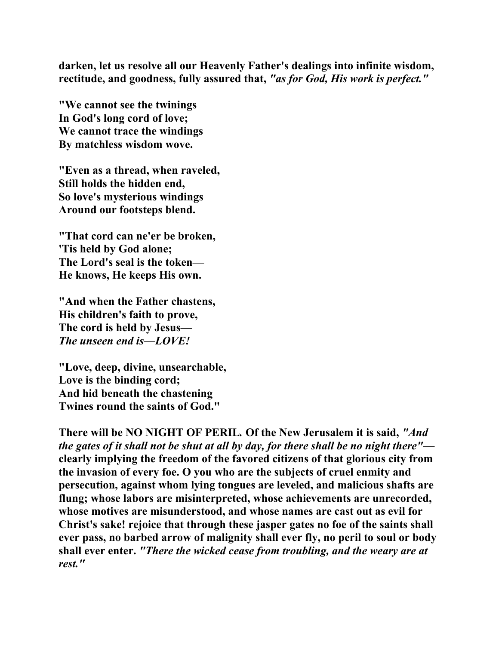**darken, let us resolve all our Heavenly Father's dealings into infinite wisdom, rectitude, and goodness, fully assured that,** *"as for God, His work is perfect."*

**"We cannot see the twinings In God's long cord of love; We cannot trace the windings By matchless wisdom wove.** 

**"Even as a thread, when raveled, Still holds the hidden end, So love's mysterious windings Around our footsteps blend.** 

**"That cord can ne'er be broken, 'Tis held by God alone; The Lord's seal is the token— He knows, He keeps His own.** 

**"And when the Father chastens, His children's faith to prove, The cord is held by Jesus—**  *The unseen end is—LOVE!*

**"Love, deep, divine, unsearchable, Love is the binding cord; And hid beneath the chastening Twines round the saints of God."** 

**There will be NO NIGHT OF PERIL***.* **Of the New Jerusalem it is said,** *"And the gates of it shall not be shut at all by day, for there shall be no night there"* **clearly implying the freedom of the favored citizens of that glorious city from the invasion of every foe. O you who are the subjects of cruel enmity and persecution, against whom lying tongues are leveled, and malicious shafts are flung; whose labors are misinterpreted, whose achievements are unrecorded, whose motives are misunderstood, and whose names are cast out as evil for Christ's sake! rejoice that through these jasper gates no foe of the saints shall ever pass, no barbed arrow of malignity shall ever fly, no peril to soul or body shall ever enter.** *"There the wicked cease from troubling, and the weary are at rest."*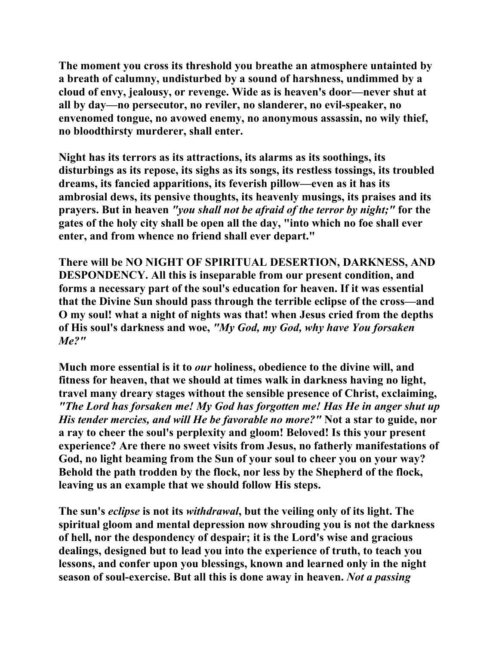**The moment you cross its threshold you breathe an atmosphere untainted by a breath of calumny, undisturbed by a sound of harshness, undimmed by a cloud of envy, jealousy, or revenge. Wide as is heaven's door—never shut at all by day—no persecutor, no reviler, no slanderer, no evil-speaker, no envenomed tongue, no avowed enemy, no anonymous assassin, no wily thief, no bloodthirsty murderer, shall enter.** 

**Night has its terrors as its attractions, its alarms as its soothings, its disturbings as its repose, its sighs as its songs, its restless tossings, its troubled dreams, its fancied apparitions, its feverish pillow—even as it has its ambrosial dews, its pensive thoughts, its heavenly musings, its praises and its prayers. But in heaven** *"you shall not be afraid of the terror by night;"* **for the gates of the holy city shall be open all the day, "into which no foe shall ever enter, and from whence no friend shall ever depart."** 

**There will be NO NIGHT OF SPIRITUAL DESERTION, DARKNESS, AND DESPONDENCY. All this is inseparable from our present condition, and forms a necessary part of the soul's education for heaven. If it was essential that the Divine Sun should pass through the terrible eclipse of the cross—and O my soul! what a night of nights was that! when Jesus cried from the depths of His soul's darkness and woe,** *"My God, my God, why have You forsaken Me?"*

**Much more essential is it to** *our* **holiness, obedience to the divine will, and fitness for heaven, that we should at times walk in darkness having no light, travel many dreary stages without the sensible presence of Christ, exclaiming,**  *"The Lord has forsaken me! My God has forgotten me! Has He in anger shut up His tender mercies, and will He be favorable no more?"* **Not a star to guide, nor a ray to cheer the soul's perplexity and gloom! Beloved! Is this your present experience? Are there no sweet visits from Jesus, no fatherly manifestations of God, no light beaming from the Sun of your soul to cheer you on your way? Behold the path trodden by the flock, nor less by the Shepherd of the flock, leaving us an example that we should follow His steps.** 

**The sun's** *eclipse* **is not its** *withdrawal***, but the veiling only of its light. The spiritual gloom and mental depression now shrouding you is not the darkness of hell, nor the despondency of despair; it is the Lord's wise and gracious dealings, designed but to lead you into the experience of truth, to teach you lessons, and confer upon you blessings, known and learned only in the night season of soul-exercise. But all this is done away in heaven.** *Not a passing*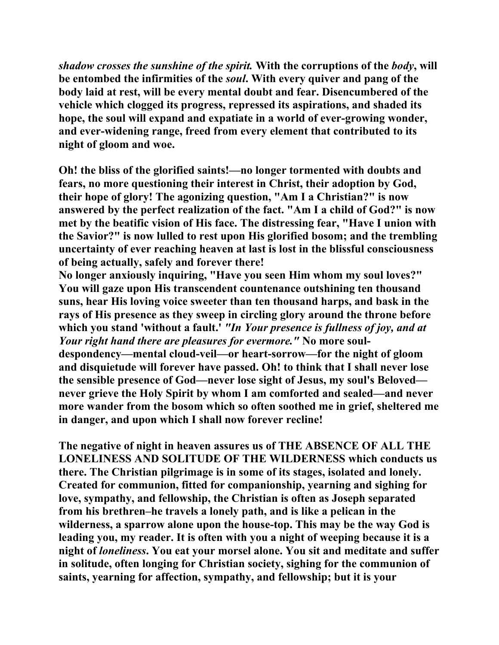*shadow crosses the sunshine of the spirit.* **With the corruptions of the** *body***, will be entombed the infirmities of the** *soul***. With every quiver and pang of the body laid at rest, will be every mental doubt and fear. Disencumbered of the vehicle which clogged its progress, repressed its aspirations, and shaded its hope, the soul will expand and expatiate in a world of ever-growing wonder, and ever-widening range, freed from every element that contributed to its night of gloom and woe.** 

**Oh! the bliss of the glorified saints!—no longer tormented with doubts and fears, no more questioning their interest in Christ, their adoption by God, their hope of glory! The agonizing question, "Am I a Christian?" is now answered by the perfect realization of the fact. "Am I a child of God?" is now met by the beatific vision of His face. The distressing fear, "Have I union with the Savior?" is now lulled to rest upon His glorified bosom; and the trembling uncertainty of ever reaching heaven at last is lost in the blissful consciousness of being actually, safely and forever there!** 

**No longer anxiously inquiring, "Have you seen Him whom my soul loves?" You will gaze upon His transcendent countenance outshining ten thousand suns, hear His loving voice sweeter than ten thousand harps, and bask in the rays of His presence as they sweep in circling glory around the throne before which you stand 'without a fault.'** *"In Your presence is fullness of joy, and at Your right hand there are pleasures for evermore."* **No more souldespondency—mental cloud-veil—or heart-sorrow—for the night of gloom and disquietude will forever have passed. Oh! to think that I shall never lose the sensible presence of God—never lose sight of Jesus, my soul's Beloved never grieve the Holy Spirit by whom I am comforted and sealed—and never more wander from the bosom which so often soothed me in grief, sheltered me in danger, and upon which I shall now forever recline!** 

**The negative of night in heaven assures us of THE ABSENCE OF ALL THE LONELINESS AND SOLITUDE OF THE WILDERNESS which conducts us there. The Christian pilgrimage is in some of its stages, isolated and lonely. Created for communion, fitted for companionship, yearning and sighing for love, sympathy, and fellowship, the Christian is often as Joseph separated from his brethren–he travels a lonely path, and is like a pelican in the wilderness, a sparrow alone upon the house-top. This may be the way God is leading you, my reader. It is often with you a night of weeping because it is a night of** *loneliness***. You eat your morsel alone. You sit and meditate and suffer in solitude, often longing for Christian society, sighing for the communion of saints, yearning for affection, sympathy, and fellowship; but it is your**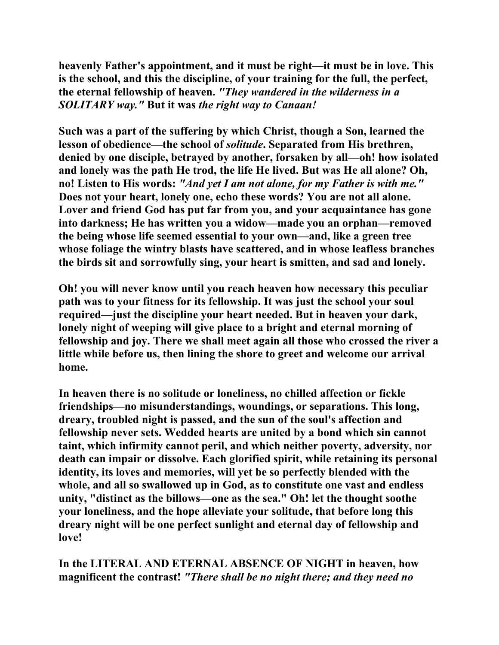**heavenly Father's appointment, and it must be right—it must be in love. This is the school, and this the discipline, of your training for the full, the perfect, the eternal fellowship of heaven.** *"They wandered in the wilderness in a SOLITARY way."* **But it was** *the right way to Canaan!*

**Such was a part of the suffering by which Christ, though a Son, learned the lesson of obedience—the school of** *solitude***. Separated from His brethren, denied by one disciple, betrayed by another, forsaken by all—oh! how isolated and lonely was the path He trod, the life He lived. But was He all alone? Oh, no! Listen to His words:** *"And yet I am not alone, for my Father is with me."*  **Does not your heart, lonely one, echo these words? You are not all alone. Lover and friend God has put far from you, and your acquaintance has gone into darkness; He has written you a widow—made you an orphan—removed the being whose life seemed essential to your own—and, like a green tree whose foliage the wintry blasts have scattered, and in whose leafless branches the birds sit and sorrowfully sing, your heart is smitten, and sad and lonely.** 

**Oh! you will never know until you reach heaven how necessary this peculiar path was to your fitness for its fellowship. It was just the school your soul required—just the discipline your heart needed. But in heaven your dark, lonely night of weeping will give place to a bright and eternal morning of fellowship and joy. There we shall meet again all those who crossed the river a little while before us, then lining the shore to greet and welcome our arrival home.** 

**In heaven there is no solitude or loneliness, no chilled affection or fickle friendships—no misunderstandings, woundings, or separations. This long, dreary, troubled night is passed, and the sun of the soul's affection and fellowship never sets. Wedded hearts are united by a bond which sin cannot taint, which infirmity cannot peril, and which neither poverty, adversity, nor death can impair or dissolve. Each glorified spirit, while retaining its personal identity, its loves and memories, will yet be so perfectly blended with the whole, and all so swallowed up in God, as to constitute one vast and endless unity, "distinct as the billows—one as the sea." Oh! let the thought soothe your loneliness, and the hope alleviate your solitude, that before long this dreary night will be one perfect sunlight and eternal day of fellowship and love!** 

**In the LITERAL AND ETERNAL ABSENCE OF NIGHT in heaven, how magnificent the contrast!** *"There shall be no night there; and they need no*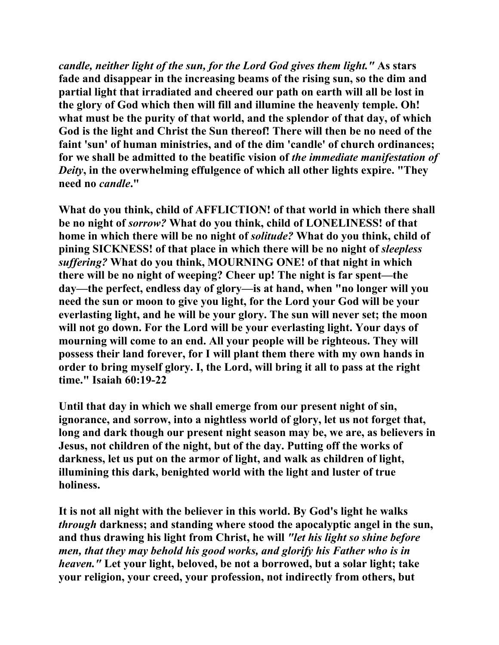*candle, neither light of the sun, for the Lord God gives them light."* **As stars fade and disappear in the increasing beams of the rising sun, so the dim and partial light that irradiated and cheered our path on earth will all be lost in the glory of God which then will fill and illumine the heavenly temple. Oh! what must be the purity of that world, and the splendor of that day, of which God is the light and Christ the Sun thereof! There will then be no need of the faint 'sun' of human ministries, and of the dim 'candle' of church ordinances; for we shall be admitted to the beatific vision of** *the immediate manifestation of Deity***, in the overwhelming effulgence of which all other lights expire. "They need no** *candle***."** 

**What do you think, child of AFFLICTION! of that world in which there shall be no night of** *sorrow?* **What do you think, child of LONELINESS! of that home in which there will be no night of** *solitude?* **What do you think, child of pining SICKNESS! of that place in which there will be no night of** *sleepless suffering?* **What do you think, MOURNING ONE! of that night in which there will be no night of weeping? Cheer up! The night is far spent—the day—the perfect, endless day of glory—is at hand, when "no longer will you need the sun or moon to give you light, for the Lord your God will be your everlasting light, and he will be your glory. The sun will never set; the moon will not go down. For the Lord will be your everlasting light. Your days of mourning will come to an end. All your people will be righteous. They will possess their land forever, for I will plant them there with my own hands in order to bring myself glory. I, the Lord, will bring it all to pass at the right time." Isaiah 60:19-22** 

**Until that day in which we shall emerge from our present night of sin, ignorance, and sorrow, into a nightless world of glory, let us not forget that, long and dark though our present night season may be, we are, as believers in Jesus, not children of the night, but of the day. Putting off the works of darkness, let us put on the armor of light, and walk as children of light, illumining this dark, benighted world with the light and luster of true holiness.** 

**It is not all night with the believer in this world. By God's light he walks**  *through* **darkness; and standing where stood the apocalyptic angel in the sun, and thus drawing his light from Christ, he will** *"let his light so shine before men, that they may behold his good works, and glorify his Father who is in heaven."* **Let your light, beloved, be not a borrowed, but a solar light; take your religion, your creed, your profession, not indirectly from others, but**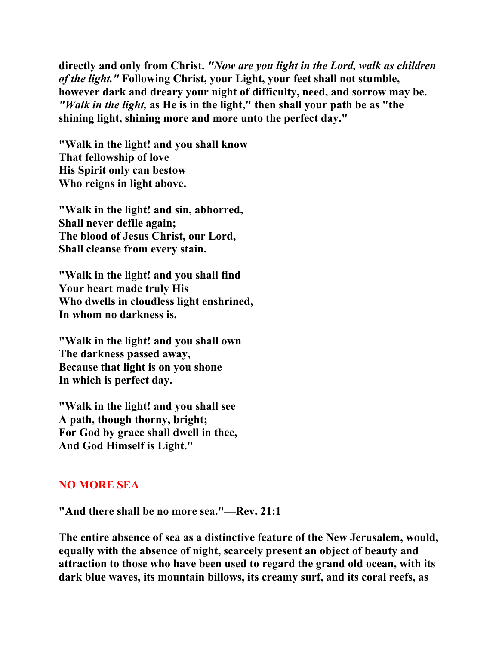**directly and only from Christ.** *"Now are you light in the Lord, walk as children of the light."* **Following Christ, your Light, your feet shall not stumble, however dark and dreary your night of difficulty, need, and sorrow may be.**  *"Walk in the light,* **as He is in the light," then shall your path be as "the shining light, shining more and more unto the perfect day."** 

**"Walk in the light! and you shall know That fellowship of love His Spirit only can bestow Who reigns in light above.** 

**"Walk in the light! and sin, abhorred, Shall never defile again; The blood of Jesus Christ, our Lord, Shall cleanse from every stain.** 

**"Walk in the light! and you shall find Your heart made truly His Who dwells in cloudless light enshrined, In whom no darkness is.** 

**"Walk in the light! and you shall own The darkness passed away, Because that light is on you shone In which is perfect day.** 

**"Walk in the light! and you shall see A path, though thorny, bright; For God by grace shall dwell in thee, And God Himself is Light."** 

## **NO MORE SEA**

**"And there shall be no more sea."—Rev. 21:1** 

**The entire absence of sea as a distinctive feature of the New Jerusalem, would, equally with the absence of night, scarcely present an object of beauty and attraction to those who have been used to regard the grand old ocean, with its dark blue waves, its mountain billows, its creamy surf, and its coral reefs, as**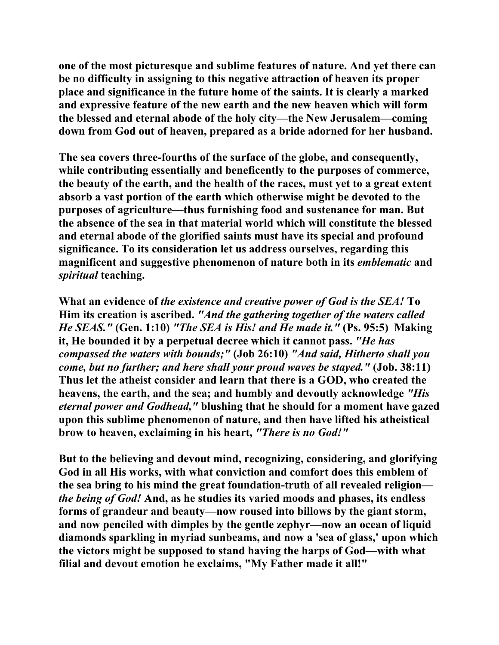**one of the most picturesque and sublime features of nature. And yet there can be no difficulty in assigning to this negative attraction of heaven its proper place and significance in the future home of the saints. It is clearly a marked and expressive feature of the new earth and the new heaven which will form the blessed and eternal abode of the holy city—the New Jerusalem—coming down from God out of heaven, prepared as a bride adorned for her husband.** 

**The sea covers three-fourths of the surface of the globe, and consequently, while contributing essentially and beneficently to the purposes of commerce, the beauty of the earth, and the health of the races, must yet to a great extent absorb a vast portion of the earth which otherwise might be devoted to the purposes of agriculture—thus furnishing food and sustenance for man. But the absence of the sea in that material world which will constitute the blessed and eternal abode of the glorified saints must have its special and profound significance. To its consideration let us address ourselves, regarding this magnificent and suggestive phenomenon of nature both in its** *emblematic* **and**  *spiritual* **teaching.** 

**What an evidence of** *the existence and creative power of God is the SEA!* **To Him its creation is ascribed.** *"And the gathering together of the waters called He SEAS."* **(Gen. 1:10)** *"The SEA is His! and He made it."* **(Ps. 95:5) Making it, He bounded it by a perpetual decree which it cannot pass.** *"He has compassed the waters with bounds;"* **(Job 26:10)** *"And said, Hitherto shall you come, but no further; and here shall your proud waves be stayed."* **(Job. 38:11) Thus let the atheist consider and learn that there is a GOD, who created the heavens, the earth, and the sea; and humbly and devoutly acknowledge** *"His eternal power and Godhead,"* **blushing that he should for a moment have gazed upon this sublime phenomenon of nature, and then have lifted his atheistical brow to heaven, exclaiming in his heart,** *"There is no God!"* 

**But to the believing and devout mind, recognizing, considering, and glorifying God in all His works, with what conviction and comfort does this emblem of the sea bring to his mind the great foundation-truth of all revealed religion** *the being of God!* **And, as he studies its varied moods and phases, its endless forms of grandeur and beauty—now roused into billows by the giant storm, and now penciled with dimples by the gentle zephyr—now an ocean of liquid diamonds sparkling in myriad sunbeams, and now a 'sea of glass,' upon which the victors might be supposed to stand having the harps of God—with what filial and devout emotion he exclaims, "My Father made it all!"**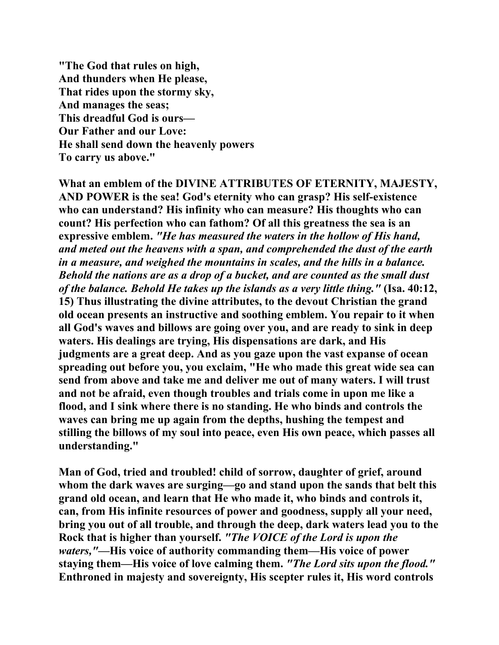**"The God that rules on high, And thunders when He please, That rides upon the stormy sky, And manages the seas; This dreadful God is ours— Our Father and our Love: He shall send down the heavenly powers To carry us above."** 

**What an emblem of the DIVINE ATTRIBUTES OF ETERNITY, MAJESTY, AND POWER is the sea! God's eternity who can grasp? His self-existence who can understand? His infinity who can measure? His thoughts who can count? His perfection who can fathom? Of all this greatness the sea is an expressive emblem.** *"He has measured the waters in the hollow of His hand, and meted out the heavens with a span, and comprehended the dust of the earth in a measure, and weighed the mountains in scales, and the hills in a balance. Behold the nations are as a drop of a bucket, and are counted as the small dust of the balance. Behold He takes up the islands as a very little thing."* **(Isa. 40:12, 15) Thus illustrating the divine attributes, to the devout Christian the grand old ocean presents an instructive and soothing emblem. You repair to it when all God's waves and billows are going over you, and are ready to sink in deep waters. His dealings are trying, His dispensations are dark, and His judgments are a great deep. And as you gaze upon the vast expanse of ocean spreading out before you, you exclaim, "He who made this great wide sea can send from above and take me and deliver me out of many waters. I will trust and not be afraid, even though troubles and trials come in upon me like a flood, and I sink where there is no standing. He who binds and controls the waves can bring me up again from the depths, hushing the tempest and stilling the billows of my soul into peace, even His own peace, which passes all understanding."** 

**Man of God, tried and troubled! child of sorrow, daughter of grief, around whom the dark waves are surging—go and stand upon the sands that belt this grand old ocean, and learn that He who made it, who binds and controls it, can, from His infinite resources of power and goodness, supply all your need, bring you out of all trouble, and through the deep, dark waters lead you to the Rock that is higher than yourself.** *"The VOICE of the Lord is upon the waters,"***—His voice of authority commanding them—His voice of power staying them—His voice of love calming them.** *"The Lord sits upon the flood."*  **Enthroned in majesty and sovereignty, His scepter rules it, His word controls**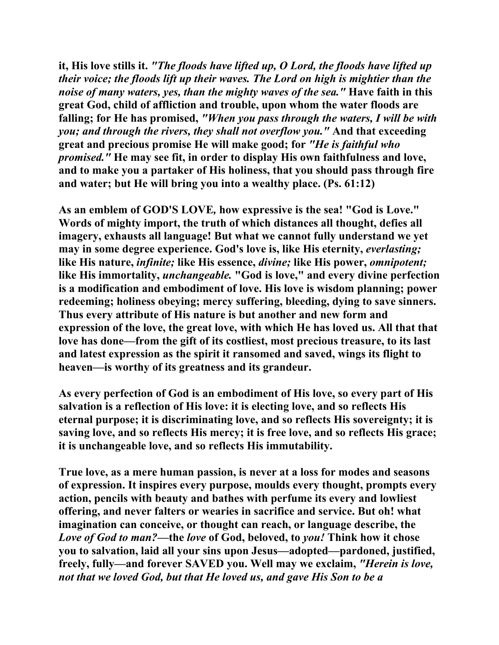**it, His love stills it.** *"The floods have lifted up, O Lord, the floods have lifted up their voice; the floods lift up their waves. The Lord on high is mightier than the noise of many waters, yes, than the mighty waves of the sea."* **Have faith in this great God, child of affliction and trouble, upon whom the water floods are falling; for He has promised,** *"When you pass through the waters, I will be with you; and through the rivers, they shall not overflow you."* **And that exceeding great and precious promise He will make good; for** *"He is faithful who promised."* **He may see fit, in order to display His own faithfulness and love, and to make you a partaker of His holiness, that you should pass through fire and water; but He will bring you into a wealthy place. (Ps. 61:12)** 

**As an emblem of GOD'S LOVE***,* **how expressive is the sea! "God is Love." Words of mighty import, the truth of which distances all thought, defies all imagery, exhausts all language! But what we cannot fully understand we yet**  may in some degree experience. God's love is, like His eternity, *everlasting*; **like His nature,** *infinite;* **like His essence,** *divine;* **like His power,** *omnipotent;*  **like His immortality,** *unchangeable.* **"God is love," and every divine perfection is a modification and embodiment of love. His love is wisdom planning; power redeeming; holiness obeying; mercy suffering, bleeding, dying to save sinners. Thus every attribute of His nature is but another and new form and expression of the love, the great love, with which He has loved us. All that that love has done—from the gift of its costliest, most precious treasure, to its last and latest expression as the spirit it ransomed and saved, wings its flight to heaven—is worthy of its greatness and its grandeur.** 

**As every perfection of God is an embodiment of His love, so every part of His salvation is a reflection of His love: it is electing love, and so reflects His eternal purpose; it is discriminating love, and so reflects His sovereignty; it is saving love, and so reflects His mercy; it is free love, and so reflects His grace; it is unchangeable love, and so reflects His immutability.** 

**True love, as a mere human passion, is never at a loss for modes and seasons of expression. It inspires every purpose, moulds every thought, prompts every action, pencils with beauty and bathes with perfume its every and lowliest offering, and never falters or wearies in sacrifice and service. But oh! what imagination can conceive, or thought can reach, or language describe, the**  *Love of God to man?***—the** *love* **of God, beloved, to** *you!* **Think how it chose you to salvation, laid all your sins upon Jesus—adopted—pardoned, justified, freely, fully—and forever SAVED you. Well may we exclaim,** *"Herein is love, not that we loved God, but that He loved us, and gave His Son to be a*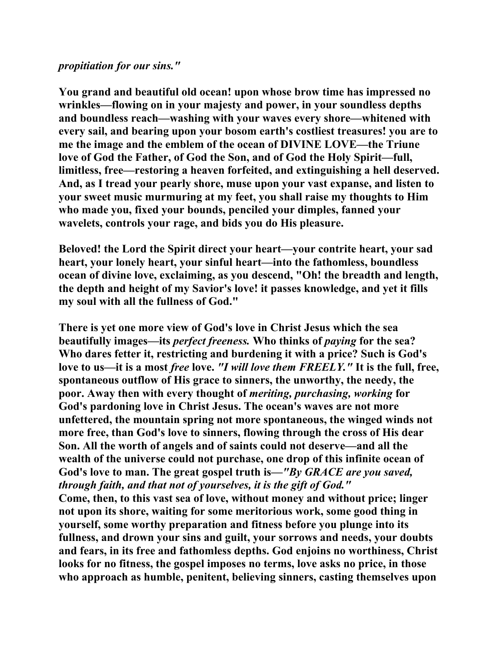#### *propitiation for our sins."*

**You grand and beautiful old ocean! upon whose brow time has impressed no wrinkles—flowing on in your majesty and power, in your soundless depths and boundless reach—washing with your waves every shore—whitened with every sail, and bearing upon your bosom earth's costliest treasures! you are to me the image and the emblem of the ocean of DIVINE LOVE—the Triune love of God the Father, of God the Son, and of God the Holy Spirit—full, limitless, free—restoring a heaven forfeited, and extinguishing a hell deserved. And, as I tread your pearly shore, muse upon your vast expanse, and listen to your sweet music murmuring at my feet, you shall raise my thoughts to Him who made you, fixed your bounds, penciled your dimples, fanned your wavelets, controls your rage, and bids you do His pleasure.** 

**Beloved! the Lord the Spirit direct your heart—your contrite heart, your sad heart, your lonely heart, your sinful heart—into the fathomless, boundless ocean of divine love, exclaiming, as you descend, "Oh! the breadth and length, the depth and height of my Savior's love! it passes knowledge, and yet it fills my soul with all the fullness of God."** 

**There is yet one more view of God's love in Christ Jesus which the sea beautifully images—its** *perfect freeness.* **Who thinks of** *paying* **for the sea? Who dares fetter it, restricting and burdening it with a price? Such is God's love to us—it is a most** *free* **love.** *"I will love them FREELY."* **It is the full, free, spontaneous outflow of His grace to sinners, the unworthy, the needy, the poor. Away then with every thought of** *meriting, purchasing, working* **for God's pardoning love in Christ Jesus. The ocean's waves are not more unfettered, the mountain spring not more spontaneous, the winged winds not more free, than God's love to sinners, flowing through the cross of His dear Son. All the worth of angels and of saints could not deserve—and all the wealth of the universe could not purchase, one drop of this infinite ocean of God's love to man. The great gospel truth is—***"By GRACE are you saved, through faith, and that not of yourselves, it is the gift of God."* 

**Come, then, to this vast sea of love, without money and without price; linger not upon its shore, waiting for some meritorious work, some good thing in yourself, some worthy preparation and fitness before you plunge into its fullness, and drown your sins and guilt, your sorrows and needs, your doubts and fears, in its free and fathomless depths. God enjoins no worthiness, Christ looks for no fitness, the gospel imposes no terms, love asks no price, in those who approach as humble, penitent, believing sinners, casting themselves upon**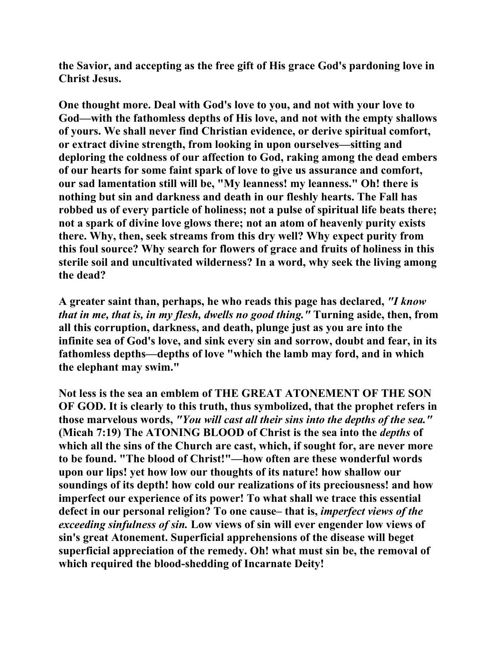**the Savior, and accepting as the free gift of His grace God's pardoning love in Christ Jesus.** 

**One thought more. Deal with God's love to you, and not with your love to God—with the fathomless depths of His love, and not with the empty shallows of yours. We shall never find Christian evidence, or derive spiritual comfort, or extract divine strength, from looking in upon ourselves—sitting and deploring the coldness of our affection to God, raking among the dead embers of our hearts for some faint spark of love to give us assurance and comfort, our sad lamentation still will be, "My leanness! my leanness." Oh! there is nothing but sin and darkness and death in our fleshly hearts. The Fall has robbed us of every particle of holiness; not a pulse of spiritual life beats there; not a spark of divine love glows there; not an atom of heavenly purity exists there. Why, then, seek streams from this dry well? Why expect purity from this foul source? Why search for flowers of grace and fruits of holiness in this sterile soil and uncultivated wilderness? In a word, why seek the living among the dead?** 

**A greater saint than, perhaps, he who reads this page has declared,** *"I know that in me, that is, in my flesh, dwells no good thing."* **Turning aside, then, from all this corruption, darkness, and death, plunge just as you are into the infinite sea of God's love, and sink every sin and sorrow, doubt and fear, in its fathomless depths—depths of love "which the lamb may ford, and in which the elephant may swim."** 

**Not less is the sea an emblem of THE GREAT ATONEMENT OF THE SON OF GOD. It is clearly to this truth, thus symbolized, that the prophet refers in those marvelous words,** *"You will cast all their sins into the depths of the sea."* **(Micah 7:19) The ATONING BLOOD of Christ is the sea into the** *depths* **of which all the sins of the Church are cast, which, if sought for, are never more to be found. "The blood of Christ!"—how often are these wonderful words upon our lips! yet how low our thoughts of its nature! how shallow our soundings of its depth! how cold our realizations of its preciousness! and how imperfect our experience of its power! To what shall we trace this essential defect in our personal religion? To one cause– that is,** *imperfect views of the exceeding sinfulness of sin.* **Low views of sin will ever engender low views of sin's great Atonement. Superficial apprehensions of the disease will beget superficial appreciation of the remedy. Oh! what must sin be, the removal of which required the blood-shedding of Incarnate Deity!**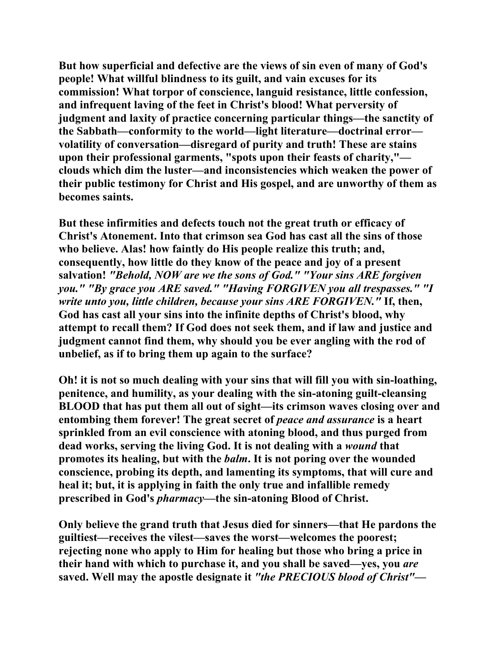**But how superficial and defective are the views of sin even of many of God's people! What willful blindness to its guilt, and vain excuses for its commission! What torpor of conscience, languid resistance, little confession, and infrequent laving of the feet in Christ's blood! What perversity of judgment and laxity of practice concerning particular things—the sanctity of the Sabbath—conformity to the world—light literature—doctrinal error volatility of conversation—disregard of purity and truth! These are stains upon their professional garments, "spots upon their feasts of charity," clouds which dim the luster—and inconsistencies which weaken the power of their public testimony for Christ and His gospel, and are unworthy of them as becomes saints.** 

**But these infirmities and defects touch not the great truth or efficacy of Christ's Atonement. Into that crimson sea God has cast all the sins of those who believe. Alas! how faintly do His people realize this truth; and, consequently, how little do they know of the peace and joy of a present salvation!** *"Behold, NOW are we the sons of God." "Your sins ARE forgiven you." "By grace you ARE saved." "Having FORGIVEN you all trespasses." "I write unto you, little children, because your sins ARE FORGIVEN."* **If, then, God has cast all your sins into the infinite depths of Christ's blood, why attempt to recall them? If God does not seek them, and if law and justice and judgment cannot find them, why should you be ever angling with the rod of unbelief, as if to bring them up again to the surface?** 

**Oh! it is not so much dealing with your sins that will fill you with sin-loathing, penitence, and humility, as your dealing with the sin-atoning guilt-cleansing BLOOD that has put them all out of sight—its crimson waves closing over and entombing them forever! The great secret of** *peace and assurance* **is a heart sprinkled from an evil conscience with atoning blood, and thus purged from dead works, serving the living God. It is not dealing with a** *wound* **that promotes its healing, but with the** *balm***. It is not poring over the wounded conscience, probing its depth, and lamenting its symptoms, that will cure and heal it; but, it is applying in faith the only true and infallible remedy prescribed in God's** *pharmacy***—the sin-atoning Blood of Christ.** 

**Only believe the grand truth that Jesus died for sinners—that He pardons the guiltiest—receives the vilest—saves the worst—welcomes the poorest; rejecting none who apply to Him for healing but those who bring a price in their hand with which to purchase it, and you shall be saved—yes, you** *are*  **saved. Well may the apostle designate it** *"the PRECIOUS blood of Christ"***—**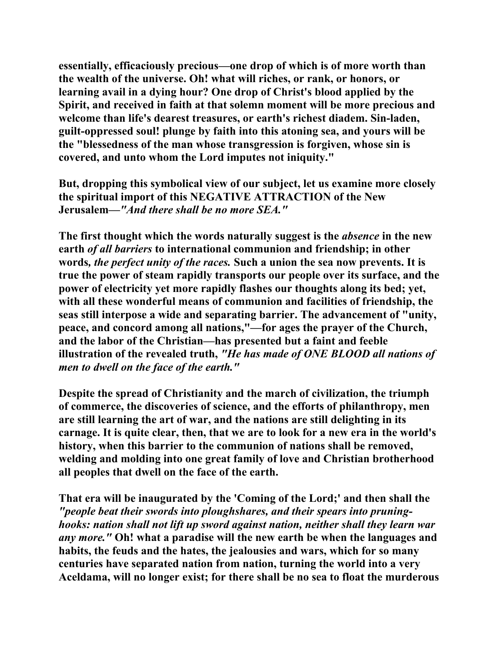**essentially, efficaciously precious—one drop of which is of more worth than the wealth of the universe. Oh! what will riches, or rank, or honors, or learning avail in a dying hour? One drop of Christ's blood applied by the Spirit, and received in faith at that solemn moment will be more precious and welcome than life's dearest treasures, or earth's richest diadem. Sin-laden, guilt-oppressed soul! plunge by faith into this atoning sea, and yours will be the "blessedness of the man whose transgression is forgiven, whose sin is covered, and unto whom the Lord imputes not iniquity."** 

**But, dropping this symbolical view of our subject, let us examine more closely the spiritual import of this NEGATIVE ATTRACTION of the New Jerusalem—***"And there shall be no more SEA."*

**The first thought which the words naturally suggest is the** *absence* **in the new earth** *of all barriers* **to international communion and friendship; in other words***, the perfect unity of the races.* **Such a union the sea now prevents. It is true the power of steam rapidly transports our people over its surface, and the power of electricity yet more rapidly flashes our thoughts along its bed; yet, with all these wonderful means of communion and facilities of friendship, the seas still interpose a wide and separating barrier. The advancement of "unity, peace, and concord among all nations,"—for ages the prayer of the Church, and the labor of the Christian—has presented but a faint and feeble illustration of the revealed truth,** *"He has made of ONE BLOOD all nations of men to dwell on the face of the earth."* 

**Despite the spread of Christianity and the march of civilization, the triumph of commerce, the discoveries of science, and the efforts of philanthropy, men are still learning the art of war, and the nations are still delighting in its carnage. It is quite clear, then, that we are to look for a new era in the world's history, when this barrier to the communion of nations shall be removed, welding and molding into one great family of love and Christian brotherhood all peoples that dwell on the face of the earth.** 

**That era will be inaugurated by the 'Coming of the Lord;' and then shall the**  *"people beat their swords into ploughshares, and their spears into pruninghooks: nation shall not lift up sword against nation, neither shall they learn war any more."* **Oh! what a paradise will the new earth be when the languages and habits, the feuds and the hates, the jealousies and wars, which for so many centuries have separated nation from nation, turning the world into a very Aceldama, will no longer exist; for there shall be no sea to float the murderous**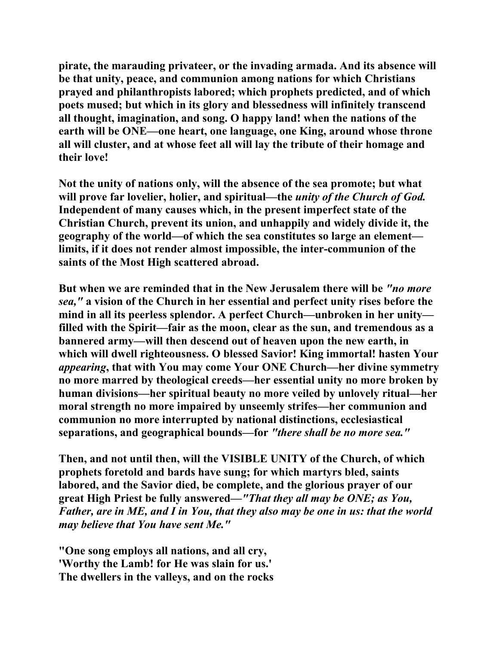**pirate, the marauding privateer, or the invading armada. And its absence will be that unity, peace, and communion among nations for which Christians prayed and philanthropists labored; which prophets predicted, and of which poets mused; but which in its glory and blessedness will infinitely transcend all thought, imagination, and song. O happy land! when the nations of the earth will be ONE—one heart, one language, one King, around whose throne all will cluster, and at whose feet all will lay the tribute of their homage and their love!** 

**Not the unity of nations only, will the absence of the sea promote; but what will prove far lovelier, holier, and spiritual—the** *unity of the Church of God.*  **Independent of many causes which, in the present imperfect state of the Christian Church, prevent its union, and unhappily and widely divide it, the geography of the world—of which the sea constitutes so large an element limits, if it does not render almost impossible, the inter-communion of the saints of the Most High scattered abroad.** 

**But when we are reminded that in the New Jerusalem there will be** *"no more sea,"* **a vision of the Church in her essential and perfect unity rises before the mind in all its peerless splendor. A perfect Church—unbroken in her unity filled with the Spirit—fair as the moon, clear as the sun, and tremendous as a bannered army—will then descend out of heaven upon the new earth, in which will dwell righteousness. O blessed Savior! King immortal! hasten Your**  *appearing***, that with You may come Your ONE Church—her divine symmetry no more marred by theological creeds—her essential unity no more broken by human divisions—her spiritual beauty no more veiled by unlovely ritual—her moral strength no more impaired by unseemly strifes—her communion and communion no more interrupted by national distinctions, ecclesiastical separations, and geographical bounds—for** *"there shall be no more sea."* 

**Then, and not until then, will the VISIBLE UNITY of the Church, of which prophets foretold and bards have sung; for which martyrs bled, saints labored, and the Savior died, be complete, and the glorious prayer of our great High Priest be fully answered—***"That they all may be ONE; as You, Father, are in ME, and I in You, that they also may be one in us: that the world may believe that You have sent Me."*

**"One song employs all nations, and all cry, 'Worthy the Lamb! for He was slain for us.' The dwellers in the valleys, and on the rocks**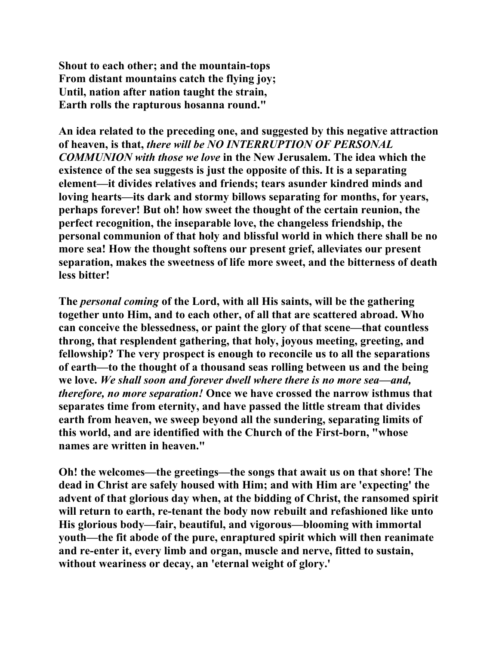**Shout to each other; and the mountain-tops From distant mountains catch the flying joy; Until, nation after nation taught the strain, Earth rolls the rapturous hosanna round."** 

**An idea related to the preceding one, and suggested by this negative attraction of heaven, is that,** *there will be NO INTERRUPTION OF PERSONAL COMMUNION with those we love* **in the New Jerusalem. The idea which the existence of the sea suggests is just the opposite of this. It is a separating element—it divides relatives and friends; tears asunder kindred minds and loving hearts—its dark and stormy billows separating for months, for years, perhaps forever! But oh! how sweet the thought of the certain reunion, the perfect recognition, the inseparable love, the changeless friendship, the personal communion of that holy and blissful world in which there shall be no more sea! How the thought softens our present grief, alleviates our present separation, makes the sweetness of life more sweet, and the bitterness of death less bitter!** 

**The** *personal coming* **of the Lord, with all His saints, will be the gathering together unto Him, and to each other, of all that are scattered abroad. Who can conceive the blessedness, or paint the glory of that scene—that countless throng, that resplendent gathering, that holy, joyous meeting, greeting, and fellowship? The very prospect is enough to reconcile us to all the separations of earth—to the thought of a thousand seas rolling between us and the being we love.** *We shall soon and forever dwell where there is no more sea—and, therefore, no more separation!* **Once we have crossed the narrow isthmus that separates time from eternity, and have passed the little stream that divides earth from heaven, we sweep beyond all the sundering, separating limits of this world, and are identified with the Church of the First-born, "whose names are written in heaven."** 

**Oh! the welcomes—the greetings—the songs that await us on that shore! The dead in Christ are safely housed with Him; and with Him are 'expecting' the advent of that glorious day when, at the bidding of Christ, the ransomed spirit will return to earth, re-tenant the body now rebuilt and refashioned like unto His glorious body—fair, beautiful, and vigorous—blooming with immortal youth—the fit abode of the pure, enraptured spirit which will then reanimate and re-enter it, every limb and organ, muscle and nerve, fitted to sustain, without weariness or decay, an 'eternal weight of glory.'**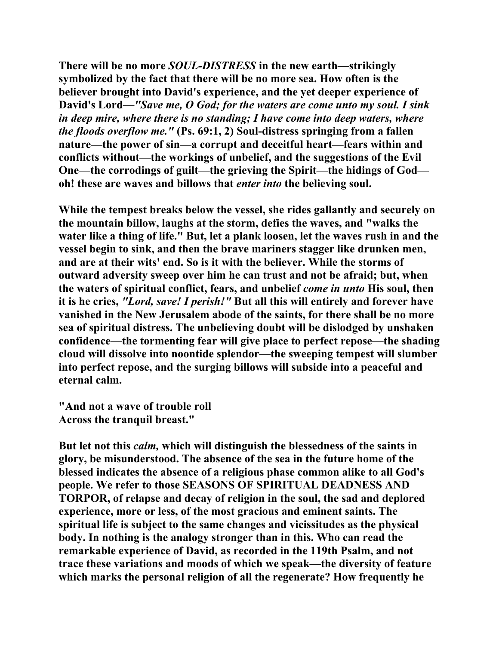**There will be no more** *SOUL-DISTRESS* **in the new earth—strikingly symbolized by the fact that there will be no more sea. How often is the believer brought into David's experience, and the yet deeper experience of David's Lord—***"Save me, O God; for the waters are come unto my soul. I sink in deep mire, where there is no standing; I have come into deep waters, where the floods overflow me."* **(Ps. 69:1, 2) Soul-distress springing from a fallen nature—the power of sin—a corrupt and deceitful heart—fears within and conflicts without—the workings of unbelief, and the suggestions of the Evil One—the corrodings of guilt—the grieving the Spirit—the hidings of God oh! these are waves and billows that** *enter into* **the believing soul.** 

**While the tempest breaks below the vessel, she rides gallantly and securely on the mountain billow, laughs at the storm, defies the waves, and "walks the water like a thing of life." But, let a plank loosen, let the waves rush in and the vessel begin to sink, and then the brave mariners stagger like drunken men, and are at their wits' end. So is it with the believer. While the storms of outward adversity sweep over him he can trust and not be afraid; but, when the waters of spiritual conflict, fears, and unbelief** *come in unto* **His soul, then it is he cries,** *"Lord, save! I perish!"* **But all this will entirely and forever have vanished in the New Jerusalem abode of the saints, for there shall be no more sea of spiritual distress. The unbelieving doubt will be dislodged by unshaken confidence—the tormenting fear will give place to perfect repose—the shading cloud will dissolve into noontide splendor—the sweeping tempest will slumber into perfect repose, and the surging billows will subside into a peaceful and eternal calm.** 

**"And not a wave of trouble roll Across the tranquil breast."** 

**But let not this** *calm,* **which will distinguish the blessedness of the saints in glory, be misunderstood. The absence of the sea in the future home of the blessed indicates the absence of a religious phase common alike to all God's people. We refer to those SEASONS OF SPIRITUAL DEADNESS AND TORPOR, of relapse and decay of religion in the soul, the sad and deplored experience, more or less, of the most gracious and eminent saints. The spiritual life is subject to the same changes and vicissitudes as the physical body. In nothing is the analogy stronger than in this. Who can read the remarkable experience of David, as recorded in the 119th Psalm, and not trace these variations and moods of which we speak—the diversity of feature which marks the personal religion of all the regenerate? How frequently he**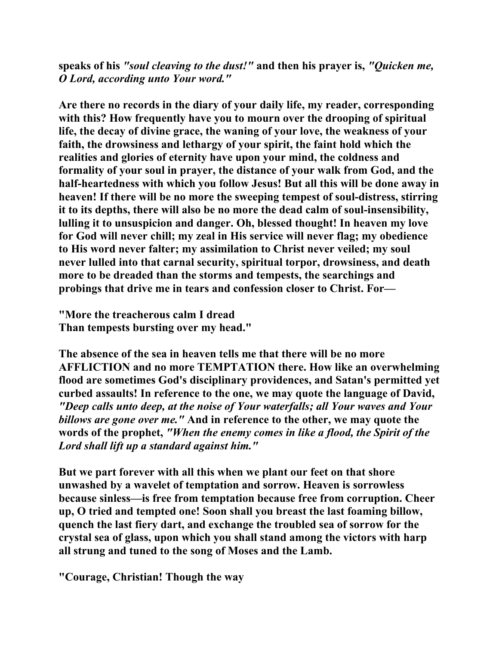**speaks of his** *"soul cleaving to the dust!"* **and then his prayer is,** *"Quicken me, O Lord, according unto Your word."* 

**Are there no records in the diary of your daily life, my reader, corresponding with this? How frequently have you to mourn over the drooping of spiritual life, the decay of divine grace, the waning of your love, the weakness of your faith, the drowsiness and lethargy of your spirit, the faint hold which the realities and glories of eternity have upon your mind, the coldness and formality of your soul in prayer, the distance of your walk from God, and the half-heartedness with which you follow Jesus! But all this will be done away in heaven! If there will be no more the sweeping tempest of soul-distress, stirring it to its depths, there will also be no more the dead calm of soul-insensibility, lulling it to unsuspicion and danger. Oh, blessed thought! In heaven my love for God will never chill; my zeal in His service will never flag; my obedience to His word never falter; my assimilation to Christ never veiled; my soul never lulled into that carnal security, spiritual torpor, drowsiness, and death more to be dreaded than the storms and tempests, the searchings and probings that drive me in tears and confession closer to Christ. For—** 

**"More the treacherous calm I dread Than tempests bursting over my head."** 

**The absence of the sea in heaven tells me that there will be no more AFFLICTION and no more TEMPTATION there. How like an overwhelming flood are sometimes God's disciplinary providences, and Satan's permitted yet curbed assaults! In reference to the one, we may quote the language of David,** *"Deep calls unto deep, at the noise of Your waterfalls; all Your waves and Your billows are gone over me."* **And in reference to the other, we may quote the words of the prophet,** *"When the enemy comes in like a flood, the Spirit of the Lord shall lift up a standard against him."* 

**But we part forever with all this when we plant our feet on that shore unwashed by a wavelet of temptation and sorrow. Heaven is sorrowless because sinless—is free from temptation because free from corruption. Cheer up, O tried and tempted one! Soon shall you breast the last foaming billow, quench the last fiery dart, and exchange the troubled sea of sorrow for the crystal sea of glass, upon which you shall stand among the victors with harp all strung and tuned to the song of Moses and the Lamb.** 

**"Courage, Christian! Though the way**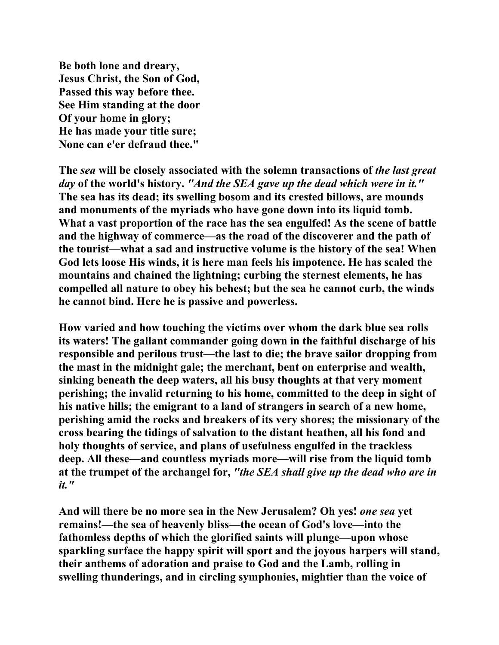**Be both lone and dreary, Jesus Christ, the Son of God, Passed this way before thee. See Him standing at the door Of your home in glory; He has made your title sure; None can e'er defraud thee."** 

**The** *sea* **will be closely associated with the solemn transactions of** *the last great day* **of the world's history.** *"And the SEA gave up the dead which were in it."*  **The sea has its dead; its swelling bosom and its crested billows, are mounds and monuments of the myriads who have gone down into its liquid tomb. What a vast proportion of the race has the sea engulfed! As the scene of battle and the highway of commerce—as the road of the discoverer and the path of the tourist—what a sad and instructive volume is the history of the sea! When God lets loose His winds, it is here man feels his impotence. He has scaled the mountains and chained the lightning; curbing the sternest elements, he has compelled all nature to obey his behest; but the sea he cannot curb, the winds he cannot bind. Here he is passive and powerless.** 

**How varied and how touching the victims over whom the dark blue sea rolls its waters! The gallant commander going down in the faithful discharge of his responsible and perilous trust—the last to die; the brave sailor dropping from the mast in the midnight gale; the merchant, bent on enterprise and wealth, sinking beneath the deep waters, all his busy thoughts at that very moment perishing; the invalid returning to his home, committed to the deep in sight of his native hills; the emigrant to a land of strangers in search of a new home, perishing amid the rocks and breakers of its very shores; the missionary of the cross bearing the tidings of salvation to the distant heathen, all his fond and holy thoughts of service, and plans of usefulness engulfed in the trackless deep. All these—and countless myriads more—will rise from the liquid tomb at the trumpet of the archangel for,** *"the SEA shall give up the dead who are in it."*

**And will there be no more sea in the New Jerusalem? Oh yes!** *one sea* **yet remains!—the sea of heavenly bliss—the ocean of God's love—into the fathomless depths of which the glorified saints will plunge—upon whose sparkling surface the happy spirit will sport and the joyous harpers will stand, their anthems of adoration and praise to God and the Lamb, rolling in swelling thunderings, and in circling symphonies, mightier than the voice of**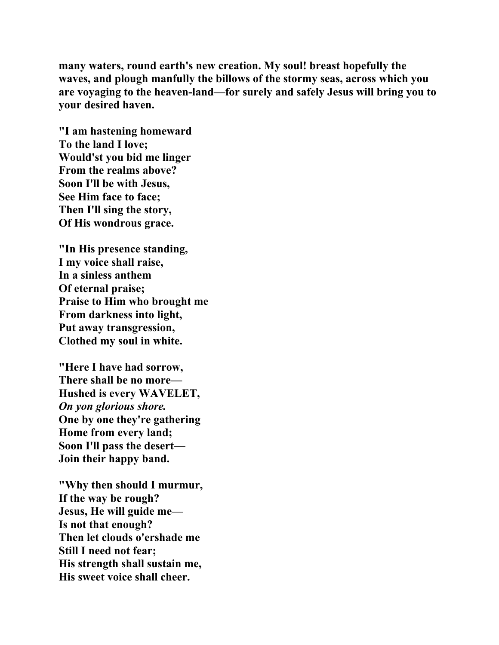**many waters, round earth's new creation. My soul! breast hopefully the waves, and plough manfully the billows of the stormy seas, across which you are voyaging to the heaven-land—for surely and safely Jesus will bring you to your desired haven.** 

**"I am hastening homeward To the land I love; Would'st you bid me linger From the realms above? Soon I'll be with Jesus, See Him face to face; Then I'll sing the story, Of His wondrous grace.** 

**"In His presence standing, I my voice shall raise, In a sinless anthem Of eternal praise; Praise to Him who brought me From darkness into light, Put away transgression, Clothed my soul in white.** 

**"Here I have had sorrow, There shall be no more— Hushed is every WAVELET,**  *On yon glorious shore.*  **One by one they're gathering Home from every land; Soon I'll pass the desert— Join their happy band.** 

**"Why then should I murmur, If the way be rough? Jesus, He will guide me— Is not that enough? Then let clouds o'ershade me Still I need not fear; His strength shall sustain me, His sweet voice shall cheer.**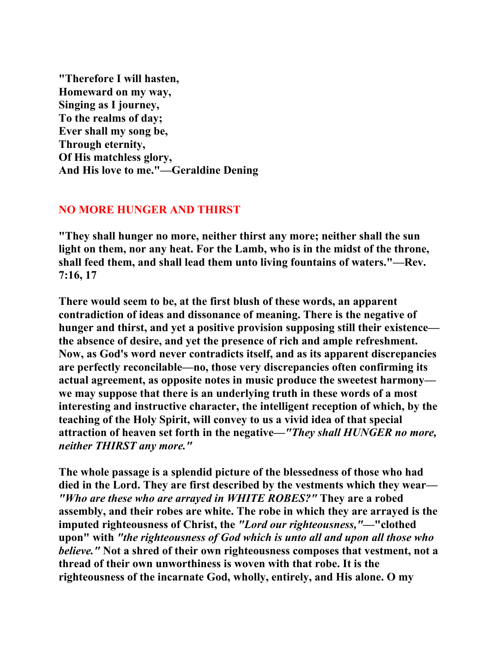**"Therefore I will hasten, Homeward on my way, Singing as I journey, To the realms of day; Ever shall my song be, Through eternity, Of His matchless glory, And His love to me."—Geraldine Dening** 

# **NO MORE HUNGER AND THIRST**

**"They shall hunger no more, neither thirst any more; neither shall the sun light on them, nor any heat. For the Lamb, who is in the midst of the throne, shall feed them, and shall lead them unto living fountains of waters."—Rev. 7:16, 17** 

**There would seem to be, at the first blush of these words, an apparent contradiction of ideas and dissonance of meaning. There is the negative of hunger and thirst, and yet a positive provision supposing still their existence the absence of desire, and yet the presence of rich and ample refreshment. Now, as God's word never contradicts itself, and as its apparent discrepancies are perfectly reconcilable—no, those very discrepancies often confirming its actual agreement, as opposite notes in music produce the sweetest harmony we may suppose that there is an underlying truth in these words of a most interesting and instructive character, the intelligent reception of which, by the teaching of the Holy Spirit, will convey to us a vivid idea of that special attraction of heaven set forth in the negative—***"They shall HUNGER no more, neither THIRST any more."*

**The whole passage is a splendid picture of the blessedness of those who had died in the Lord. They are first described by the vestments which they wear—** *"Who are these who are arrayed in WHITE ROBES?"* **They are a robed assembly, and their robes are white. The robe in which they are arrayed is the imputed righteousness of Christ, the** *"Lord our righteousness,"***—"clothed upon" with** *"the righteousness of God which is unto all and upon all those who believe."* **Not a shred of their own righteousness composes that vestment, not a thread of their own unworthiness is woven with that robe. It is the righteousness of the incarnate God, wholly, entirely, and His alone. O my**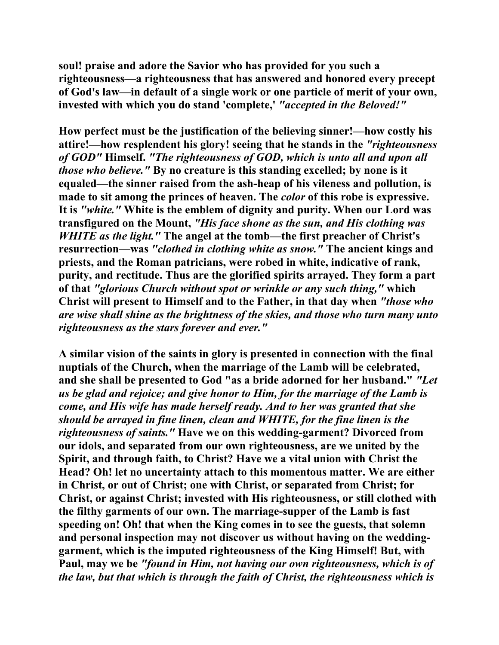**soul! praise and adore the Savior who has provided for you such a righteousness—a righteousness that has answered and honored every precept of God's law—in default of a single work or one particle of merit of your own, invested with which you do stand 'complete,'** *"accepted in the Beloved!"*

**How perfect must be the justification of the believing sinner!—how costly his attire!—how resplendent his glory! seeing that he stands in the** *"righteousness of GOD"* **Himself.** *"The righteousness of GOD, which is unto all and upon all those who believe."* **By no creature is this standing excelled; by none is it equaled—the sinner raised from the ash-heap of his vileness and pollution, is made to sit among the princes of heaven. The** *color* **of this robe is expressive. It is** *"white."* **White is the emblem of dignity and purity. When our Lord was transfigured on the Mount,** *"His face shone as the sun, and His clothing was WHITE as the light."* **The angel at the tomb—the first preacher of Christ's resurrection—was** *"clothed in clothing white as snow."* **The ancient kings and priests, and the Roman patricians, were robed in white, indicative of rank, purity, and rectitude. Thus are the glorified spirits arrayed. They form a part of that** *"glorious Church without spot or wrinkle or any such thing,"* **which Christ will present to Himself and to the Father, in that day when** *"those who are wise shall shine as the brightness of the skies, and those who turn many unto righteousness as the stars forever and ever."* 

**A similar vision of the saints in glory is presented in connection with the final nuptials of the Church, when the marriage of the Lamb will be celebrated, and she shall be presented to God "as a bride adorned for her husband."** *"Let us be glad and rejoice; and give honor to Him, for the marriage of the Lamb is come, and His wife has made herself ready. And to her was granted that she should be arrayed in fine linen, clean and WHITE, for the fine linen is the righteousness of saints."* **Have we on this wedding-garment? Divorced from our idols, and separated from our own righteousness, are we united by the Spirit, and through faith, to Christ? Have we a vital union with Christ the Head? Oh! let no uncertainty attach to this momentous matter. We are either in Christ, or out of Christ; one with Christ, or separated from Christ; for Christ, or against Christ; invested with His righteousness, or still clothed with the filthy garments of our own. The marriage-supper of the Lamb is fast speeding on! Oh! that when the King comes in to see the guests, that solemn and personal inspection may not discover us without having on the weddinggarment, which is the imputed righteousness of the King Himself! But, with Paul, may we be** *"found in Him, not having our own righteousness, which is of the law, but that which is through the faith of Christ, the righteousness which is*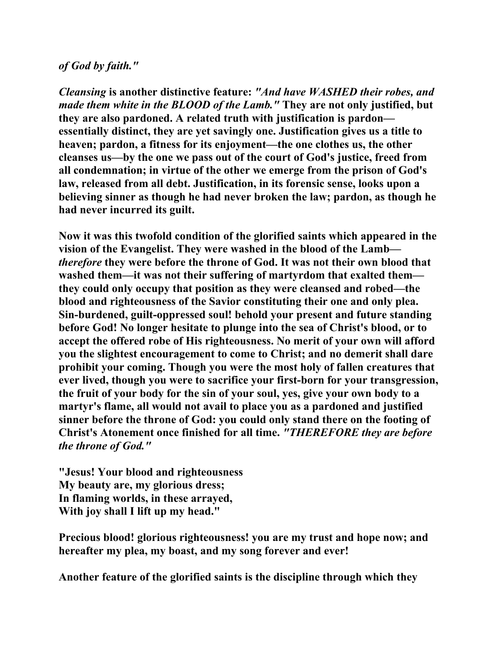### *of God by faith."*

*Cleansing* **is another distinctive feature:** *"And have WASHED their robes, and made them white in the BLOOD of the Lamb."* **They are not only justified, but they are also pardoned. A related truth with justification is pardon essentially distinct, they are yet savingly one. Justification gives us a title to heaven; pardon, a fitness for its enjoyment—the one clothes us, the other cleanses us—by the one we pass out of the court of God's justice, freed from all condemnation; in virtue of the other we emerge from the prison of God's law, released from all debt. Justification, in its forensic sense, looks upon a believing sinner as though he had never broken the law; pardon, as though he had never incurred its guilt.** 

**Now it was this twofold condition of the glorified saints which appeared in the vision of the Evangelist. They were washed in the blood of the Lamb** *therefore* **they were before the throne of God. It was not their own blood that washed them—it was not their suffering of martyrdom that exalted them they could only occupy that position as they were cleansed and robed—the blood and righteousness of the Savior constituting their one and only plea. Sin-burdened, guilt-oppressed soul! behold your present and future standing before God! No longer hesitate to plunge into the sea of Christ's blood, or to accept the offered robe of His righteousness. No merit of your own will afford you the slightest encouragement to come to Christ; and no demerit shall dare prohibit your coming. Though you were the most holy of fallen creatures that ever lived, though you were to sacrifice your first-born for your transgression, the fruit of your body for the sin of your soul, yes, give your own body to a martyr's flame, all would not avail to place you as a pardoned and justified sinner before the throne of God: you could only stand there on the footing of Christ's Atonement once finished for all time.** *"THEREFORE they are before the throne of God."*

**"Jesus! Your blood and righteousness My beauty are, my glorious dress; In flaming worlds, in these arrayed, With joy shall I lift up my head."** 

**Precious blood! glorious righteousness! you are my trust and hope now; and hereafter my plea, my boast, and my song forever and ever!** 

**Another feature of the glorified saints is the discipline through which they**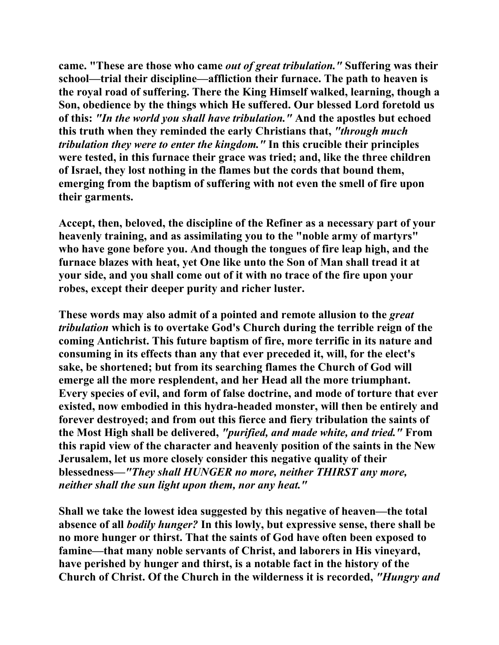**came. "These are those who came** *out of great tribulation."* **Suffering was their school—trial their discipline—affliction their furnace. The path to heaven is the royal road of suffering. There the King Himself walked, learning, though a Son, obedience by the things which He suffered. Our blessed Lord foretold us of this:** *"In the world you shall have tribulation."* **And the apostles but echoed this truth when they reminded the early Christians that,** *"through much tribulation they were to enter the kingdom."* **In this crucible their principles were tested, in this furnace their grace was tried; and, like the three children of Israel, they lost nothing in the flames but the cords that bound them, emerging from the baptism of suffering with not even the smell of fire upon their garments.** 

**Accept, then, beloved, the discipline of the Refiner as a necessary part of your heavenly training, and as assimilating you to the "noble army of martyrs" who have gone before you. And though the tongues of fire leap high, and the furnace blazes with heat, yet One like unto the Son of Man shall tread it at your side, and you shall come out of it with no trace of the fire upon your robes, except their deeper purity and richer luster.** 

**These words may also admit of a pointed and remote allusion to the** *great tribulation* **which is to overtake God's Church during the terrible reign of the coming Antichrist. This future baptism of fire, more terrific in its nature and consuming in its effects than any that ever preceded it, will, for the elect's sake, be shortened; but from its searching flames the Church of God will emerge all the more resplendent, and her Head all the more triumphant. Every species of evil, and form of false doctrine, and mode of torture that ever existed, now embodied in this hydra-headed monster, will then be entirely and forever destroyed; and from out this fierce and fiery tribulation the saints of the Most High shall be delivered,** *"purified, and made white, and tried."* **From this rapid view of the character and heavenly position of the saints in the New Jerusalem, let us more closely consider this negative quality of their blessedness—***"They shall HUNGER no more, neither THIRST any more, neither shall the sun light upon them, nor any heat."*

**Shall we take the lowest idea suggested by this negative of heaven—the total absence of all** *bodily hunger?* **In this lowly, but expressive sense, there shall be no more hunger or thirst. That the saints of God have often been exposed to famine—that many noble servants of Christ, and laborers in His vineyard, have perished by hunger and thirst, is a notable fact in the history of the Church of Christ. Of the Church in the wilderness it is recorded,** *"Hungry and*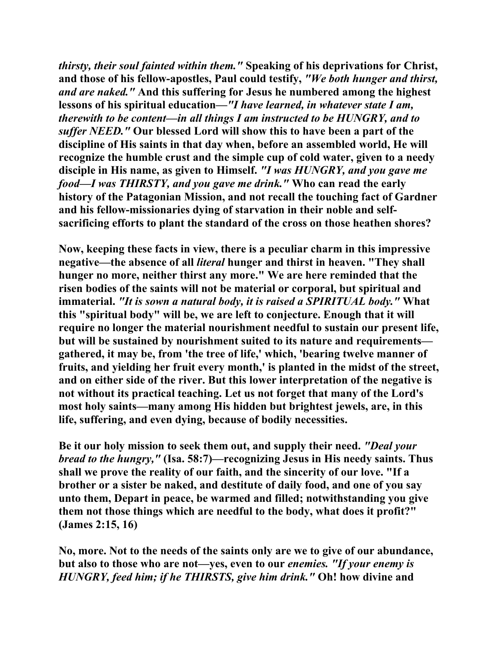*thirsty, their soul fainted within them."* **Speaking of his deprivations for Christ, and those of his fellow-apostles, Paul could testify,** *"We both hunger and thirst, and are naked."* **And this suffering for Jesus he numbered among the highest lessons of his spiritual education—***"I have learned, in whatever state I am, therewith to be content—in all things I am instructed to be HUNGRY, and to suffer NEED."* **Our blessed Lord will show this to have been a part of the discipline of His saints in that day when, before an assembled world, He will recognize the humble crust and the simple cup of cold water, given to a needy disciple in His name, as given to Himself.** *"I was HUNGRY, and you gave me food***—***I was THIRSTY, and you gave me drink."* **Who can read the early history of the Patagonian Mission, and not recall the touching fact of Gardner and his fellow-missionaries dying of starvation in their noble and selfsacrificing efforts to plant the standard of the cross on those heathen shores?** 

**Now, keeping these facts in view, there is a peculiar charm in this impressive negative—the absence of all** *literal* **hunger and thirst in heaven. "They shall hunger no more, neither thirst any more." We are here reminded that the risen bodies of the saints will not be material or corporal, but spiritual and immaterial.** *"It is sown a natural body, it is raised a SPIRITUAL body."* **What this "spiritual body" will be, we are left to conjecture. Enough that it will require no longer the material nourishment needful to sustain our present life, but will be sustained by nourishment suited to its nature and requirements gathered, it may be, from 'the tree of life,' which, 'bearing twelve manner of fruits, and yielding her fruit every month,' is planted in the midst of the street, and on either side of the river. But this lower interpretation of the negative is not without its practical teaching. Let us not forget that many of the Lord's most holy saints—many among His hidden but brightest jewels, are, in this life, suffering, and even dying, because of bodily necessities.** 

**Be it our holy mission to seek them out, and supply their need.** *"Deal your bread to the hungry,"* **(Isa. 58:7)—recognizing Jesus in His needy saints. Thus shall we prove the reality of our faith, and the sincerity of our love. "If a brother or a sister be naked, and destitute of daily food, and one of you say unto them, Depart in peace, be warmed and filled; notwithstanding you give them not those things which are needful to the body, what does it profit?" (James 2:15, 16)** 

**No, more. Not to the needs of the saints only are we to give of our abundance, but also to those who are not—yes, even to our** *enemies. "If your enemy is HUNGRY, feed him; if he THIRSTS, give him drink."* **Oh! how divine and**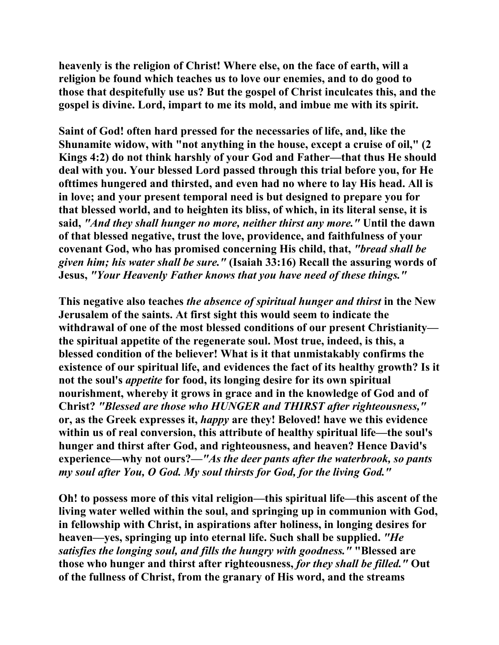**heavenly is the religion of Christ! Where else, on the face of earth, will a religion be found which teaches us to love our enemies, and to do good to those that despitefully use us? But the gospel of Christ inculcates this, and the gospel is divine. Lord, impart to me its mold, and imbue me with its spirit.** 

**Saint of God! often hard pressed for the necessaries of life, and, like the Shunamite widow, with "not anything in the house, except a cruise of oil," (2 Kings 4:2) do not think harshly of your God and Father—that thus He should deal with you. Your blessed Lord passed through this trial before you, for He ofttimes hungered and thirsted, and even had no where to lay His head. All is in love; and your present temporal need is but designed to prepare you for that blessed world, and to heighten its bliss, of which, in its literal sense, it is said,** *"And they shall hunger no more, neither thirst any more."* **Until the dawn of that blessed negative, trust the love, providence, and faithfulness of your covenant God, who has promised concerning His child, that,** *"bread shall be given him; his water shall be sure."* **(Isaiah 33:16) Recall the assuring words of Jesus,** *"Your Heavenly Father knows that you have need of these things."*

**This negative also teaches** *the absence of spiritual hunger and thirst* **in the New Jerusalem of the saints. At first sight this would seem to indicate the withdrawal of one of the most blessed conditions of our present Christianity the spiritual appetite of the regenerate soul. Most true, indeed, is this, a blessed condition of the believer! What is it that unmistakably confirms the existence of our spiritual life, and evidences the fact of its healthy growth? Is it not the soul's** *appetite* **for food, its longing desire for its own spiritual nourishment, whereby it grows in grace and in the knowledge of God and of Christ?** *"Blessed are those who HUNGER and THIRST after righteousness,"*  **or, as the Greek expresses it,** *happy* **are they! Beloved! have we this evidence within us of real conversion, this attribute of healthy spiritual life—the soul's hunger and thirst after God, and righteousness, and heaven? Hence David's experience—why not ours?—***"As the deer pants after the waterbrook, so pants my soul after You, O God. My soul thirsts for God, for the living God."* 

**Oh! to possess more of this vital religion—this spiritual life—this ascent of the living water welled within the soul, and springing up in communion with God, in fellowship with Christ, in aspirations after holiness, in longing desires for heaven—yes, springing up into eternal life. Such shall be supplied.** *"He satisfies the longing soul, and fills the hungry with goodness."* **"Blessed are those who hunger and thirst after righteousness,** *for they shall be filled."* **Out of the fullness of Christ, from the granary of His word, and the streams**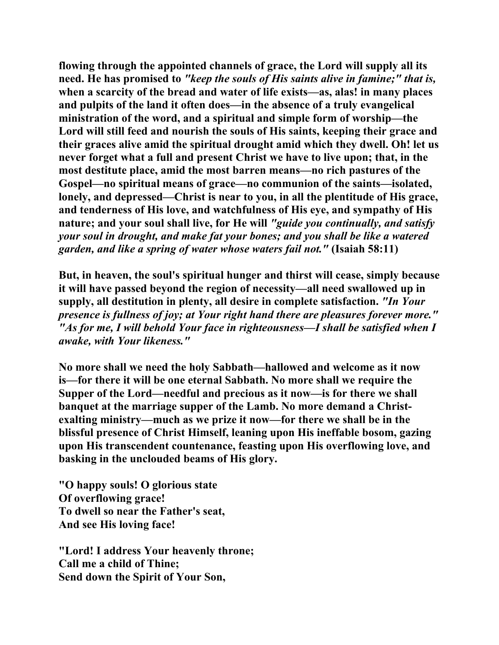**flowing through the appointed channels of grace, the Lord will supply all its need. He has promised to** *"keep the souls of His saints alive in famine;" that is,*  **when a scarcity of the bread and water of life exists—as, alas! in many places and pulpits of the land it often does—in the absence of a truly evangelical ministration of the word, and a spiritual and simple form of worship—the Lord will still feed and nourish the souls of His saints, keeping their grace and their graces alive amid the spiritual drought amid which they dwell. Oh! let us never forget what a full and present Christ we have to live upon; that, in the most destitute place, amid the most barren means—no rich pastures of the Gospel—no spiritual means of grace—no communion of the saints—isolated, lonely, and depressed—Christ is near to you, in all the plentitude of His grace, and tenderness of His love, and watchfulness of His eye, and sympathy of His nature; and your soul shall live, for He will** *"guide you continually, and satisfy your soul in drought, and make fat your bones; and you shall be like a watered garden, and like a spring of water whose waters fail not."* **(Isaiah 58:11)** 

**But, in heaven, the soul's spiritual hunger and thirst will cease, simply because it will have passed beyond the region of necessity—all need swallowed up in supply, all destitution in plenty, all desire in complete satisfaction.** *"In Your presence is fullness of joy; at Your right hand there are pleasures forever more." "As for me, I will behold Your face in righteousness—I shall be satisfied when I awake, with Your likeness."*

**No more shall we need the holy Sabbath—hallowed and welcome as it now is—for there it will be one eternal Sabbath. No more shall we require the Supper of the Lord—needful and precious as it now—is for there we shall banquet at the marriage supper of the Lamb. No more demand a Christexalting ministry—much as we prize it now—for there we shall be in the blissful presence of Christ Himself, leaning upon His ineffable bosom, gazing upon His transcendent countenance, feasting upon His overflowing love, and basking in the unclouded beams of His glory.** 

**"O happy souls! O glorious state Of overflowing grace! To dwell so near the Father's seat, And see His loving face!** 

**"Lord! I address Your heavenly throne; Call me a child of Thine; Send down the Spirit of Your Son,**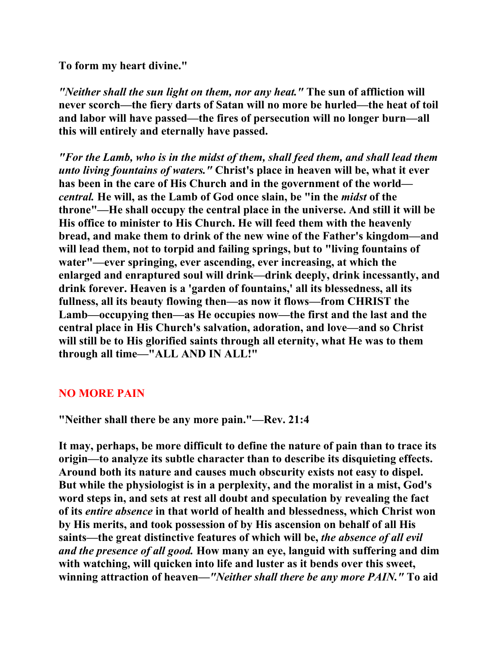**To form my heart divine."** 

*"Neither shall the sun light on them, nor any heat."* **The sun of affliction will never scorch—the fiery darts of Satan will no more be hurled—the heat of toil and labor will have passed—the fires of persecution will no longer burn—all this will entirely and eternally have passed.** 

*"For the Lamb, who is in the midst of them, shall feed them, and shall lead them unto living fountains of waters."* **Christ's place in heaven will be, what it ever has been in the care of His Church and in the government of the world** *central.* **He will, as the Lamb of God once slain, be "in the** *midst* **of the throne"—He shall occupy the central place in the universe. And still it will be His office to minister to His Church. He will feed them with the heavenly bread, and make them to drink of the new wine of the Father's kingdom—and will lead them, not to torpid and failing springs, but to "living fountains of water"—ever springing, ever ascending, ever increasing, at which the enlarged and enraptured soul will drink—drink deeply, drink incessantly, and drink forever. Heaven is a 'garden of fountains,' all its blessedness, all its fullness, all its beauty flowing then—as now it flows—from CHRIST the Lamb—occupying then—as He occupies now—the first and the last and the central place in His Church's salvation, adoration, and love—and so Christ will still be to His glorified saints through all eternity, what He was to them through all time—"ALL AND IN ALL!"** 

## **NO MORE PAIN**

**"Neither shall there be any more pain."—Rev. 21:4** 

**It may, perhaps, be more difficult to define the nature of pain than to trace its origin—to analyze its subtle character than to describe its disquieting effects. Around both its nature and causes much obscurity exists not easy to dispel. But while the physiologist is in a perplexity, and the moralist in a mist, God's word steps in, and sets at rest all doubt and speculation by revealing the fact of its** *entire absence* **in that world of health and blessedness, which Christ won by His merits, and took possession of by His ascension on behalf of all His saints—the great distinctive features of which will be,** *the absence of all evil and the presence of all good.* **How many an eye, languid with suffering and dim with watching, will quicken into life and luster as it bends over this sweet, winning attraction of heaven—***"Neither shall there be any more PAIN."* **To aid**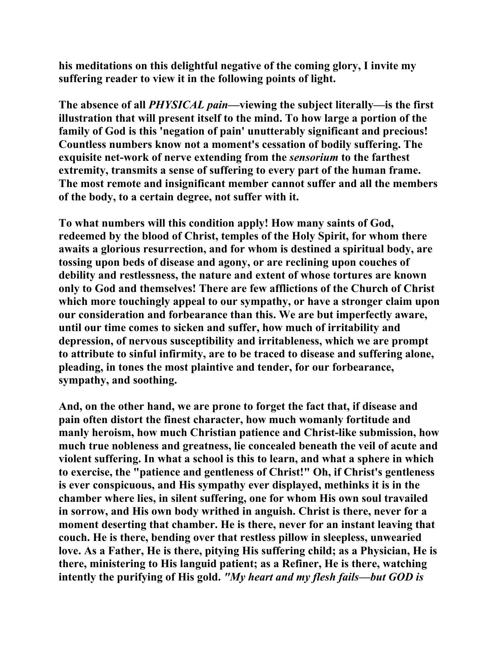**his meditations on this delightful negative of the coming glory, I invite my suffering reader to view it in the following points of light.** 

**The absence of all** *PHYSICAL pain***—viewing the subject literally—is the first illustration that will present itself to the mind. To how large a portion of the family of God is this 'negation of pain' unutterably significant and precious! Countless numbers know not a moment's cessation of bodily suffering. The exquisite net-work of nerve extending from the** *sensorium* **to the farthest extremity, transmits a sense of suffering to every part of the human frame. The most remote and insignificant member cannot suffer and all the members of the body, to a certain degree, not suffer with it.** 

**To what numbers will this condition apply! How many saints of God, redeemed by the blood of Christ, temples of the Holy Spirit, for whom there awaits a glorious resurrection, and for whom is destined a spiritual body, are tossing upon beds of disease and agony, or are reclining upon couches of debility and restlessness, the nature and extent of whose tortures are known only to God and themselves! There are few afflictions of the Church of Christ which more touchingly appeal to our sympathy, or have a stronger claim upon our consideration and forbearance than this. We are but imperfectly aware, until our time comes to sicken and suffer, how much of irritability and depression, of nervous susceptibility and irritableness, which we are prompt to attribute to sinful infirmity, are to be traced to disease and suffering alone, pleading, in tones the most plaintive and tender, for our forbearance, sympathy, and soothing.** 

**And, on the other hand, we are prone to forget the fact that, if disease and pain often distort the finest character, how much womanly fortitude and manly heroism, how much Christian patience and Christ-like submission, how much true nobleness and greatness, lie concealed beneath the veil of acute and violent suffering. In what a school is this to learn, and what a sphere in which to exercise, the "patience and gentleness of Christ!" Oh, if Christ's gentleness is ever conspicuous, and His sympathy ever displayed, methinks it is in the chamber where lies, in silent suffering, one for whom His own soul travailed in sorrow, and His own body writhed in anguish. Christ is there, never for a moment deserting that chamber. He is there, never for an instant leaving that couch. He is there, bending over that restless pillow in sleepless, unwearied love. As a Father, He is there, pitying His suffering child; as a Physician, He is there, ministering to His languid patient; as a Refiner, He is there, watching intently the purifying of His gold.** *"My heart and my flesh fails—but GOD is*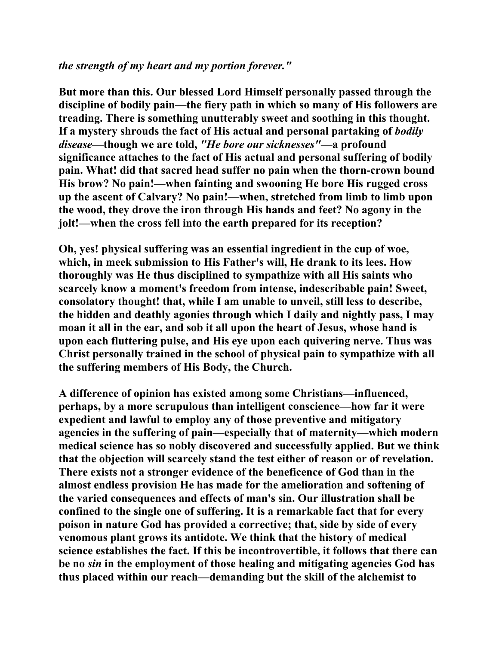### *the strength of my heart and my portion forever."*

**But more than this. Our blessed Lord Himself personally passed through the discipline of bodily pain—the fiery path in which so many of His followers are treading. There is something unutterably sweet and soothing in this thought. If a mystery shrouds the fact of His actual and personal partaking of** *bodily disease***—though we are told,** *"He bore our sicknesses"***—a profound significance attaches to the fact of His actual and personal suffering of bodily pain. What! did that sacred head suffer no pain when the thorn-crown bound His brow? No pain!—when fainting and swooning He bore His rugged cross up the ascent of Calvary? No pain!—when, stretched from limb to limb upon the wood, they drove the iron through His hands and feet? No agony in the jolt!—when the cross fell into the earth prepared for its reception?** 

**Oh, yes! physical suffering was an essential ingredient in the cup of woe, which, in meek submission to His Father's will, He drank to its lees. How thoroughly was He thus disciplined to sympathize with all His saints who scarcely know a moment's freedom from intense, indescribable pain! Sweet, consolatory thought! that, while I am unable to unveil, still less to describe, the hidden and deathly agonies through which I daily and nightly pass, I may moan it all in the ear, and sob it all upon the heart of Jesus, whose hand is upon each fluttering pulse, and His eye upon each quivering nerve. Thus was Christ personally trained in the school of physical pain to sympathize with all the suffering members of His Body, the Church.** 

**A difference of opinion has existed among some Christians—influenced, perhaps, by a more scrupulous than intelligent conscience—how far it were expedient and lawful to employ any of those preventive and mitigatory agencies in the suffering of pain—especially that of maternity—which modern medical science has so nobly discovered and successfully applied. But we think that the objection will scarcely stand the test either of reason or of revelation. There exists not a stronger evidence of the beneficence of God than in the almost endless provision He has made for the amelioration and softening of the varied consequences and effects of man's sin. Our illustration shall be confined to the single one of suffering. It is a remarkable fact that for every poison in nature God has provided a corrective; that, side by side of every venomous plant grows its antidote. We think that the history of medical science establishes the fact. If this be incontrovertible, it follows that there can be no** *sin* **in the employment of those healing and mitigating agencies God has thus placed within our reach—demanding but the skill of the alchemist to**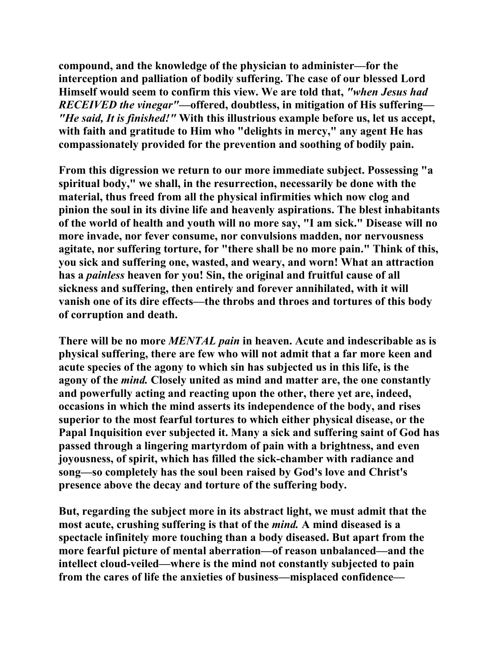**compound, and the knowledge of the physician to administer—for the interception and palliation of bodily suffering. The case of our blessed Lord Himself would seem to confirm this view. We are told that,** *"when Jesus had RECEIVED the vinegar"***—offered, doubtless, in mitigation of His suffering—** *"He said, It is finished!"* **With this illustrious example before us, let us accept, with faith and gratitude to Him who "delights in mercy," any agent He has compassionately provided for the prevention and soothing of bodily pain.** 

**From this digression we return to our more immediate subject. Possessing "a spiritual body," we shall, in the resurrection, necessarily be done with the material, thus freed from all the physical infirmities which now clog and pinion the soul in its divine life and heavenly aspirations. The blest inhabitants of the world of health and youth will no more say, "I am sick." Disease will no more invade, nor fever consume, nor convulsions madden, nor nervousness agitate, nor suffering torture, for "there shall be no more pain." Think of this, you sick and suffering one, wasted, and weary, and worn! What an attraction has a** *painless* **heaven for you! Sin, the original and fruitful cause of all sickness and suffering, then entirely and forever annihilated, with it will vanish one of its dire effects—the throbs and throes and tortures of this body of corruption and death.** 

**There will be no more** *MENTAL pain* **in heaven. Acute and indescribable as is physical suffering, there are few who will not admit that a far more keen and acute species of the agony to which sin has subjected us in this life, is the agony of the** *mind.* **Closely united as mind and matter are, the one constantly and powerfully acting and reacting upon the other, there yet are, indeed, occasions in which the mind asserts its independence of the body, and rises superior to the most fearful tortures to which either physical disease, or the Papal Inquisition ever subjected it. Many a sick and suffering saint of God has passed through a lingering martyrdom of pain with a brightness, and even joyousness, of spirit, which has filled the sick-chamber with radiance and song—so completely has the soul been raised by God's love and Christ's presence above the decay and torture of the suffering body.** 

**But, regarding the subject more in its abstract light, we must admit that the most acute, crushing suffering is that of the** *mind.* **A mind diseased is a spectacle infinitely more touching than a body diseased. But apart from the more fearful picture of mental aberration—of reason unbalanced—and the intellect cloud-veiled—where is the mind not constantly subjected to pain from the cares of life the anxieties of business—misplaced confidence—**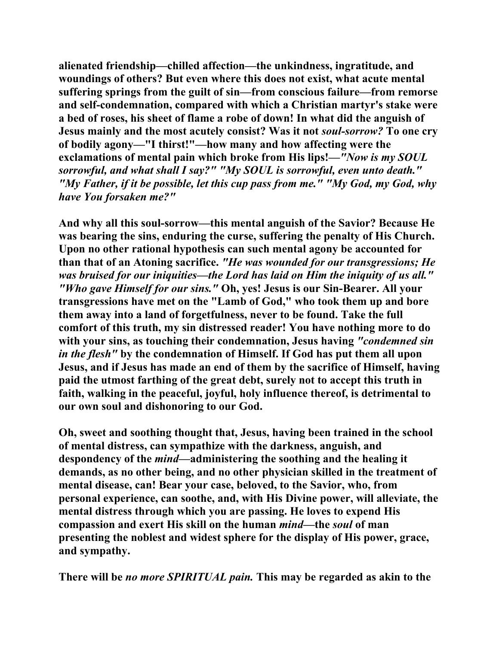**alienated friendship—chilled affection—the unkindness, ingratitude, and woundings of others? But even where this does not exist, what acute mental suffering springs from the guilt of sin—from conscious failure—from remorse and self-condemnation, compared with which a Christian martyr's stake were a bed of roses, his sheet of flame a robe of down! In what did the anguish of Jesus mainly and the most acutely consist? Was it not** *soul-sorrow?* **To one cry of bodily agony—"I thirst!"—how many and how affecting were the exclamations of mental pain which broke from His lips!—***"Now is my SOUL sorrowful, and what shall I say?" "My SOUL is sorrowful, even unto death." "My Father, if it be possible, let this cup pass from me." "My God, my God, why have You forsaken me?"* 

**And why all this soul-sorrow—this mental anguish of the Savior? Because He was bearing the sins, enduring the curse, suffering the penalty of His Church. Upon no other rational hypothesis can such mental agony be accounted for than that of an Atoning sacrifice.** *"He was wounded for our transgressions; He was bruised for our iniquities—the Lord has laid on Him the iniquity of us all." "Who gave Himself for our sins."* **Oh, yes! Jesus is our Sin-Bearer. All your transgressions have met on the "Lamb of God," who took them up and bore them away into a land of forgetfulness, never to be found. Take the full comfort of this truth, my sin distressed reader! You have nothing more to do with your sins, as touching their condemnation, Jesus having** *"condemned sin in the flesh"* **by the condemnation of Himself. If God has put them all upon Jesus, and if Jesus has made an end of them by the sacrifice of Himself, having paid the utmost farthing of the great debt, surely not to accept this truth in faith, walking in the peaceful, joyful, holy influence thereof, is detrimental to our own soul and dishonoring to our God.** 

**Oh, sweet and soothing thought that, Jesus, having been trained in the school of mental distress, can sympathize with the darkness, anguish, and despondency of the** *mind***—administering the soothing and the healing it demands, as no other being, and no other physician skilled in the treatment of mental disease, can! Bear your case, beloved, to the Savior, who, from personal experience, can soothe, and, with His Divine power, will alleviate, the mental distress through which you are passing. He loves to expend His compassion and exert His skill on the human** *mind***—the** *soul* **of man presenting the noblest and widest sphere for the display of His power, grace, and sympathy.** 

**There will be** *no more SPIRITUAL pain.* **This may be regarded as akin to the**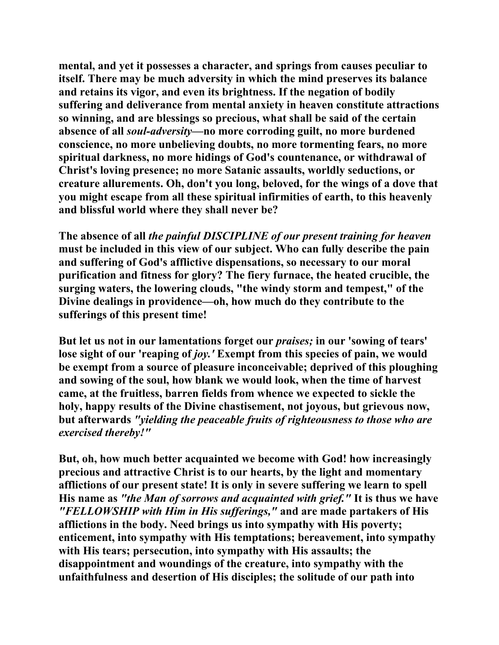**mental, and yet it possesses a character, and springs from causes peculiar to itself. There may be much adversity in which the mind preserves its balance and retains its vigor, and even its brightness. If the negation of bodily suffering and deliverance from mental anxiety in heaven constitute attractions so winning, and are blessings so precious, what shall be said of the certain absence of all** *soul-adversity***—no more corroding guilt, no more burdened conscience, no more unbelieving doubts, no more tormenting fears, no more spiritual darkness, no more hidings of God's countenance, or withdrawal of Christ's loving presence; no more Satanic assaults, worldly seductions, or creature allurements. Oh, don't you long, beloved, for the wings of a dove that you might escape from all these spiritual infirmities of earth, to this heavenly and blissful world where they shall never be?** 

**The absence of all** *the painful DISCIPLINE of our present training for heaven*  **must be included in this view of our subject. Who can fully describe the pain and suffering of God's afflictive dispensations, so necessary to our moral purification and fitness for glory? The fiery furnace, the heated crucible, the surging waters, the lowering clouds, "the windy storm and tempest," of the Divine dealings in providence—oh, how much do they contribute to the sufferings of this present time!** 

**But let us not in our lamentations forget our** *praises;* **in our 'sowing of tears' lose sight of our 'reaping of** *joy.'* **Exempt from this species of pain, we would be exempt from a source of pleasure inconceivable; deprived of this ploughing and sowing of the soul, how blank we would look, when the time of harvest came, at the fruitless, barren fields from whence we expected to sickle the holy, happy results of the Divine chastisement, not joyous, but grievous now, but afterwards** *"yielding the peaceable fruits of righteousness to those who are exercised thereby!"*

**But, oh, how much better acquainted we become with God! how increasingly precious and attractive Christ is to our hearts, by the light and momentary afflictions of our present state! It is only in severe suffering we learn to spell His name as** *"the Man of sorrows and acquainted with grief."* **It is thus we have**  *"FELLOWSHIP with Him in His sufferings,"* **and are made partakers of His afflictions in the body. Need brings us into sympathy with His poverty; enticement, into sympathy with His temptations; bereavement, into sympathy with His tears; persecution, into sympathy with His assaults; the disappointment and woundings of the creature, into sympathy with the unfaithfulness and desertion of His disciples; the solitude of our path into**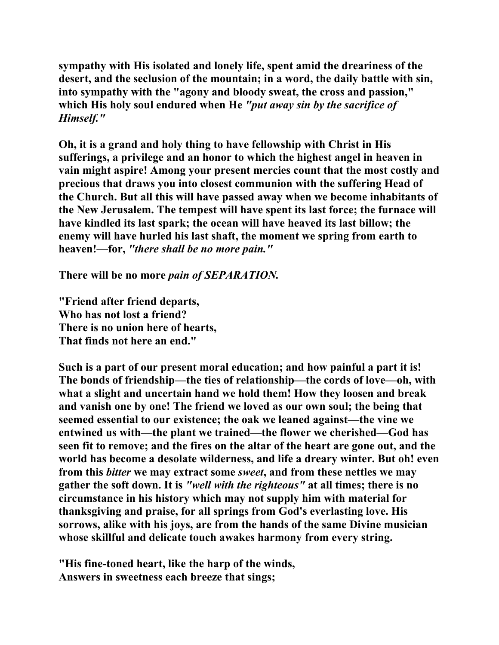**sympathy with His isolated and lonely life, spent amid the dreariness of the desert, and the seclusion of the mountain; in a word, the daily battle with sin, into sympathy with the "agony and bloody sweat, the cross and passion," which His holy soul endured when He** *"put away sin by the sacrifice of Himself."* 

**Oh, it is a grand and holy thing to have fellowship with Christ in His sufferings, a privilege and an honor to which the highest angel in heaven in vain might aspire! Among your present mercies count that the most costly and precious that draws you into closest communion with the suffering Head of the Church. But all this will have passed away when we become inhabitants of the New Jerusalem. The tempest will have spent its last force; the furnace will have kindled its last spark; the ocean will have heaved its last billow; the enemy will have hurled his last shaft, the moment we spring from earth to heaven!—for,** *"there shall be no more pain."* 

**There will be no more** *pain of SEPARATION.* 

**"Friend after friend departs, Who has not lost a friend? There is no union here of hearts, That finds not here an end."** 

**Such is a part of our present moral education; and how painful a part it is! The bonds of friendship—the ties of relationship—the cords of love—oh, with what a slight and uncertain hand we hold them! How they loosen and break and vanish one by one! The friend we loved as our own soul; the being that seemed essential to our existence; the oak we leaned against—the vine we entwined us with—the plant we trained—the flower we cherished—God has seen fit to remove; and the fires on the altar of the heart are gone out, and the world has become a desolate wilderness, and life a dreary winter. But oh! even from this** *bitter* **we may extract some** *sweet***, and from these nettles we may gather the soft down. It is** *"well with the righteous"* **at all times; there is no circumstance in his history which may not supply him with material for thanksgiving and praise, for all springs from God's everlasting love. His sorrows, alike with his joys, are from the hands of the same Divine musician whose skillful and delicate touch awakes harmony from every string.** 

**"His fine-toned heart, like the harp of the winds, Answers in sweetness each breeze that sings;**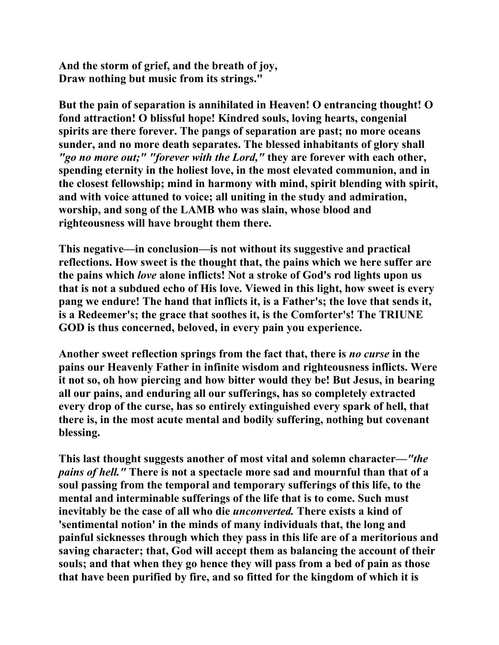**And the storm of grief, and the breath of joy, Draw nothing but music from its strings."** 

**But the pain of separation is annihilated in Heaven! O entrancing thought! O fond attraction! O blissful hope! Kindred souls, loving hearts, congenial spirits are there forever. The pangs of separation are past; no more oceans sunder, and no more death separates. The blessed inhabitants of glory shall**  *"go no more out;" "forever with the Lord,"* **they are forever with each other, spending eternity in the holiest love, in the most elevated communion, and in the closest fellowship; mind in harmony with mind, spirit blending with spirit, and with voice attuned to voice; all uniting in the study and admiration, worship, and song of the LAMB who was slain, whose blood and righteousness will have brought them there.** 

**This negative—in conclusion—is not without its suggestive and practical reflections. How sweet is the thought that, the pains which we here suffer are the pains which** *love* **alone inflicts! Not a stroke of God's rod lights upon us that is not a subdued echo of His love. Viewed in this light, how sweet is every pang we endure! The hand that inflicts it, is a Father's; the love that sends it, is a Redeemer's; the grace that soothes it, is the Comforter's! The TRIUNE GOD is thus concerned, beloved, in every pain you experience.** 

**Another sweet reflection springs from the fact that, there is** *no curse* **in the pains our Heavenly Father in infinite wisdom and righteousness inflicts. Were it not so, oh how piercing and how bitter would they be! But Jesus, in bearing all our pains, and enduring all our sufferings, has so completely extracted every drop of the curse, has so entirely extinguished every spark of hell, that there is, in the most acute mental and bodily suffering, nothing but covenant blessing.** 

**This last thought suggests another of most vital and solemn character—***"the pains of hell."* **There is not a spectacle more sad and mournful than that of a soul passing from the temporal and temporary sufferings of this life, to the mental and interminable sufferings of the life that is to come. Such must inevitably be the case of all who die** *unconverted.* **There exists a kind of 'sentimental notion' in the minds of many individuals that, the long and painful sicknesses through which they pass in this life are of a meritorious and saving character; that, God will accept them as balancing the account of their souls; and that when they go hence they will pass from a bed of pain as those that have been purified by fire, and so fitted for the kingdom of which it is**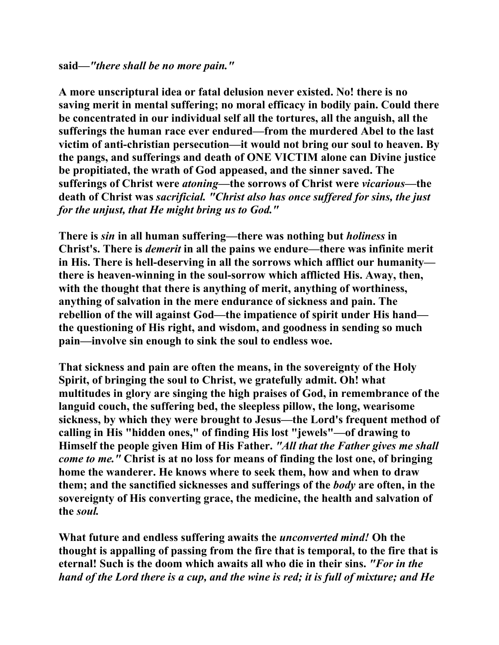**A more unscriptural idea or fatal delusion never existed. No! there is no saving merit in mental suffering; no moral efficacy in bodily pain. Could there be concentrated in our individual self all the tortures, all the anguish, all the sufferings the human race ever endured—from the murdered Abel to the last victim of anti-christian persecution—it would not bring our soul to heaven. By the pangs, and sufferings and death of ONE VICTIM alone can Divine justice be propitiated, the wrath of God appeased, and the sinner saved. The sufferings of Christ were** *atoning***—the sorrows of Christ were** *vicarious***—the death of Christ was** *sacrificial. "Christ also has once suffered for sins, the just for the unjust, that He might bring us to God."* 

**There is** *sin* **in all human suffering—there was nothing but** *holiness* **in Christ's. There is** *demerit* **in all the pains we endure—there was infinite merit in His. There is hell-deserving in all the sorrows which afflict our humanity there is heaven-winning in the soul-sorrow which afflicted His. Away, then, with the thought that there is anything of merit, anything of worthiness, anything of salvation in the mere endurance of sickness and pain. The rebellion of the will against God—the impatience of spirit under His hand the questioning of His right, and wisdom, and goodness in sending so much pain—involve sin enough to sink the soul to endless woe.** 

**That sickness and pain are often the means, in the sovereignty of the Holy Spirit, of bringing the soul to Christ, we gratefully admit. Oh! what multitudes in glory are singing the high praises of God, in remembrance of the languid couch, the suffering bed, the sleepless pillow, the long, wearisome sickness, by which they were brought to Jesus—the Lord's frequent method of calling in His "hidden ones," of finding His lost "jewels"—of drawing to Himself the people given Him of His Father.** *"All that the Father gives me shall come to me."* **Christ is at no loss for means of finding the lost one, of bringing home the wanderer. He knows where to seek them, how and when to draw them; and the sanctified sicknesses and sufferings of the** *body* **are often, in the sovereignty of His converting grace, the medicine, the health and salvation of the** *soul.* 

**What future and endless suffering awaits the** *unconverted mind!* **Oh the thought is appalling of passing from the fire that is temporal, to the fire that is eternal! Such is the doom which awaits all who die in their sins.** *"For in the hand of the Lord there is a cup, and the wine is red; it is full of mixture; and He*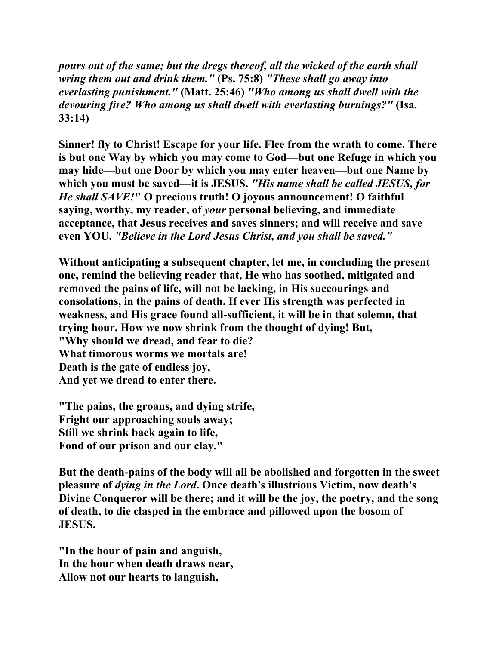*pours out of the same; but the dregs thereof, all the wicked of the earth shall wring them out and drink them."* **(Ps. 75:8)** *"These shall go away into everlasting punishment."* **(Matt. 25:46)** *"Who among us shall dwell with the devouring fire? Who among us shall dwell with everlasting burnings?"* **(Isa. 33:14)** 

**Sinner! fly to Christ! Escape for your life. Flee from the wrath to come. There is but one Way by which you may come to God—but one Refuge in which you may hide—but one Door by which you may enter heaven—but one Name by which you must be saved—it is JESUS.** *"His name shall be called JESUS, for He shall SAVE!***" O precious truth! O joyous announcement! O faithful saying, worthy, my reader, of** *your* **personal believing, and immediate acceptance, that Jesus receives and saves sinners; and will receive and save even YOU.** *"Believe in the Lord Jesus Christ, and you shall be saved."*

**Without anticipating a subsequent chapter, let me, in concluding the present one, remind the believing reader that, He who has soothed, mitigated and removed the pains of life, will not be lacking, in His succourings and consolations, in the pains of death. If ever His strength was perfected in weakness, and His grace found all-sufficient, it will be in that solemn, that trying hour. How we now shrink from the thought of dying! But, "Why should we dread, and fear to die? What timorous worms we mortals are! Death is the gate of endless joy, And yet we dread to enter there.** 

**"The pains, the groans, and dying strife, Fright our approaching souls away; Still we shrink back again to life, Fond of our prison and our clay."** 

**But the death-pains of the body will all be abolished and forgotten in the sweet pleasure of** *dying in the Lord***. Once death's illustrious Victim, now death's Divine Conqueror will be there; and it will be the joy, the poetry, and the song of death, to die clasped in the embrace and pillowed upon the bosom of JESUS.** 

**"In the hour of pain and anguish, In the hour when death draws near, Allow not our hearts to languish,**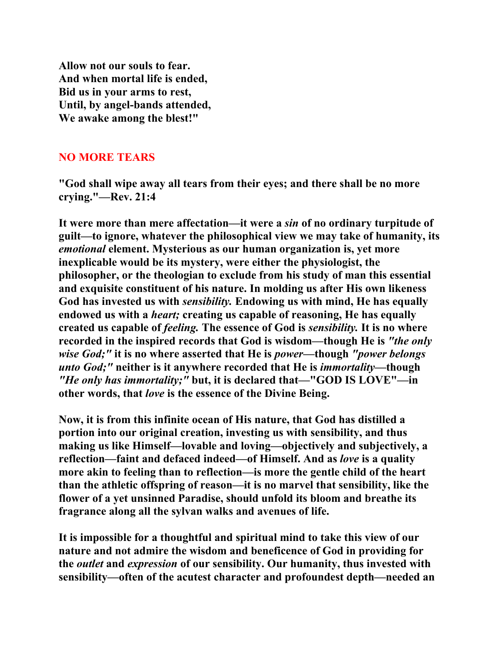**Allow not our souls to fear. And when mortal life is ended, Bid us in your arms to rest, Until, by angel-bands attended, We awake among the blest!"** 

### **NO MORE TEARS**

**"God shall wipe away all tears from their eyes; and there shall be no more crying."—Rev. 21:4** 

**It were more than mere affectation—it were a** *sin* **of no ordinary turpitude of guilt—to ignore, whatever the philosophical view we may take of humanity, its**  *emotional* **element. Mysterious as our human organization is, yet more inexplicable would be its mystery, were either the physiologist, the philosopher, or the theologian to exclude from his study of man this essential and exquisite constituent of his nature. In molding us after His own likeness God has invested us with** *sensibility.* **Endowing us with mind, He has equally endowed us with a** *heart;* **creating us capable of reasoning, He has equally created us capable of** *feeling.* **The essence of God is** *sensibility.* **It is no where recorded in the inspired records that God is wisdom—though He is** *"the only wise God;"* **it is no where asserted that He is** *power***—though** *"power belongs unto God;"* **neither is it anywhere recorded that He is** *immortality***—though**  *"He only has immortality;"* **but, it is declared that—"GOD IS LOVE"—in other words, that** *love* **is the essence of the Divine Being.** 

**Now, it is from this infinite ocean of His nature, that God has distilled a portion into our original creation, investing us with sensibility, and thus making us like Himself—lovable and loving—objectively and subjectively, a reflection—faint and defaced indeed—of Himself. And as** *love* **is a quality more akin to feeling than to reflection—is more the gentle child of the heart than the athletic offspring of reason—it is no marvel that sensibility, like the flower of a yet unsinned Paradise, should unfold its bloom and breathe its fragrance along all the sylvan walks and avenues of life.** 

**It is impossible for a thoughtful and spiritual mind to take this view of our nature and not admire the wisdom and beneficence of God in providing for the** *outlet* **and** *expression* **of our sensibility. Our humanity, thus invested with sensibility—often of the acutest character and profoundest depth—needed an**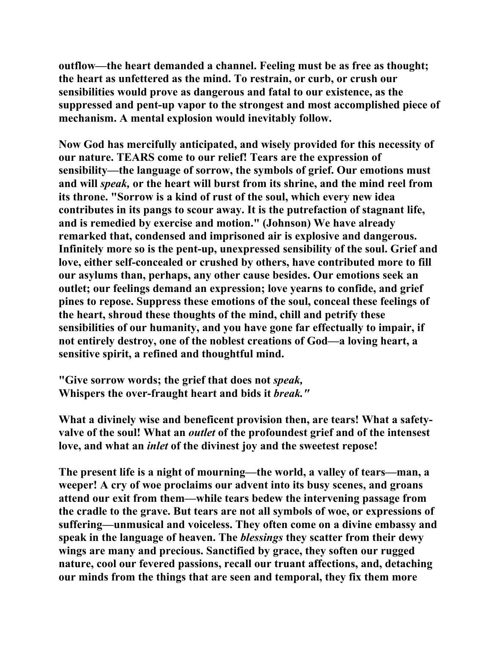**outflow—the heart demanded a channel. Feeling must be as free as thought; the heart as unfettered as the mind. To restrain, or curb, or crush our sensibilities would prove as dangerous and fatal to our existence, as the suppressed and pent-up vapor to the strongest and most accomplished piece of mechanism. A mental explosion would inevitably follow.** 

**Now God has mercifully anticipated, and wisely provided for this necessity of our nature. TEARS come to our relief! Tears are the expression of sensibility—the language of sorrow, the symbols of grief. Our emotions must and will** *speak,* **or the heart will burst from its shrine, and the mind reel from its throne. "Sorrow is a kind of rust of the soul, which every new idea contributes in its pangs to scour away. It is the putrefaction of stagnant life, and is remedied by exercise and motion." (Johnson) We have already remarked that, condensed and imprisoned air is explosive and dangerous. Infinitely more so is the pent-up, unexpressed sensibility of the soul. Grief and love, either self-concealed or crushed by others, have contributed more to fill our asylums than, perhaps, any other cause besides. Our emotions seek an outlet; our feelings demand an expression; love yearns to confide, and grief pines to repose. Suppress these emotions of the soul, conceal these feelings of the heart, shroud these thoughts of the mind, chill and petrify these sensibilities of our humanity, and you have gone far effectually to impair, if not entirely destroy, one of the noblest creations of God—a loving heart, a sensitive spirit, a refined and thoughtful mind.** 

**"Give sorrow words; the grief that does not** *speak,* **Whispers the over-fraught heart and bids it** *break."*

**What a divinely wise and beneficent provision then, are tears! What a safetyvalve of the soul! What an** *outlet* **of the profoundest grief and of the intensest love, and what an** *inlet* **of the divinest joy and the sweetest repose!** 

**The present life is a night of mourning—the world, a valley of tears—man, a weeper! A cry of woe proclaims our advent into its busy scenes, and groans attend our exit from them—while tears bedew the intervening passage from the cradle to the grave. But tears are not all symbols of woe, or expressions of suffering—unmusical and voiceless. They often come on a divine embassy and speak in the language of heaven. The** *blessings* **they scatter from their dewy wings are many and precious. Sanctified by grace, they soften our rugged nature, cool our fevered passions, recall our truant affections, and, detaching our minds from the things that are seen and temporal, they fix them more**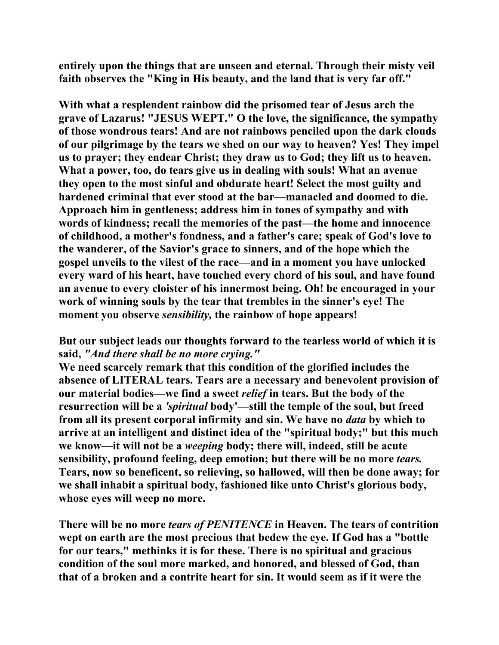**entirely upon the things that are unseen and eternal. Through their misty veil faith observes the "King in His beauty, and the land that is very far off."** 

**With what a resplendent rainbow did the prisomed tear of Jesus arch the grave of Lazarus! "JESUS WEPT." O the love, the significance, the sympathy of those wondrous tears! And are not rainbows penciled upon the dark clouds of our pilgrimage by the tears we shed on our way to heaven? Yes! They impel us to prayer; they endear Christ; they draw us to God; they lift us to heaven. What a power, too, do tears give us in dealing with souls! What an avenue they open to the most sinful and obdurate heart! Select the most guilty and hardened criminal that ever stood at the bar—manacled and doomed to die. Approach him in gentleness; address him in tones of sympathy and with words of kindness; recall the memories of the past—the home and innocence of childhood, a mother's fondness, and a father's care; speak of God's love to the wanderer, of the Savior's grace to sinners, and of the hope which the gospel unveils to the vilest of the race—and in a moment you have unlocked every ward of his heart, have touched every chord of his soul, and have found an avenue to every cloister of his innermost being. Oh! be encouraged in your work of winning souls by the tear that trembles in the sinner's eye! The moment you observe** *sensibility,* **the rainbow of hope appears!** 

**But our subject leads our thoughts forward to the tearless world of which it is said,** *"And there shall be no more crying."*

**We need scarcely remark that this condition of the glorified includes the absence of LITERAL tears. Tears are a necessary and benevolent provision of our material bodies—we find a sweet** *relief* **in tears. But the body of the resurrection will be a** *'spiritual* **body'—still the temple of the soul, but freed from all its present corporal infirmity and sin. We have no** *data* **by which to arrive at an intelligent and distinct idea of the "spiritual body;" but this much we know—it will not be a** *weeping* **body; there will, indeed, still be acute sensibility, profound feeling, deep emotion; but there will be no more** *tears.*  **Tears, now so beneficent, so relieving, so hallowed, will then be done away; for we shall inhabit a spiritual body, fashioned like unto Christ's glorious body, whose eyes will weep no more.** 

**There will be no more** *tears of PENITENCE* **in Heaven. The tears of contrition wept on earth are the most precious that bedew the eye. If God has a "bottle for our tears," methinks it is for these. There is no spiritual and gracious condition of the soul more marked, and honored, and blessed of God, than that of a broken and a contrite heart for sin. It would seem as if it were the**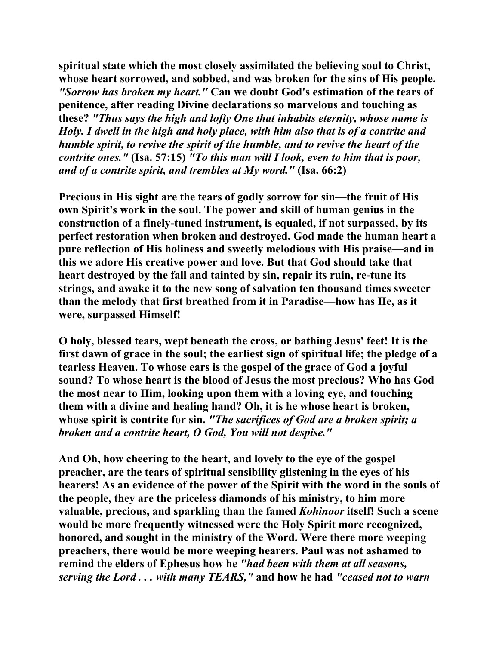**spiritual state which the most closely assimilated the believing soul to Christ, whose heart sorrowed, and sobbed, and was broken for the sins of His people.**  *"Sorrow has broken my heart."* **Can we doubt God's estimation of the tears of penitence, after reading Divine declarations so marvelous and touching as these?** *"Thus says the high and lofty One that inhabits eternity, whose name is Holy. I dwell in the high and holy place, with him also that is of a contrite and humble spirit, to revive the spirit of the humble, and to revive the heart of the contrite ones."* **(Isa. 57:15)** *"To this man will I look, even to him that is poor, and of a contrite spirit, and trembles at My word."* **(Isa. 66:2)** 

**Precious in His sight are the tears of godly sorrow for sin—the fruit of His own Spirit's work in the soul. The power and skill of human genius in the construction of a finely-tuned instrument, is equaled, if not surpassed, by its perfect restoration when broken and destroyed. God made the human heart a pure reflection of His holiness and sweetly melodious with His praise—and in this we adore His creative power and love. But that God should take that heart destroyed by the fall and tainted by sin, repair its ruin, re-tune its strings, and awake it to the new song of salvation ten thousand times sweeter than the melody that first breathed from it in Paradise—how has He, as it were, surpassed Himself!** 

**O holy, blessed tears, wept beneath the cross, or bathing Jesus' feet! It is the first dawn of grace in the soul; the earliest sign of spiritual life; the pledge of a tearless Heaven. To whose ears is the gospel of the grace of God a joyful sound? To whose heart is the blood of Jesus the most precious? Who has God the most near to Him, looking upon them with a loving eye, and touching them with a divine and healing hand? Oh, it is he whose heart is broken, whose spirit is contrite for sin.** *"The sacrifices of God are a broken spirit; a broken and a contrite heart, O God, You will not despise."* 

**And Oh, how cheering to the heart, and lovely to the eye of the gospel preacher, are the tears of spiritual sensibility glistening in the eyes of his hearers! As an evidence of the power of the Spirit with the word in the souls of the people, they are the priceless diamonds of his ministry, to him more valuable, precious, and sparkling than the famed** *Kohinoor* **itself! Such a scene would be more frequently witnessed were the Holy Spirit more recognized, honored, and sought in the ministry of the Word. Were there more weeping preachers, there would be more weeping hearers. Paul was not ashamed to remind the elders of Ephesus how he** *"had been with them at all seasons, serving the Lord . . . with many TEARS,"* **and how he had** *"ceased not to warn*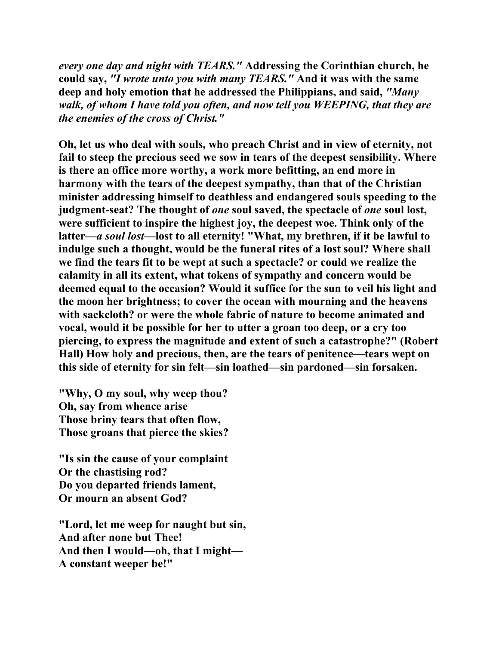*every one day and night with TEARS."* **Addressing the Corinthian church, he could say,** *"I wrote unto you with many TEARS."* **And it was with the same deep and holy emotion that he addressed the Philippians, and said,** *"Many walk, of whom I have told you often, and now tell you WEEPING, that they are the enemies of the cross of Christ."* 

**Oh, let us who deal with souls, who preach Christ and in view of eternity, not fail to steep the precious seed we sow in tears of the deepest sensibility. Where is there an office more worthy, a work more befitting, an end more in harmony with the tears of the deepest sympathy, than that of the Christian minister addressing himself to deathless and endangered souls speeding to the judgment-seat? The thought of** *one* **soul saved, the spectacle of** *one* **soul lost, were sufficient to inspire the highest joy, the deepest woe. Think only of the latter—***a soul lost***—lost to all eternity! "What, my brethren, if it be lawful to indulge such a thought, would be the funeral rites of a lost soul? Where shall we find the tears fit to be wept at such a spectacle? or could we realize the calamity in all its extent, what tokens of sympathy and concern would be deemed equal to the occasion? Would it suffice for the sun to veil his light and the moon her brightness; to cover the ocean with mourning and the heavens with sackcloth? or were the whole fabric of nature to become animated and vocal, would it be possible for her to utter a groan too deep, or a cry too piercing, to express the magnitude and extent of such a catastrophe?" (Robert Hall) How holy and precious, then, are the tears of penitence—tears wept on this side of eternity for sin felt—sin loathed—sin pardoned—sin forsaken.** 

**"Why, O my soul, why weep thou? Oh, say from whence arise Those briny tears that often flow, Those groans that pierce the skies?** 

**"Is sin the cause of your complaint Or the chastising rod? Do you departed friends lament, Or mourn an absent God?** 

**"Lord, let me weep for naught but sin, And after none but Thee! And then I would—oh, that I might— A constant weeper be!"**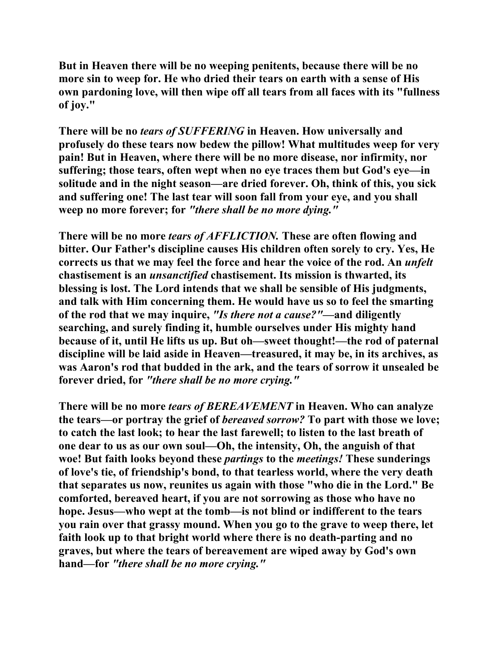**But in Heaven there will be no weeping penitents, because there will be no more sin to weep for. He who dried their tears on earth with a sense of His own pardoning love, will then wipe off all tears from all faces with its "fullness of joy."** 

**There will be no** *tears of SUFFERING* **in Heaven. How universally and profusely do these tears now bedew the pillow! What multitudes weep for very pain! But in Heaven, where there will be no more disease, nor infirmity, nor suffering; those tears, often wept when no eye traces them but God's eye—in solitude and in the night season—are dried forever. Oh, think of this, you sick and suffering one! The last tear will soon fall from your eye, and you shall weep no more forever; for** *"there shall be no more dying."*

**There will be no more** *tears of AFFLICTION.* **These are often flowing and bitter. Our Father's discipline causes His children often sorely to cry. Yes, He corrects us that we may feel the force and hear the voice of the rod. An** *unfelt*  **chastisement is an** *unsanctified* **chastisement. Its mission is thwarted, its blessing is lost. The Lord intends that we shall be sensible of His judgments, and talk with Him concerning them. He would have us so to feel the smarting of the rod that we may inquire,** *"Is there not a cause?"***—and diligently searching, and surely finding it, humble ourselves under His mighty hand because of it, until He lifts us up. But oh—sweet thought!—the rod of paternal discipline will be laid aside in Heaven—treasured, it may be, in its archives, as was Aaron's rod that budded in the ark, and the tears of sorrow it unsealed be forever dried, for** *"there shall be no more crying."*

**There will be no more** *tears of BEREAVEMENT* **in Heaven. Who can analyze the tears—or portray the grief of** *bereaved sorrow?* **To part with those we love; to catch the last look; to hear the last farewell; to listen to the last breath of one dear to us as our own soul—Oh, the intensity, Oh, the anguish of that woe! But faith looks beyond these** *partings* **to the** *meetings!* **These sunderings of love's tie, of friendship's bond, to that tearless world, where the very death that separates us now, reunites us again with those "who die in the Lord." Be comforted, bereaved heart, if you are not sorrowing as those who have no hope. Jesus—who wept at the tomb—is not blind or indifferent to the tears you rain over that grassy mound. When you go to the grave to weep there, let faith look up to that bright world where there is no death-parting and no graves, but where the tears of bereavement are wiped away by God's own hand—for** *"there shall be no more crying."*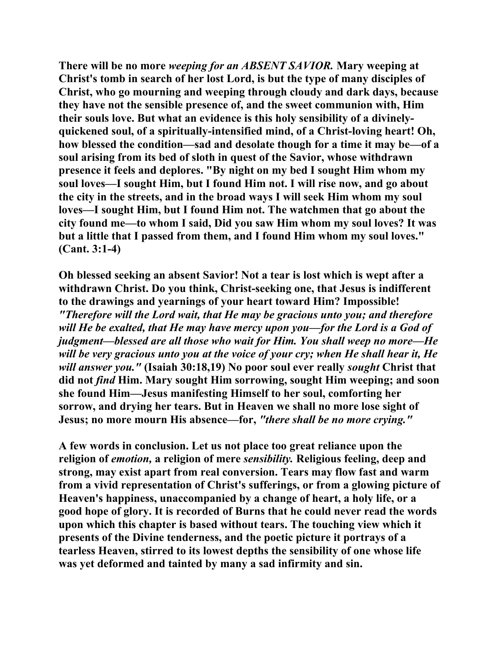**There will be no more** *weeping for an ABSENT SAVIOR.* **Mary weeping at Christ's tomb in search of her lost Lord, is but the type of many disciples of Christ, who go mourning and weeping through cloudy and dark days, because they have not the sensible presence of, and the sweet communion with, Him their souls love. But what an evidence is this holy sensibility of a divinelyquickened soul, of a spiritually-intensified mind, of a Christ-loving heart! Oh, how blessed the condition—sad and desolate though for a time it may be—of a soul arising from its bed of sloth in quest of the Savior, whose withdrawn presence it feels and deplores. "By night on my bed I sought Him whom my soul loves—I sought Him, but I found Him not. I will rise now, and go about the city in the streets, and in the broad ways I will seek Him whom my soul loves—I sought Him, but I found Him not. The watchmen that go about the city found me—to whom I said, Did you saw Him whom my soul loves? It was but a little that I passed from them, and I found Him whom my soul loves." (Cant. 3:1-4)** 

**Oh blessed seeking an absent Savior! Not a tear is lost which is wept after a withdrawn Christ. Do you think, Christ-seeking one, that Jesus is indifferent to the drawings and yearnings of your heart toward Him? Impossible!**  *"Therefore will the Lord wait, that He may be gracious unto you; and therefore will He be exalted, that He may have mercy upon you—for the Lord is a God of judgment—blessed are all those who wait for Him. You shall weep no more—He will be very gracious unto you at the voice of your cry; when He shall hear it, He will answer you."* **(Isaiah 30:18,19) No poor soul ever really** *sought* **Christ that did not** *find* **Him. Mary sought Him sorrowing, sought Him weeping; and soon she found Him—Jesus manifesting Himself to her soul, comforting her sorrow, and drying her tears. But in Heaven we shall no more lose sight of Jesus; no more mourn His absence—for,** *"there shall be no more crying."*

**A few words in conclusion. Let us not place too great reliance upon the religion of** *emotion,* **a religion of mere** *sensibility.* **Religious feeling, deep and strong, may exist apart from real conversion. Tears may flow fast and warm from a vivid representation of Christ's sufferings, or from a glowing picture of Heaven's happiness, unaccompanied by a change of heart, a holy life, or a good hope of glory. It is recorded of Burns that he could never read the words upon which this chapter is based without tears. The touching view which it presents of the Divine tenderness, and the poetic picture it portrays of a tearless Heaven, stirred to its lowest depths the sensibility of one whose life was yet deformed and tainted by many a sad infirmity and sin.**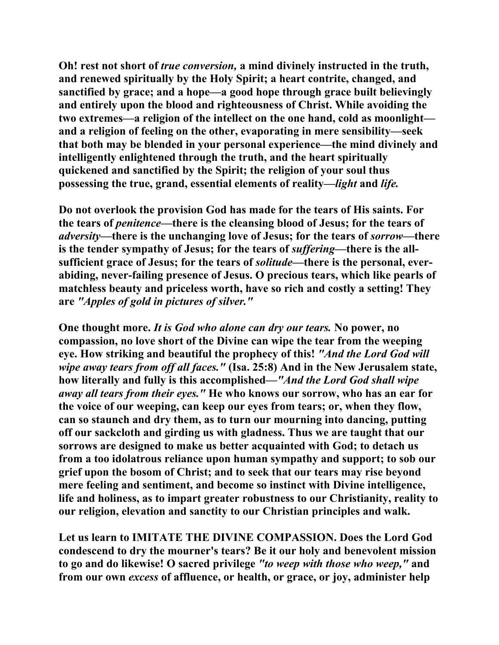**Oh! rest not short of** *true conversion,* **a mind divinely instructed in the truth, and renewed spiritually by the Holy Spirit; a heart contrite, changed, and sanctified by grace; and a hope—a good hope through grace built believingly and entirely upon the blood and righteousness of Christ. While avoiding the two extremes—a religion of the intellect on the one hand, cold as moonlight and a religion of feeling on the other, evaporating in mere sensibility—seek that both may be blended in your personal experience—the mind divinely and intelligently enlightened through the truth, and the heart spiritually quickened and sanctified by the Spirit; the religion of your soul thus possessing the true, grand, essential elements of reality—***light* **and** *life.*

**Do not overlook the provision God has made for the tears of His saints. For the tears of** *penitence***—there is the cleansing blood of Jesus; for the tears of**  *adversity***—there is the unchanging love of Jesus; for the tears of** *sorrow***—there is the tender sympathy of Jesus; for the tears of** *suffering***—there is the allsufficient grace of Jesus; for the tears of** *solitude***—there is the personal, everabiding, never-failing presence of Jesus. O precious tears, which like pearls of matchless beauty and priceless worth, have so rich and costly a setting! They are** *"Apples of gold in pictures of silver."*

**One thought more.** *It is God who alone can dry our tears.* **No power, no compassion, no love short of the Divine can wipe the tear from the weeping eye. How striking and beautiful the prophecy of this!** *"And the Lord God will wipe away tears from off all faces."* **(Isa. 25:8) And in the New Jerusalem state, how literally and fully is this accomplished—***"And the Lord God shall wipe away all tears from their eyes."* **He who knows our sorrow, who has an ear for the voice of our weeping, can keep our eyes from tears; or, when they flow, can so staunch and dry them, as to turn our mourning into dancing, putting off our sackcloth and girding us with gladness. Thus we are taught that our sorrows are designed to make us better acquainted with God; to detach us from a too idolatrous reliance upon human sympathy and support; to sob our grief upon the bosom of Christ; and to seek that our tears may rise beyond mere feeling and sentiment, and become so instinct with Divine intelligence, life and holiness, as to impart greater robustness to our Christianity, reality to our religion, elevation and sanctity to our Christian principles and walk.** 

**Let us learn to IMITATE THE DIVINE COMPASSION. Does the Lord God condescend to dry the mourner's tears? Be it our holy and benevolent mission to go and do likewise! O sacred privilege** *"to weep with those who weep,"* **and from our own** *excess* **of affluence, or health, or grace, or joy, administer help**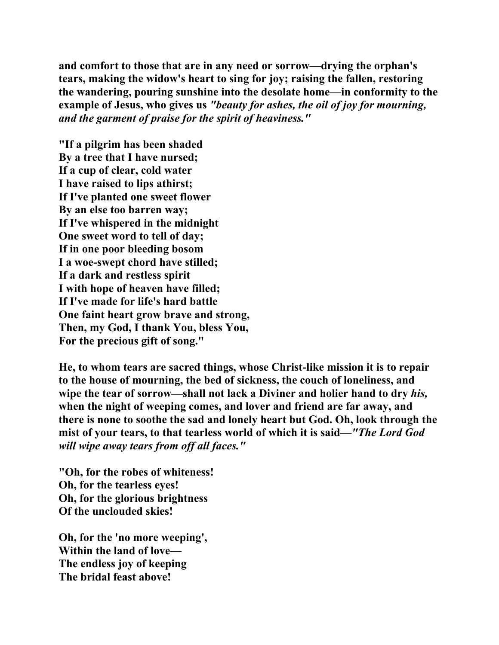**and comfort to those that are in any need or sorrow—drying the orphan's tears, making the widow's heart to sing for joy; raising the fallen, restoring the wandering, pouring sunshine into the desolate home—in conformity to the example of Jesus, who gives us** *"beauty for ashes, the oil of joy for mourning, and the garment of praise for the spirit of heaviness."*

**"If a pilgrim has been shaded By a tree that I have nursed; If a cup of clear, cold water I have raised to lips athirst; If I've planted one sweet flower By an else too barren way; If I've whispered in the midnight One sweet word to tell of day; If in one poor bleeding bosom I a woe-swept chord have stilled; If a dark and restless spirit I with hope of heaven have filled; If I've made for life's hard battle One faint heart grow brave and strong, Then, my God, I thank You, bless You, For the precious gift of song."** 

**He, to whom tears are sacred things, whose Christ-like mission it is to repair to the house of mourning, the bed of sickness, the couch of loneliness, and wipe the tear of sorrow—shall not lack a Diviner and holier hand to dry** *his,*  **when the night of weeping comes, and lover and friend are far away, and there is none to soothe the sad and lonely heart but God. Oh, look through the mist of your tears, to that tearless world of which it is said—***"The Lord God will wipe away tears from off all faces."*

**"Oh, for the robes of whiteness! Oh, for the tearless eyes! Oh, for the glorious brightness Of the unclouded skies!** 

**Oh, for the 'no more weeping', Within the land of love— The endless joy of keeping The bridal feast above!**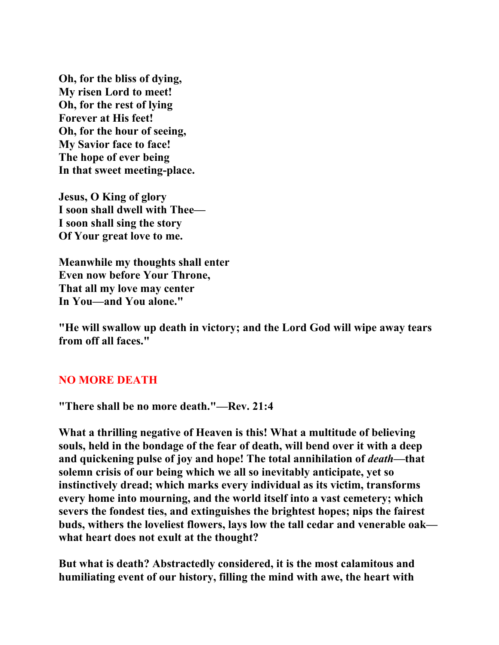**Oh, for the bliss of dying, My risen Lord to meet! Oh, for the rest of lying Forever at His feet! Oh, for the hour of seeing, My Savior face to face! The hope of ever being In that sweet meeting-place.** 

**Jesus, O King of glory I soon shall dwell with Thee— I soon shall sing the story Of Your great love to me.** 

**Meanwhile my thoughts shall enter Even now before Your Throne, That all my love may center In You—and You alone."** 

**"He will swallow up death in victory; and the Lord God will wipe away tears from off all faces."** 

## **NO MORE DEATH**

**"There shall be no more death."—Rev. 21:4** 

**What a thrilling negative of Heaven is this! What a multitude of believing souls, held in the bondage of the fear of death, will bend over it with a deep and quickening pulse of joy and hope! The total annihilation of** *death***—that solemn crisis of our being which we all so inevitably anticipate, yet so instinctively dread; which marks every individual as its victim, transforms every home into mourning, and the world itself into a vast cemetery; which severs the fondest ties, and extinguishes the brightest hopes; nips the fairest buds, withers the loveliest flowers, lays low the tall cedar and venerable oak what heart does not exult at the thought?** 

**But what is death? Abstractedly considered, it is the most calamitous and humiliating event of our history, filling the mind with awe, the heart with**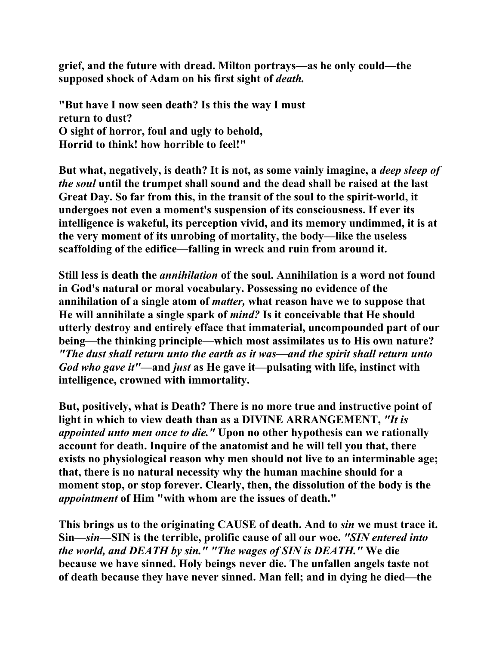**grief, and the future with dread. Milton portrays—as he only could—the supposed shock of Adam on his first sight of** *death.*

**"But have I now seen death? Is this the way I must return to dust? O sight of horror, foul and ugly to behold, Horrid to think! how horrible to feel!"** 

**But what, negatively, is death? It is not, as some vainly imagine, a** *deep sleep of the soul* **until the trumpet shall sound and the dead shall be raised at the last Great Day. So far from this, in the transit of the soul to the spirit-world, it undergoes not even a moment's suspension of its consciousness. If ever its intelligence is wakeful, its perception vivid, and its memory undimmed, it is at the very moment of its unrobing of mortality, the body—like the useless scaffolding of the edifice—falling in wreck and ruin from around it.** 

**Still less is death the** *annihilation* **of the soul. Annihilation is a word not found in God's natural or moral vocabulary. Possessing no evidence of the annihilation of a single atom of** *matter,* **what reason have we to suppose that He will annihilate a single spark of** *mind?* **Is it conceivable that He should utterly destroy and entirely efface that immaterial, uncompounded part of our being—the thinking principle—which most assimilates us to His own nature?**  *"The dust shall return unto the earth as it was—and the spirit shall return unto God who gave it"***—and** *just* **as He gave it—pulsating with life, instinct with intelligence, crowned with immortality.** 

**But, positively, what is Death? There is no more true and instructive point of light in which to view death than as a DIVINE ARRANGEMENT,** *"It is appointed unto men once to die."* **Upon no other hypothesis can we rationally account for death. Inquire of the anatomist and he will tell you that, there exists no physiological reason why men should not live to an interminable age; that, there is no natural necessity why the human machine should for a moment stop, or stop forever. Clearly, then, the dissolution of the body is the**  *appointment* **of Him "with whom are the issues of death."** 

**This brings us to the originating CAUSE of death. And to** *sin* **we must trace it. Sin—***sin***—SIN is the terrible, prolific cause of all our woe.** *"SIN entered into the world, and DEATH by sin." "The wages of SIN is DEATH."* **We die because we have sinned. Holy beings never die. The unfallen angels taste not of death because they have never sinned. Man fell; and in dying he died—the**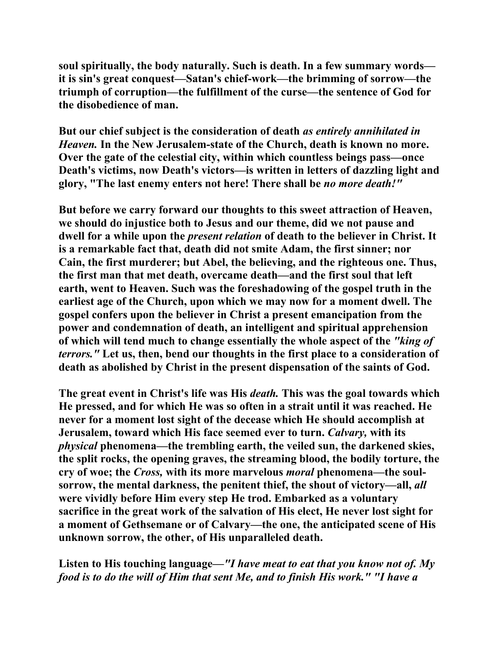**soul spiritually, the body naturally. Such is death. In a few summary words it is sin's great conquest—Satan's chief-work—the brimming of sorrow—the triumph of corruption—the fulfillment of the curse—the sentence of God for the disobedience of man.** 

**But our chief subject is the consideration of death** *as entirely annihilated in Heaven.* **In the New Jerusalem-state of the Church, death is known no more. Over the gate of the celestial city, within which countless beings pass—once Death's victims, now Death's victors—is written in letters of dazzling light and glory, "The last enemy enters not here! There shall be** *no more death!"* 

**But before we carry forward our thoughts to this sweet attraction of Heaven, we should do injustice both to Jesus and our theme, did we not pause and dwell for a while upon the** *present relation* **of death to the believer in Christ. It is a remarkable fact that, death did not smite Adam, the first sinner; nor Cain, the first murderer; but Abel, the believing, and the righteous one. Thus, the first man that met death, overcame death—and the first soul that left earth, went to Heaven. Such was the foreshadowing of the gospel truth in the earliest age of the Church, upon which we may now for a moment dwell. The gospel confers upon the believer in Christ a present emancipation from the power and condemnation of death, an intelligent and spiritual apprehension of which will tend much to change essentially the whole aspect of the** *"king of terrors."* **Let us, then, bend our thoughts in the first place to a consideration of death as abolished by Christ in the present dispensation of the saints of God.** 

**The great event in Christ's life was His** *death.* **This was the goal towards which He pressed, and for which He was so often in a strait until it was reached. He never for a moment lost sight of the decease which He should accomplish at Jerusalem, toward which His face seemed ever to turn.** *Calvary,* **with its**  *physical* **phenomena—the trembling earth, the veiled sun, the darkened skies, the split rocks, the opening graves, the streaming blood, the bodily torture, the cry of woe; the** *Cross,* **with its more marvelous** *moral* **phenomena—the soulsorrow, the mental darkness, the penitent thief, the shout of victory—all,** *all*  **were vividly before Him every step He trod. Embarked as a voluntary sacrifice in the great work of the salvation of His elect, He never lost sight for a moment of Gethsemane or of Calvary—the one, the anticipated scene of His unknown sorrow, the other, of His unparalleled death.** 

**Listen to His touching language—***"I have meat to eat that you know not of. My food is to do the will of Him that sent Me, and to finish His work." "I have a*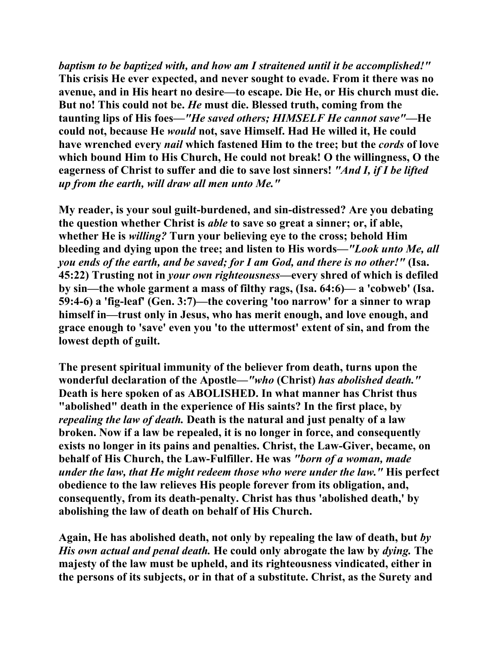*baptism to be baptized with, and how am I straitened until it be accomplished!"*  **This crisis He ever expected, and never sought to evade. From it there was no avenue, and in His heart no desire—to escape. Die He, or His church must die. But no! This could not be.** *He* **must die. Blessed truth, coming from the taunting lips of His foes***—"He saved others; HIMSELF He cannot save"***—He could not, because He** *would* **not, save Himself. Had He willed it, He could have wrenched every** *nail* **which fastened Him to the tree; but the** *cords* **of love which bound Him to His Church, He could not break! O the willingness, O the eagerness of Christ to suffer and die to save lost sinners!** *"And I, if I be lifted up from the earth, will draw all men unto Me."*

**My reader, is your soul guilt-burdened, and sin-distressed? Are you debating the question whether Christ is** *able* **to save so great a sinner; or, if able, whether He is** *willing?* **Turn your believing eye to the cross; behold Him bleeding and dying upon the tree; and listen to His words—***"Look unto Me, all you ends of the earth, and be saved; for I am God, and there is no other!"* **(Isa. 45:22) Trusting not in** *your own righteousness***—every shred of which is defiled by sin—the whole garment a mass of filthy rags, (Isa. 64:6)— a 'cobweb' (Isa. 59:4-6) a 'fig-leaf' (Gen. 3:7)—the covering 'too narrow' for a sinner to wrap himself in—trust only in Jesus, who has merit enough, and love enough, and grace enough to 'save' even you 'to the uttermost' extent of sin, and from the lowest depth of guilt.** 

**The present spiritual immunity of the believer from death, turns upon the wonderful declaration of the Apostle—***"who* **(Christ)** *has abolished death."*  **Death is here spoken of as ABOLISHED. In what manner has Christ thus "abolished" death in the experience of His saints? In the first place, by**  *repealing the law of death.* **Death is the natural and just penalty of a law broken. Now if a law be repealed, it is no longer in force, and consequently exists no longer in its pains and penalties. Christ, the Law-Giver, became, on behalf of His Church, the Law-Fulfiller. He was** *"born of a woman, made under the law, that He might redeem those who were under the law."* **His perfect obedience to the law relieves His people forever from its obligation, and, consequently, from its death-penalty. Christ has thus 'abolished death,' by abolishing the law of death on behalf of His Church.** 

**Again, He has abolished death, not only by repealing the law of death, but** *by His own actual and penal death.* **He could only abrogate the law by** *dying.* **The majesty of the law must be upheld, and its righteousness vindicated, either in the persons of its subjects, or in that of a substitute. Christ, as the Surety and**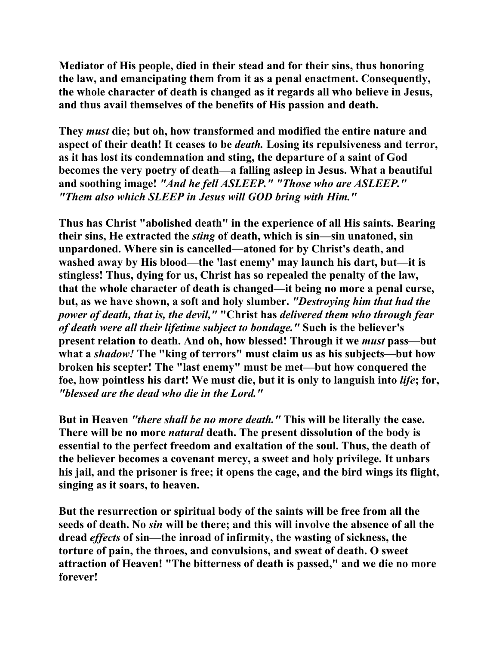**Mediator of His people, died in their stead and for their sins, thus honoring the law, and emancipating them from it as a penal enactment. Consequently, the whole character of death is changed as it regards all who believe in Jesus, and thus avail themselves of the benefits of His passion and death.** 

**They** *must* **die; but oh, how transformed and modified the entire nature and aspect of their death! It ceases to be** *death.* **Losing its repulsiveness and terror, as it has lost its condemnation and sting, the departure of a saint of God becomes the very poetry of death—a falling asleep in Jesus. What a beautiful and soothing image!** *"And he fell ASLEEP." "Those who are ASLEEP." "Them also which SLEEP in Jesus will GOD bring with Him."*

**Thus has Christ "abolished death" in the experience of all His saints. Bearing their sins, He extracted the** *sting* **of death, which is sin—sin unatoned, sin unpardoned. Where sin is cancelled—atoned for by Christ's death, and washed away by His blood—the 'last enemy' may launch his dart, but—it is stingless! Thus, dying for us, Christ has so repealed the penalty of the law, that the whole character of death is changed—it being no more a penal curse, but, as we have shown, a soft and holy slumber.** *"Destroying him that had the power of death, that is, the devil,"* **"Christ has** *delivered them who through fear of death were all their lifetime subject to bondage."* **Such is the believer's present relation to death. And oh, how blessed! Through it we** *must* **pass—but what a** *shadow!* **The "king of terrors" must claim us as his subjects—but how broken his scepter! The "last enemy" must be met—but how conquered the foe, how pointless his dart! We must die, but it is only to languish into** *life***; for,** *"blessed are the dead who die in the Lord."*

**But in Heaven** *"there shall be no more death."* **This will be literally the case. There will be no more** *natural* **death. The present dissolution of the body is essential to the perfect freedom and exaltation of the soul. Thus, the death of the believer becomes a covenant mercy, a sweet and holy privilege. It unbars his jail, and the prisoner is free; it opens the cage, and the bird wings its flight, singing as it soars, to heaven.** 

**But the resurrection or spiritual body of the saints will be free from all the seeds of death. No** *sin* **will be there; and this will involve the absence of all the dread** *effects* **of sin—the inroad of infirmity, the wasting of sickness, the torture of pain, the throes, and convulsions, and sweat of death. O sweet attraction of Heaven! "The bitterness of death is passed," and we die no more forever!**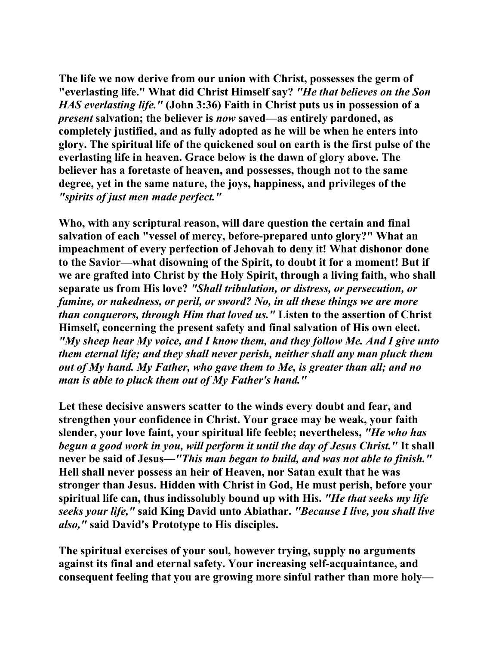**The life we now derive from our union with Christ, possesses the germ of "everlasting life." What did Christ Himself say?** *"He that believes on the Son HAS everlasting life."* **(John 3:36) Faith in Christ puts us in possession of a**  *present* **salvation; the believer is** *now* **saved—as entirely pardoned, as completely justified, and as fully adopted as he will be when he enters into glory. The spiritual life of the quickened soul on earth is the first pulse of the everlasting life in heaven. Grace below is the dawn of glory above. The believer has a foretaste of heaven, and possesses, though not to the same degree, yet in the same nature, the joys, happiness, and privileges of the** *"spirits of just men made perfect."*

**Who, with any scriptural reason, will dare question the certain and final salvation of each "vessel of mercy, before-prepared unto glory?" What an impeachment of every perfection of Jehovah to deny it! What dishonor done to the Savior—what disowning of the Spirit, to doubt it for a moment! But if we are grafted into Christ by the Holy Spirit, through a living faith, who shall separate us from His love?** *"Shall tribulation, or distress, or persecution, or famine, or nakedness, or peril, or sword? No, in all these things we are more than conquerors, through Him that loved us."* **Listen to the assertion of Christ Himself, concerning the present safety and final salvation of His own elect.**  *"My sheep hear My voice, and I know them, and they follow Me. And I give unto them eternal life; and they shall never perish, neither shall any man pluck them out of My hand. My Father, who gave them to Me, is greater than all; and no man is able to pluck them out of My Father's hand."* 

**Let these decisive answers scatter to the winds every doubt and fear, and strengthen your confidence in Christ. Your grace may be weak, your faith slender, your love faint, your spiritual life feeble; nevertheless,** *"He who has begun a good work in you, will perform it until the day of Jesus Christ."* **It shall never be said of Jesus—***"This man began to build, and was not able to finish."*  **Hell shall never possess an heir of Heaven, nor Satan exult that he was stronger than Jesus. Hidden with Christ in God, He must perish, before your spiritual life can, thus indissolubly bound up with His.** *"He that seeks my life seeks your life,"* **said King David unto Abiathar.** *"Because I live, you shall live also,"* **said David's Prototype to His disciples.** 

**The spiritual exercises of your soul, however trying, supply no arguments against its final and eternal safety. Your increasing self-acquaintance, and consequent feeling that you are growing more sinful rather than more holy—**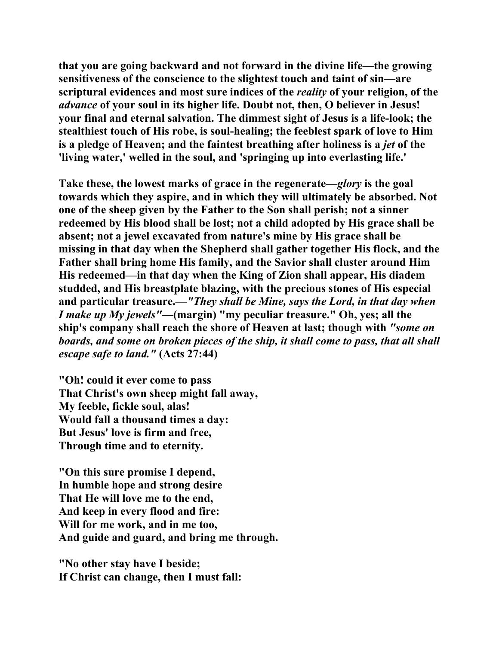**that you are going backward and not forward in the divine life—the growing sensitiveness of the conscience to the slightest touch and taint of sin—are scriptural evidences and most sure indices of the** *reality* **of your religion, of the**  *advance* **of your soul in its higher life. Doubt not, then, O believer in Jesus! your final and eternal salvation. The dimmest sight of Jesus is a life-look; the stealthiest touch of His robe, is soul-healing; the feeblest spark of love to Him is a pledge of Heaven; and the faintest breathing after holiness is a** *jet* **of the 'living water,' welled in the soul, and 'springing up into everlasting life.'** 

**Take these, the lowest marks of grace in the regenerate—***glory* **is the goal towards which they aspire, and in which they will ultimately be absorbed. Not one of the sheep given by the Father to the Son shall perish; not a sinner redeemed by His blood shall be lost; not a child adopted by His grace shall be absent; not a jewel excavated from nature's mine by His grace shall be missing in that day when the Shepherd shall gather together His flock, and the Father shall bring home His family, and the Savior shall cluster around Him His redeemed—in that day when the King of Zion shall appear, His diadem studded, and His breastplate blazing, with the precious stones of His especial and particular treasure.—***"They shall be Mine, says the Lord, in that day when I make up My jewels"***—(margin) "my peculiar treasure." Oh, yes; all the ship's company shall reach the shore of Heaven at last; though with** *"some on boards, and some on broken pieces of the ship, it shall come to pass, that all shall escape safe to land."* **(Acts 27:44)** 

**"Oh! could it ever come to pass That Christ's own sheep might fall away, My feeble, fickle soul, alas! Would fall a thousand times a day: But Jesus' love is firm and free, Through time and to eternity.** 

**"On this sure promise I depend, In humble hope and strong desire That He will love me to the end, And keep in every flood and fire: Will for me work, and in me too, And guide and guard, and bring me through.** 

**"No other stay have I beside; If Christ can change, then I must fall:**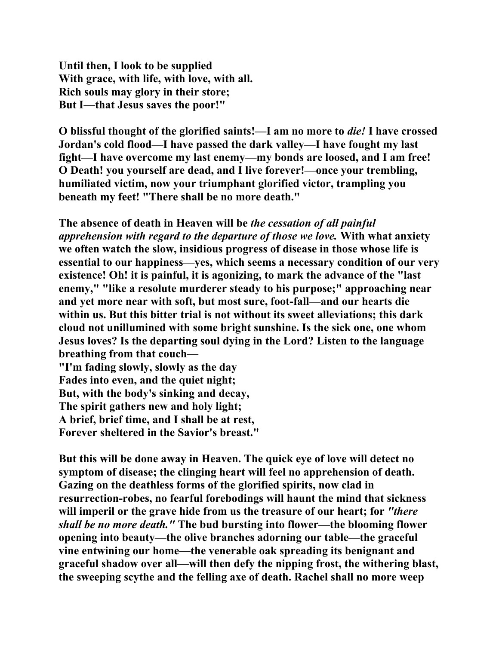**Until then, I look to be supplied With grace, with life, with love, with all. Rich souls may glory in their store; But I—that Jesus saves the poor!"** 

**O blissful thought of the glorified saints!—I am no more to** *die!* **I have crossed Jordan's cold flood—I have passed the dark valley—I have fought my last fight—I have overcome my last enemy—my bonds are loosed, and I am free! O Death! you yourself are dead, and I live forever!—once your trembling, humiliated victim, now your triumphant glorified victor, trampling you beneath my feet! "There shall be no more death."** 

**The absence of death in Heaven will be** *the cessation of all painful apprehension with regard to the departure of those we love.* **With what anxiety we often watch the slow, insidious progress of disease in those whose life is essential to our happiness—yes, which seems a necessary condition of our very existence! Oh! it is painful, it is agonizing, to mark the advance of the "last enemy," "like a resolute murderer steady to his purpose;" approaching near and yet more near with soft, but most sure, foot-fall—and our hearts die within us. But this bitter trial is not without its sweet alleviations; this dark cloud not unillumined with some bright sunshine. Is the sick one, one whom Jesus loves? Is the departing soul dying in the Lord? Listen to the language breathing from that couch— "I'm fading slowly, slowly as the day Fades into even, and the quiet night;** 

**But, with the body's sinking and decay,** 

**The spirit gathers new and holy light;** 

**A brief, brief time, and I shall be at rest,** 

**Forever sheltered in the Savior's breast."** 

**But this will be done away in Heaven. The quick eye of love will detect no symptom of disease; the clinging heart will feel no apprehension of death. Gazing on the deathless forms of the glorified spirits, now clad in resurrection-robes, no fearful forebodings will haunt the mind that sickness will imperil or the grave hide from us the treasure of our heart; for** *"there shall be no more death."* **The bud bursting into flower—the blooming flower opening into beauty—the olive branches adorning our table—the graceful vine entwining our home—the venerable oak spreading its benignant and graceful shadow over all—will then defy the nipping frost, the withering blast, the sweeping scythe and the felling axe of death. Rachel shall no more weep**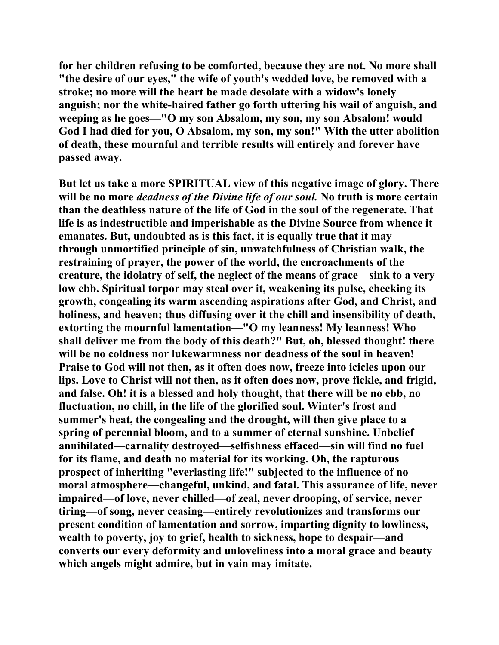**for her children refusing to be comforted, because they are not. No more shall "the desire of our eyes," the wife of youth's wedded love, be removed with a stroke; no more will the heart be made desolate with a widow's lonely anguish; nor the white-haired father go forth uttering his wail of anguish, and weeping as he goes—"O my son Absalom, my son, my son Absalom! would God I had died for you, O Absalom, my son, my son!" With the utter abolition of death, these mournful and terrible results will entirely and forever have passed away.** 

**But let us take a more SPIRITUAL view of this negative image of glory. There will be no more** *deadness of the Divine life of our soul.* **No truth is more certain than the deathless nature of the life of God in the soul of the regenerate. That life is as indestructible and imperishable as the Divine Source from whence it emanates. But, undoubted as is this fact, it is equally true that it may through unmortified principle of sin, unwatchfulness of Christian walk, the restraining of prayer, the power of the world, the encroachments of the creature, the idolatry of self, the neglect of the means of grace—sink to a very low ebb. Spiritual torpor may steal over it, weakening its pulse, checking its growth, congealing its warm ascending aspirations after God, and Christ, and holiness, and heaven; thus diffusing over it the chill and insensibility of death, extorting the mournful lamentation—"O my leanness! My leanness! Who shall deliver me from the body of this death?" But, oh, blessed thought! there will be no coldness nor lukewarmness nor deadness of the soul in heaven! Praise to God will not then, as it often does now, freeze into icicles upon our lips. Love to Christ will not then, as it often does now, prove fickle, and frigid, and false. Oh! it is a blessed and holy thought, that there will be no ebb, no fluctuation, no chill, in the life of the glorified soul. Winter's frost and summer's heat, the congealing and the drought, will then give place to a spring of perennial bloom, and to a summer of eternal sunshine. Unbelief annihilated—carnality destroyed—selfishness effaced—sin will find no fuel for its flame, and death no material for its working. Oh, the rapturous prospect of inheriting "everlasting life!" subjected to the influence of no moral atmosphere—changeful, unkind, and fatal. This assurance of life, never impaired—of love, never chilled—of zeal, never drooping, of service, never tiring—of song, never ceasing—entirely revolutionizes and transforms our present condition of lamentation and sorrow, imparting dignity to lowliness, wealth to poverty, joy to grief, health to sickness, hope to despair—and converts our every deformity and unloveliness into a moral grace and beauty which angels might admire, but in vain may imitate.**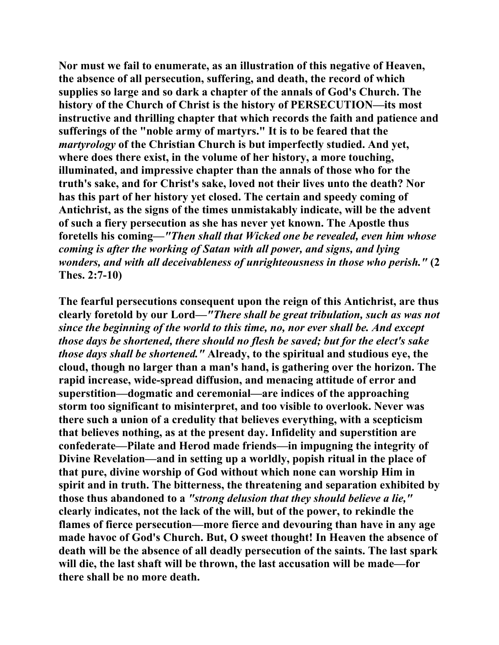**Nor must we fail to enumerate, as an illustration of this negative of Heaven, the absence of all persecution, suffering, and death, the record of which supplies so large and so dark a chapter of the annals of God's Church. The history of the Church of Christ is the history of PERSECUTION—its most instructive and thrilling chapter that which records the faith and patience and sufferings of the "noble army of martyrs." It is to be feared that the**  *martyrology* **of the Christian Church is but imperfectly studied. And yet, where does there exist, in the volume of her history, a more touching, illuminated, and impressive chapter than the annals of those who for the truth's sake, and for Christ's sake, loved not their lives unto the death? Nor has this part of her history yet closed. The certain and speedy coming of Antichrist, as the signs of the times unmistakably indicate, will be the advent of such a fiery persecution as she has never yet known. The Apostle thus foretells his coming—***"Then shall that Wicked one be revealed, even him whose coming is after the working of Satan with all power, and signs, and lying wonders, and with all deceivableness of unrighteousness in those who perish."* **(2 Thes. 2:7-10)** 

**The fearful persecutions consequent upon the reign of this Antichrist, are thus clearly foretold by our Lord—***"There shall be great tribulation, such as was not since the beginning of the world to this time, no, nor ever shall be. And except those days be shortened, there should no flesh be saved; but for the elect's sake those days shall be shortened."* **Already, to the spiritual and studious eye, the cloud, though no larger than a man's hand, is gathering over the horizon. The rapid increase, wide-spread diffusion, and menacing attitude of error and superstition—dogmatic and ceremonial—are indices of the approaching storm too significant to misinterpret, and too visible to overlook. Never was there such a union of a credulity that believes everything, with a scepticism that believes nothing, as at the present day. Infidelity and superstition are confederate—Pilate and Herod made friends—in impugning the integrity of Divine Revelation—and in setting up a worldly, popish ritual in the place of that pure, divine worship of God without which none can worship Him in spirit and in truth. The bitterness, the threatening and separation exhibited by those thus abandoned to a** *"strong delusion that they should believe a lie,"*  **clearly indicates, not the lack of the will, but of the power, to rekindle the flames of fierce persecution—more fierce and devouring than have in any age made havoc of God's Church. But, O sweet thought! In Heaven the absence of death will be the absence of all deadly persecution of the saints. The last spark will die, the last shaft will be thrown, the last accusation will be made—for there shall be no more death.**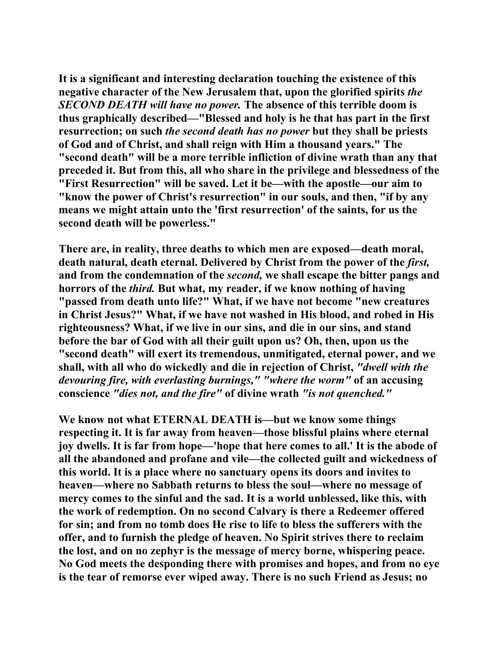**It is a significant and interesting declaration touching the existence of this negative character of the New Jerusalem that, upon the glorified spirits** *the SECOND DEATH will have no power.* **The absence of this terrible doom is thus graphically described—"Blessed and holy is he that has part in the first resurrection; on such** *the second death has no power* **but they shall be priests of God and of Christ, and shall reign with Him a thousand years." The "second death" will be a more terrible infliction of divine wrath than any that preceded it. But from this, all who share in the privilege and blessedness of the "First Resurrection" will be saved. Let it be—with the apostle—our aim to "know the power of Christ's resurrection" in our souls, and then, "if by any means we might attain unto the 'first resurrection' of the saints, for us the second death will be powerless."** 

**There are, in reality, three deaths to which men are exposed—death moral, death natural, death eternal. Delivered by Christ from the power of the** *first,*  **and from the condemnation of the** *second,* **we shall escape the bitter pangs and horrors of the** *third.* **But what, my reader, if we know nothing of having "passed from death unto life?" What, if we have not become "new creatures in Christ Jesus?" What, if we have not washed in His blood, and robed in His righteousness? What, if we live in our sins, and die in our sins, and stand before the bar of God with all their guilt upon us? Oh, then, upon us the "second death" will exert its tremendous, unmitigated, eternal power, and we shall, with all who do wickedly and die in rejection of Christ,** *"dwell with the devouring fire, with everlasting burnings," "where the worm"* **of an accusing conscience** *"dies not, and the fire"* **of divine wrath** *"is not quenched."* 

**We know not what ETERNAL DEATH is—but we know some things respecting it. It is far away from heaven—those blissful plains where eternal joy dwells. It is far from hope—'hope that here comes to all.' It is the abode of all the abandoned and profane and vile—the collected guilt and wickedness of this world. It is a place where no sanctuary opens its doors and invites to heaven—where no Sabbath returns to bless the soul—where no message of mercy comes to the sinful and the sad. It is a world unblessed, like this, with the work of redemption. On no second Calvary is there a Redeemer offered for sin; and from no tomb does He rise to life to bless the sufferers with the offer, and to furnish the pledge of heaven. No Spirit strives there to reclaim the lost, and on no zephyr is the message of mercy borne, whispering peace. No God meets the desponding there with promises and hopes, and from no eye is the tear of remorse ever wiped away. There is no such Friend as Jesus; no**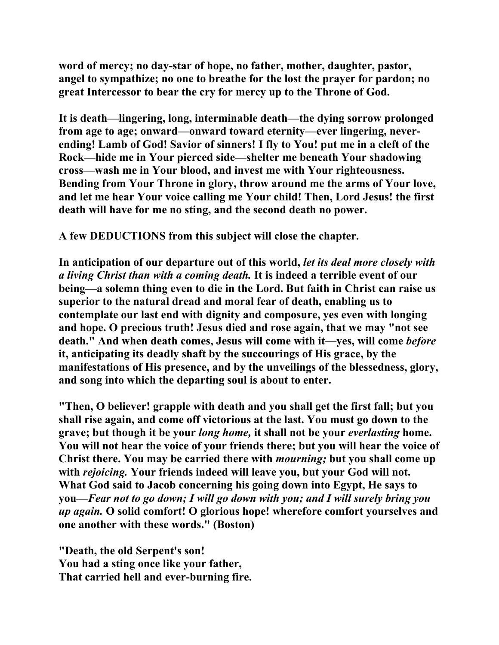**word of mercy; no day-star of hope, no father, mother, daughter, pastor, angel to sympathize; no one to breathe for the lost the prayer for pardon; no great Intercessor to bear the cry for mercy up to the Throne of God.** 

**It is death—lingering, long, interminable death—the dying sorrow prolonged from age to age; onward—onward toward eternity—ever lingering, neverending! Lamb of God! Savior of sinners! I fly to You! put me in a cleft of the Rock—hide me in Your pierced side—shelter me beneath Your shadowing cross—wash me in Your blood, and invest me with Your righteousness. Bending from Your Throne in glory, throw around me the arms of Your love, and let me hear Your voice calling me Your child! Then, Lord Jesus! the first death will have for me no sting, and the second death no power.** 

**A few DEDUCTIONS from this subject will close the chapter.** 

**In anticipation of our departure out of this world,** *let its deal more closely with a living Christ than with a coming death.* **It is indeed a terrible event of our being—a solemn thing even to die in the Lord. But faith in Christ can raise us superior to the natural dread and moral fear of death, enabling us to contemplate our last end with dignity and composure, yes even with longing and hope. O precious truth! Jesus died and rose again, that we may "not see death." And when death comes, Jesus will come with it—yes, will come** *before*  **it, anticipating its deadly shaft by the succourings of His grace, by the manifestations of His presence, and by the unveilings of the blessedness, glory, and song into which the departing soul is about to enter.** 

**"Then, O believer! grapple with death and you shall get the first fall; but you shall rise again, and come off victorious at the last. You must go down to the grave; but though it be your** *long home,* **it shall not be your** *everlasting* **home. You will not hear the voice of your friends there; but you will hear the voice of Christ there. You may be carried there with** *mourning;* **but you shall come up with** *rejoicing.* **Your friends indeed will leave you, but your God will not. What God said to Jacob concerning his going down into Egypt, He says to you—***Fear not to go down; I will go down with you; and I will surely bring you up again.* **O solid comfort! O glorious hope! wherefore comfort yourselves and one another with these words." (Boston)** 

**"Death, the old Serpent's son! You had a sting once like your father, That carried hell and ever-burning fire.**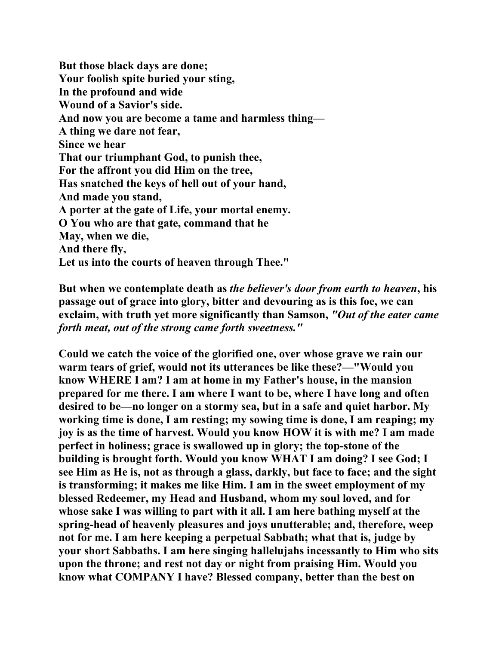**But those black days are done; Your foolish spite buried your sting, In the profound and wide Wound of a Savior's side. And now you are become a tame and harmless thing— A thing we dare not fear, Since we hear That our triumphant God, to punish thee, For the affront you did Him on the tree, Has snatched the keys of hell out of your hand, And made you stand, A porter at the gate of Life, your mortal enemy. O You who are that gate, command that he May, when we die, And there fly, Let us into the courts of heaven through Thee."** 

**But when we contemplate death as** *the believer's door from earth to heaven***, his passage out of grace into glory, bitter and devouring as is this foe, we can exclaim, with truth yet more significantly than Samson,** *"Out of the eater came forth meat, out of the strong came forth sweetness."*

**Could we catch the voice of the glorified one, over whose grave we rain our warm tears of grief, would not its utterances be like these?—"Would you know WHERE I am? I am at home in my Father's house, in the mansion prepared for me there. I am where I want to be, where I have long and often desired to be—no longer on a stormy sea, but in a safe and quiet harbor. My working time is done, I am resting; my sowing time is done, I am reaping; my joy is as the time of harvest. Would you know HOW it is with me? I am made perfect in holiness; grace is swallowed up in glory; the top-stone of the building is brought forth. Would you know WHAT I am doing? I see God; I see Him as He is, not as through a glass, darkly, but face to face; and the sight is transforming; it makes me like Him. I am in the sweet employment of my blessed Redeemer, my Head and Husband, whom my soul loved, and for whose sake I was willing to part with it all. I am here bathing myself at the spring-head of heavenly pleasures and joys unutterable; and, therefore, weep not for me. I am here keeping a perpetual Sabbath; what that is, judge by your short Sabbaths. I am here singing hallelujahs incessantly to Him who sits upon the throne; and rest not day or night from praising Him. Would you know what COMPANY I have? Blessed company, better than the best on**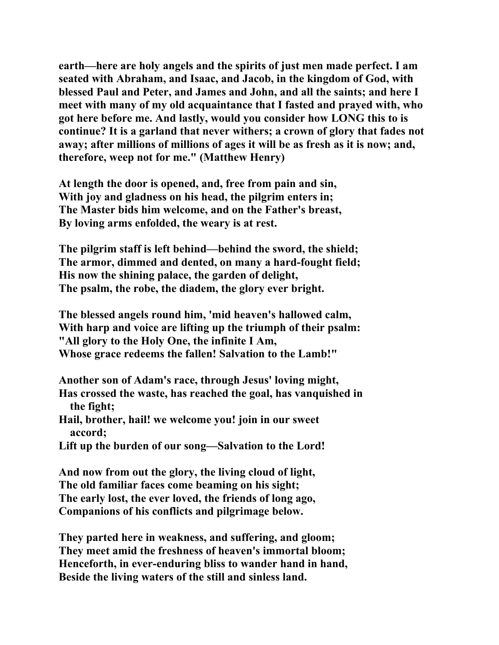**earth—here are holy angels and the spirits of just men made perfect. I am seated with Abraham, and Isaac, and Jacob, in the kingdom of God, with blessed Paul and Peter, and James and John, and all the saints; and here I meet with many of my old acquaintance that I fasted and prayed with, who got here before me. And lastly, would you consider how LONG this to is continue? It is a garland that never withers; a crown of glory that fades not away; after millions of millions of ages it will be as fresh as it is now; and, therefore, weep not for me." (Matthew Henry)** 

**At length the door is opened, and, free from pain and sin, With joy and gladness on his head, the pilgrim enters in; The Master bids him welcome, and on the Father's breast, By loving arms enfolded, the weary is at rest.** 

**The pilgrim staff is left behind—behind the sword, the shield; The armor, dimmed and dented, on many a hard-fought field; His now the shining palace, the garden of delight, The psalm, the robe, the diadem, the glory ever bright.** 

**The blessed angels round him, 'mid heaven's hallowed calm, With harp and voice are lifting up the triumph of their psalm: "All glory to the Holy One, the infinite I Am, Whose grace redeems the fallen! Salvation to the Lamb!"** 

**Another son of Adam's race, through Jesus' loving might, Has crossed the waste, has reached the goal, has vanquished in the fight;** 

**Hail, brother, hail! we welcome you! join in our sweet accord;** 

**Lift up the burden of our song—Salvation to the Lord!** 

**And now from out the glory, the living cloud of light, The old familiar faces come beaming on his sight; The early lost, the ever loved, the friends of long ago, Companions of his conflicts and pilgrimage below.** 

**They parted here in weakness, and suffering, and gloom; They meet amid the freshness of heaven's immortal bloom; Henceforth, in ever-enduring bliss to wander hand in hand, Beside the living waters of the still and sinless land.**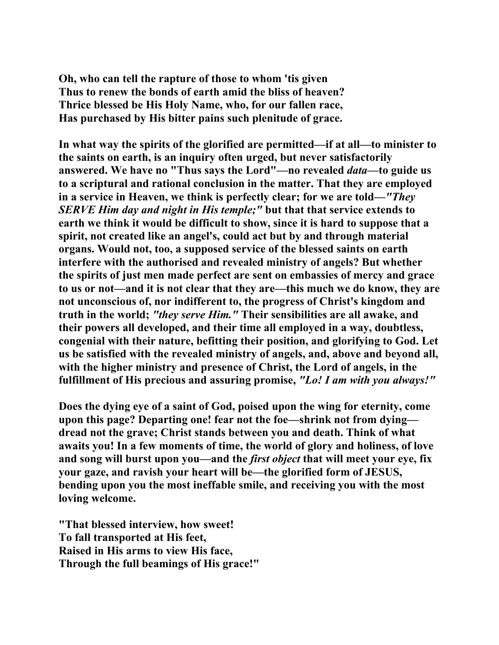**Oh, who can tell the rapture of those to whom 'tis given Thus to renew the bonds of earth amid the bliss of heaven? Thrice blessed be His Holy Name, who, for our fallen race, Has purchased by His bitter pains such plenitude of grace.** 

**In what way the spirits of the glorified are permitted—if at all—to minister to the saints on earth, is an inquiry often urged, but never satisfactorily answered. We have no "Thus says the Lord"—no revealed** *data***—to guide us to a scriptural and rational conclusion in the matter. That they are employed in a service in Heaven, we think is perfectly clear; for we are told—***"They SERVE Him day and night in His temple;"* **but that that service extends to earth we think it would be difficult to show, since it is hard to suppose that a spirit, not created like an angel's, could act but by and through material organs. Would not, too, a supposed service of the blessed saints on earth interfere with the authorised and revealed ministry of angels? But whether the spirits of just men made perfect are sent on embassies of mercy and grace to us or not—and it is not clear that they are—this much we do know, they are not unconscious of, nor indifferent to, the progress of Christ's kingdom and truth in the world;** *"they serve Him."* **Their sensibilities are all awake, and their powers all developed, and their time all employed in a way, doubtless, congenial with their nature, befitting their position, and glorifying to God. Let us be satisfied with the revealed ministry of angels, and, above and beyond all, with the higher ministry and presence of Christ, the Lord of angels, in the fulfillment of His precious and assuring promise,** *"Lo! I am with you always!"*

**Does the dying eye of a saint of God, poised upon the wing for eternity, come upon this page? Departing one! fear not the foe—shrink not from dying dread not the grave; Christ stands between you and death. Think of what awaits you! In a few moments of time, the world of glory and holiness, of love and song will burst upon you—and the** *first object* **that will meet your eye, fix your gaze, and ravish your heart will be—the glorified form of JESUS, bending upon you the most ineffable smile, and receiving you with the most loving welcome.** 

**"That blessed interview, how sweet! To fall transported at His feet, Raised in His arms to view His face, Through the full beamings of His grace!"**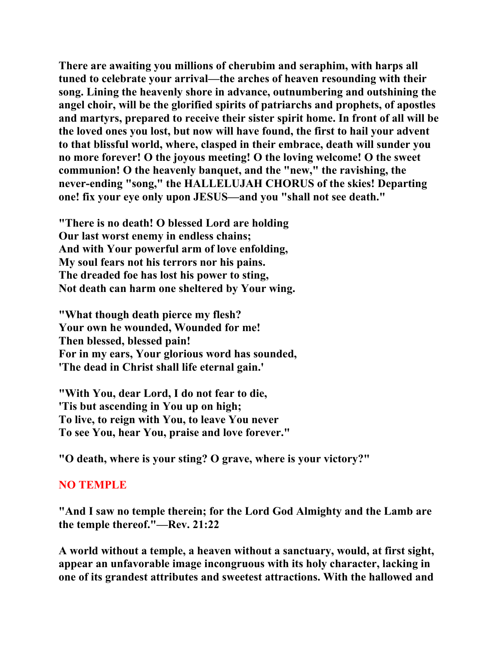**There are awaiting you millions of cherubim and seraphim, with harps all tuned to celebrate your arrival—the arches of heaven resounding with their song. Lining the heavenly shore in advance, outnumbering and outshining the angel choir, will be the glorified spirits of patriarchs and prophets, of apostles and martyrs, prepared to receive their sister spirit home. In front of all will be the loved ones you lost, but now will have found, the first to hail your advent to that blissful world, where, clasped in their embrace, death will sunder you no more forever! O the joyous meeting! O the loving welcome! O the sweet communion! O the heavenly banquet, and the "new," the ravishing, the never-ending "song," the HALLELUJAH CHORUS of the skies! Departing one! fix your eye only upon JESUS—and you "shall not see death."** 

**"There is no death! O blessed Lord are holding Our last worst enemy in endless chains; And with Your powerful arm of love enfolding, My soul fears not his terrors nor his pains. The dreaded foe has lost his power to sting, Not death can harm one sheltered by Your wing.** 

**"What though death pierce my flesh? Your own he wounded, Wounded for me! Then blessed, blessed pain! For in my ears, Your glorious word has sounded, 'The dead in Christ shall life eternal gain.'** 

**"With You, dear Lord, I do not fear to die, 'Tis but ascending in You up on high; To live, to reign with You, to leave You never To see You, hear You, praise and love forever."** 

**"O death, where is your sting? O grave, where is your victory?"** 

## **NO TEMPLE**

**"And I saw no temple therein; for the Lord God Almighty and the Lamb are the temple thereof."—Rev. 21:22** 

**A world without a temple, a heaven without a sanctuary, would, at first sight, appear an unfavorable image incongruous with its holy character, lacking in one of its grandest attributes and sweetest attractions. With the hallowed and**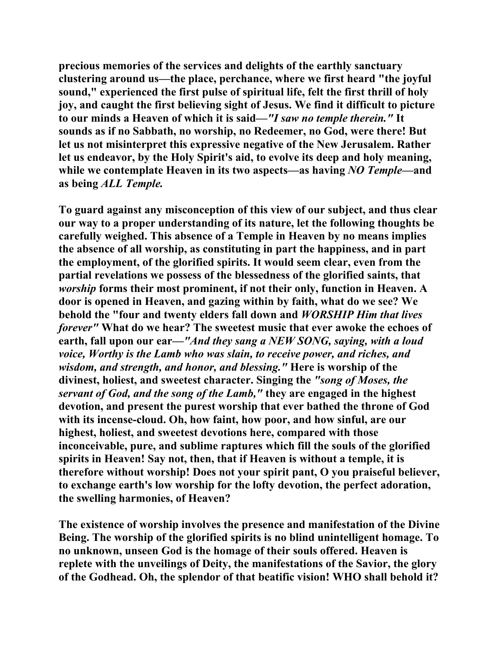**precious memories of the services and delights of the earthly sanctuary clustering around us—the place, perchance, where we first heard "the joyful sound," experienced the first pulse of spiritual life, felt the first thrill of holy joy, and caught the first believing sight of Jesus. We find it difficult to picture to our minds a Heaven of which it is said—***"I saw no temple therein."* **It sounds as if no Sabbath, no worship, no Redeemer, no God, were there! But let us not misinterpret this expressive negative of the New Jerusalem. Rather let us endeavor, by the Holy Spirit's aid, to evolve its deep and holy meaning, while we contemplate Heaven in its two aspects—as having** *NO Temple***—and as being** *ALL Temple.*

**To guard against any misconception of this view of our subject, and thus clear our way to a proper understanding of its nature, let the following thoughts be carefully weighed. This absence of a Temple in Heaven by no means implies the absence of all worship, as constituting in part the happiness, and in part the employment, of the glorified spirits. It would seem clear, even from the partial revelations we possess of the blessedness of the glorified saints, that**  *worship* **forms their most prominent, if not their only, function in Heaven. A door is opened in Heaven, and gazing within by faith, what do we see? We behold the "four and twenty elders fall down and** *WORSHIP Him that lives forever"* **What do we hear? The sweetest music that ever awoke the echoes of earth, fall upon our ear—***"And they sang a NEW SONG, saying, with a loud voice, Worthy is the Lamb who was slain, to receive power, and riches, and wisdom, and strength, and honor, and blessing."* **Here is worship of the divinest, holiest, and sweetest character. Singing the** *"song of Moses, the servant of God, and the song of the Lamb,"* **they are engaged in the highest devotion, and present the purest worship that ever bathed the throne of God with its incense-cloud. Oh, how faint, how poor, and how sinful, are our highest, holiest, and sweetest devotions here, compared with those inconceivable, pure, and sublime raptures which fill the souls of the glorified spirits in Heaven! Say not, then, that if Heaven is without a temple, it is therefore without worship! Does not your spirit pant, O you praiseful believer, to exchange earth's low worship for the lofty devotion, the perfect adoration, the swelling harmonies, of Heaven?** 

**The existence of worship involves the presence and manifestation of the Divine Being. The worship of the glorified spirits is no blind unintelligent homage. To no unknown, unseen God is the homage of their souls offered. Heaven is replete with the unveilings of Deity, the manifestations of the Savior, the glory of the Godhead. Oh, the splendor of that beatific vision! WHO shall behold it?**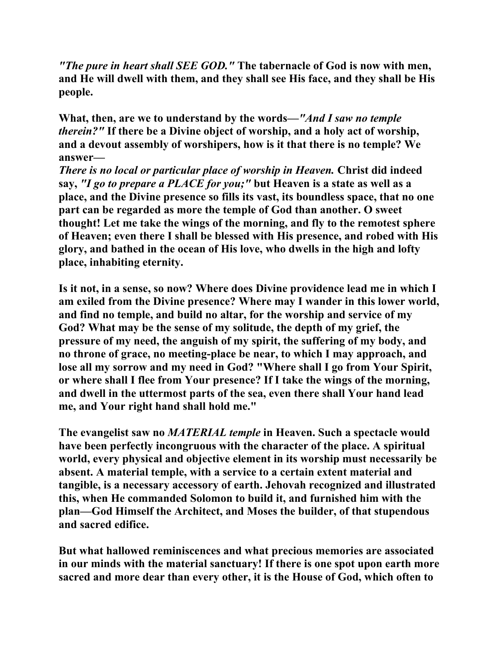*"The pure in heart shall SEE GOD."* **The tabernacle of God is now with men, and He will dwell with them, and they shall see His face, and they shall be His people.** 

**What, then, are we to understand by the words—***"And I saw no temple therein?"* **If there be a Divine object of worship, and a holy act of worship, and a devout assembly of worshipers, how is it that there is no temple? We answer—** 

*There is no local or particular place of worship in Heaven.* **Christ did indeed say,** *"I go to prepare a PLACE for you;"* **but Heaven is a state as well as a place, and the Divine presence so fills its vast, its boundless space, that no one part can be regarded as more the temple of God than another. O sweet thought! Let me take the wings of the morning, and fly to the remotest sphere of Heaven; even there I shall be blessed with His presence, and robed with His glory, and bathed in the ocean of His love, who dwells in the high and lofty place, inhabiting eternity.** 

**Is it not, in a sense, so now? Where does Divine providence lead me in which I am exiled from the Divine presence? Where may I wander in this lower world, and find no temple, and build no altar, for the worship and service of my God? What may be the sense of my solitude, the depth of my grief, the pressure of my need, the anguish of my spirit, the suffering of my body, and no throne of grace, no meeting-place be near, to which I may approach, and lose all my sorrow and my need in God? "Where shall I go from Your Spirit, or where shall I flee from Your presence? If I take the wings of the morning, and dwell in the uttermost parts of the sea, even there shall Your hand lead me, and Your right hand shall hold me."** 

**The evangelist saw no** *MATERIAL temple* **in Heaven. Such a spectacle would have been perfectly incongruous with the character of the place. A spiritual world, every physical and objective element in its worship must necessarily be absent. A material temple, with a service to a certain extent material and tangible, is a necessary accessory of earth. Jehovah recognized and illustrated this, when He commanded Solomon to build it, and furnished him with the plan—God Himself the Architect, and Moses the builder, of that stupendous and sacred edifice.** 

**But what hallowed reminiscences and what precious memories are associated in our minds with the material sanctuary! If there is one spot upon earth more sacred and more dear than every other, it is the House of God, which often to**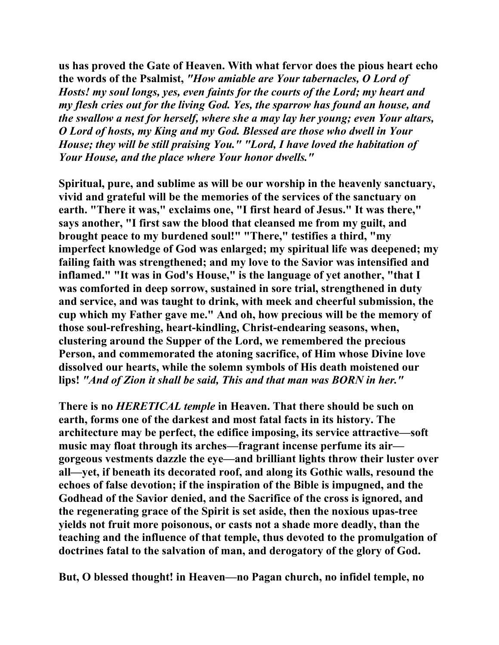**us has proved the Gate of Heaven. With what fervor does the pious heart echo the words of the Psalmist,** *"How amiable are Your tabernacles, O Lord of Hosts! my soul longs, yes, even faints for the courts of the Lord; my heart and my flesh cries out for the living God. Yes, the sparrow has found an house, and the swallow a nest for herself, where she a may lay her young; even Your altars, O Lord of hosts, my King and my God. Blessed are those who dwell in Your House; they will be still praising You." "Lord, I have loved the habitation of Your House, and the place where Your honor dwells."*

**Spiritual, pure, and sublime as will be our worship in the heavenly sanctuary, vivid and grateful will be the memories of the services of the sanctuary on earth. "There it was," exclaims one, "I first heard of Jesus." It was there," says another, "I first saw the blood that cleansed me from my guilt, and brought peace to my burdened soul!" "There," testifies a third, "my imperfect knowledge of God was enlarged; my spiritual life was deepened; my failing faith was strengthened; and my love to the Savior was intensified and inflamed." "It was in God's House," is the language of yet another, "that I was comforted in deep sorrow, sustained in sore trial, strengthened in duty and service, and was taught to drink, with meek and cheerful submission, the cup which my Father gave me." And oh, how precious will be the memory of those soul-refreshing, heart-kindling, Christ-endearing seasons, when, clustering around the Supper of the Lord, we remembered the precious Person, and commemorated the atoning sacrifice, of Him whose Divine love dissolved our hearts, while the solemn symbols of His death moistened our lips!** *"And of Zion it shall be said, This and that man was BORN in her."*

**There is no** *HERETICAL temple* **in Heaven. That there should be such on earth, forms one of the darkest and most fatal facts in its history. The architecture may be perfect, the edifice imposing, its service attractive—soft music may float through its arches—fragrant incense perfume its air gorgeous vestments dazzle the eye—and brilliant lights throw their luster over all—yet, if beneath its decorated roof, and along its Gothic walls, resound the echoes of false devotion; if the inspiration of the Bible is impugned, and the Godhead of the Savior denied, and the Sacrifice of the cross is ignored, and the regenerating grace of the Spirit is set aside, then the noxious upas-tree yields not fruit more poisonous, or casts not a shade more deadly, than the teaching and the influence of that temple, thus devoted to the promulgation of doctrines fatal to the salvation of man, and derogatory of the glory of God.** 

**But, O blessed thought! in Heaven—no Pagan church, no infidel temple, no**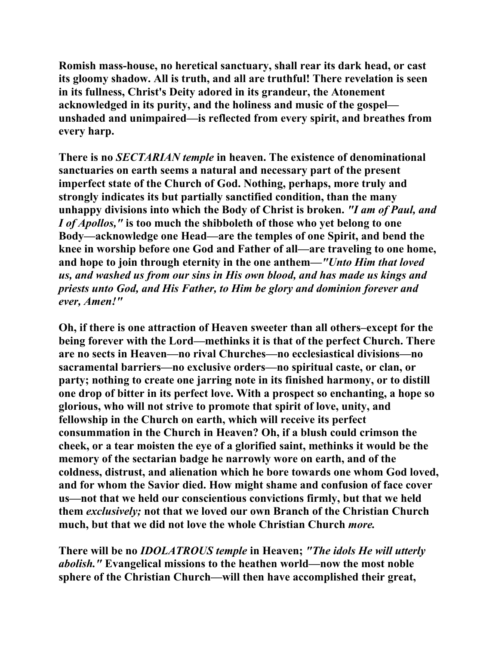**Romish mass-house, no heretical sanctuary, shall rear its dark head, or cast its gloomy shadow. All is truth, and all are truthful! There revelation is seen in its fullness, Christ's Deity adored in its grandeur, the Atonement acknowledged in its purity, and the holiness and music of the gospel unshaded and unimpaired—is reflected from every spirit, and breathes from every harp.** 

**There is no** *SECTARIAN temple* **in heaven. The existence of denominational sanctuaries on earth seems a natural and necessary part of the present imperfect state of the Church of God. Nothing, perhaps, more truly and strongly indicates its but partially sanctified condition, than the many unhappy divisions into which the Body of Christ is broken.** *"I am of Paul, and I of Apollos,"* **is too much the shibboleth of those who yet belong to one Body—acknowledge one Head—are the temples of one Spirit, and bend the knee in worship before one God and Father of all—are traveling to one home, and hope to join through eternity in the one anthem—***"Unto Him that loved us, and washed us from our sins in His own blood, and has made us kings and priests unto God, and His Father, to Him be glory and dominion forever and ever, Amen!"* 

**Oh, if there is one attraction of Heaven sweeter than all others–except for the being forever with the Lord—methinks it is that of the perfect Church. There are no sects in Heaven—no rival Churches—no ecclesiastical divisions—no sacramental barriers—no exclusive orders—no spiritual caste, or clan, or party; nothing to create one jarring note in its finished harmony, or to distill one drop of bitter in its perfect love. With a prospect so enchanting, a hope so glorious, who will not strive to promote that spirit of love, unity, and fellowship in the Church on earth, which will receive its perfect consummation in the Church in Heaven? Oh, if a blush could crimson the cheek, or a tear moisten the eye of a glorified saint, methinks it would be the memory of the sectarian badge he narrowly wore on earth, and of the coldness, distrust, and alienation which he bore towards one whom God loved, and for whom the Savior died. How might shame and confusion of face cover us—not that we held our conscientious convictions firmly, but that we held them** *exclusively;* **not that we loved our own Branch of the Christian Church much, but that we did not love the whole Christian Church** *more.*

**There will be no** *IDOLATROUS temple* **in Heaven;** *"The idols He will utterly abolish."* **Evangelical missions to the heathen world—now the most noble sphere of the Christian Church—will then have accomplished their great,**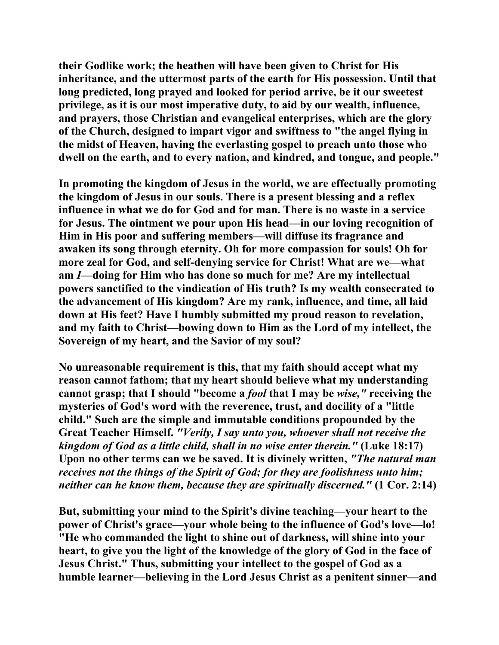**their Godlike work; the heathen will have been given to Christ for His inheritance, and the uttermost parts of the earth for His possession. Until that long predicted, long prayed and looked for period arrive, be it our sweetest privilege, as it is our most imperative duty, to aid by our wealth, influence, and prayers, those Christian and evangelical enterprises, which are the glory of the Church, designed to impart vigor and swiftness to "the angel flying in the midst of Heaven, having the everlasting gospel to preach unto those who dwell on the earth, and to every nation, and kindred, and tongue, and people."** 

**In promoting the kingdom of Jesus in the world, we are effectually promoting the kingdom of Jesus in our souls. There is a present blessing and a reflex influence in what we do for God and for man. There is no waste in a service for Jesus. The ointment we pour upon His head—in our loving recognition of Him in His poor and suffering members—will diffuse its fragrance and awaken its song through eternity. Oh for more compassion for souls! Oh for more zeal for God, and self-denying service for Christ! What are we—what am** *I***—doing for Him who has done so much for me? Are my intellectual powers sanctified to the vindication of His truth? Is my wealth consecrated to the advancement of His kingdom? Are my rank, influence, and time, all laid down at His feet? Have I humbly submitted my proud reason to revelation, and my faith to Christ—bowing down to Him as the Lord of my intellect, the Sovereign of my heart, and the Savior of my soul?** 

**No unreasonable requirement is this, that my faith should accept what my reason cannot fathom; that my heart should believe what my understanding cannot grasp; that I should "become a** *fool* **that I may be** *wise,"* **receiving the mysteries of God's word with the reverence, trust, and docility of a "little child." Such are the simple and immutable conditions propounded by the Great Teacher Himself.** *"Verily, I say unto you, whoever shall not receive the kingdom of God as a little child, shall in no wise enter therein."* **(Luke 18:17) Upon no other terms can we be saved. It is divinely written,** *"The natural man receives not the things of the Spirit of God; for they are foolishness unto him; neither can he know them, because they are spiritually discerned."* **(1 Cor. 2:14)** 

**But, submitting your mind to the Spirit's divine teaching—your heart to the power of Christ's grace—your whole being to the influence of God's love—lo! "He who commanded the light to shine out of darkness, will shine into your heart, to give you the light of the knowledge of the glory of God in the face of Jesus Christ." Thus, submitting your intellect to the gospel of God as a humble learner—believing in the Lord Jesus Christ as a penitent sinner—and**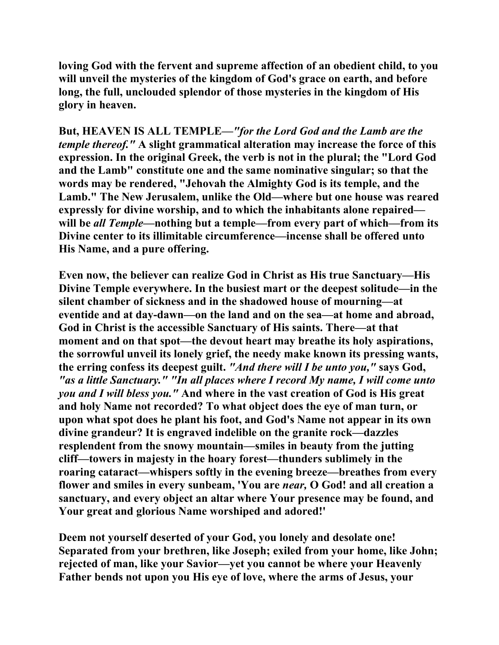**loving God with the fervent and supreme affection of an obedient child, to you will unveil the mysteries of the kingdom of God's grace on earth, and before long, the full, unclouded splendor of those mysteries in the kingdom of His glory in heaven.** 

**But, HEAVEN IS ALL TEMPLE***—"for the Lord God and the Lamb are the temple thereof."* **A slight grammatical alteration may increase the force of this expression. In the original Greek, the verb is not in the plural; the "Lord God and the Lamb" constitute one and the same nominative singular; so that the words may be rendered, "Jehovah the Almighty God is its temple, and the Lamb." The New Jerusalem, unlike the Old—where but one house was reared expressly for divine worship, and to which the inhabitants alone repaired will be** *all Temple***—nothing but a temple—from every part of which—from its Divine center to its illimitable circumference—incense shall be offered unto His Name, and a pure offering.** 

**Even now, the believer can realize God in Christ as His true Sanctuary—His Divine Temple everywhere. In the busiest mart or the deepest solitude—in the silent chamber of sickness and in the shadowed house of mourning—at eventide and at day-dawn—on the land and on the sea—at home and abroad, God in Christ is the accessible Sanctuary of His saints. There—at that moment and on that spot—the devout heart may breathe its holy aspirations, the sorrowful unveil its lonely grief, the needy make known its pressing wants, the erring confess its deepest guilt.** *"And there will I be unto you,"* **says God,**  *"as a little Sanctuary." "In all places where I record My name, I will come unto you and I will bless you."* **And where in the vast creation of God is His great and holy Name not recorded? To what object does the eye of man turn, or upon what spot does he plant his foot, and God's Name not appear in its own divine grandeur? It is engraved indelible on the granite rock—dazzles resplendent from the snowy mountain—smiles in beauty from the jutting cliff—towers in majesty in the hoary forest—thunders sublimely in the roaring cataract—whispers softly in the evening breeze—breathes from every flower and smiles in every sunbeam, 'You are** *near,* **O God! and all creation a sanctuary, and every object an altar where Your presence may be found, and Your great and glorious Name worshiped and adored!'** 

**Deem not yourself deserted of your God, you lonely and desolate one! Separated from your brethren, like Joseph; exiled from your home, like John; rejected of man, like your Savior—yet you cannot be where your Heavenly Father bends not upon you His eye of love, where the arms of Jesus, your**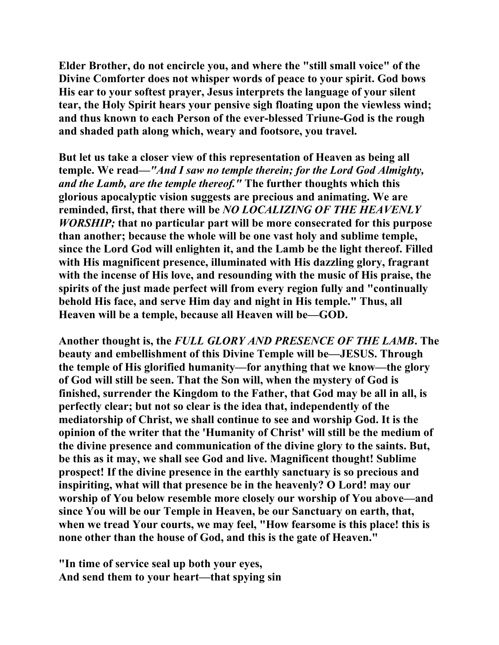**Elder Brother, do not encircle you, and where the "still small voice" of the Divine Comforter does not whisper words of peace to your spirit. God bows His ear to your softest prayer, Jesus interprets the language of your silent tear, the Holy Spirit hears your pensive sigh floating upon the viewless wind; and thus known to each Person of the ever-blessed Triune-God is the rough and shaded path along which, weary and footsore, you travel.** 

**But let us take a closer view of this representation of Heaven as being all temple. We read—***"And I saw no temple therein; for the Lord God Almighty, and the Lamb, are the temple thereof."* **The further thoughts which this glorious apocalyptic vision suggests are precious and animating. We are reminded, first, that there will be** *NO LOCALIZING OF THE HEAVENLY WORSHIP;* **that no particular part will be more consecrated for this purpose than another; because the whole will be one vast holy and sublime temple, since the Lord God will enlighten it, and the Lamb be the light thereof. Filled with His magnificent presence, illuminated with His dazzling glory, fragrant with the incense of His love, and resounding with the music of His praise, the spirits of the just made perfect will from every region fully and "continually behold His face, and serve Him day and night in His temple." Thus, all Heaven will be a temple, because all Heaven will be—GOD.** 

**Another thought is, the** *FULL GLORY AND PRESENCE OF THE LAMB***. The beauty and embellishment of this Divine Temple will be—JESUS. Through the temple of His glorified humanity—for anything that we know—the glory of God will still be seen. That the Son will, when the mystery of God is finished, surrender the Kingdom to the Father, that God may be all in all, is perfectly clear; but not so clear is the idea that, independently of the mediatorship of Christ, we shall continue to see and worship God. It is the opinion of the writer that the 'Humanity of Christ' will still be the medium of the divine presence and communication of the divine glory to the saints. But, be this as it may, we shall see God and live. Magnificent thought! Sublime prospect! If the divine presence in the earthly sanctuary is so precious and inspiriting, what will that presence be in the heavenly? O Lord! may our worship of You below resemble more closely our worship of You above—and since You will be our Temple in Heaven, be our Sanctuary on earth, that, when we tread Your courts, we may feel, "How fearsome is this place! this is none other than the house of God, and this is the gate of Heaven."** 

**"In time of service seal up both your eyes, And send them to your heart—that spying sin**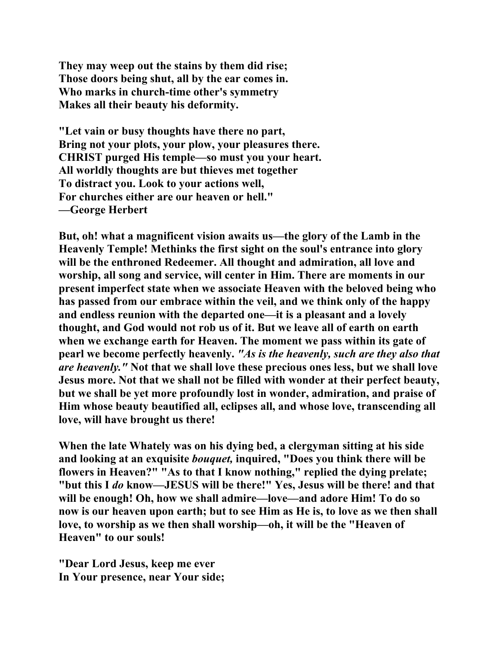**They may weep out the stains by them did rise; Those doors being shut, all by the ear comes in. Who marks in church-time other's symmetry Makes all their beauty his deformity.** 

**"Let vain or busy thoughts have there no part, Bring not your plots, your plow, your pleasures there. CHRIST purged His temple—so must you your heart. All worldly thoughts are but thieves met together To distract you. Look to your actions well, For churches either are our heaven or hell." —George Herbert** 

**But, oh! what a magnificent vision awaits us—the glory of the Lamb in the Heavenly Temple! Methinks the first sight on the soul's entrance into glory will be the enthroned Redeemer. All thought and admiration, all love and worship, all song and service, will center in Him. There are moments in our present imperfect state when we associate Heaven with the beloved being who has passed from our embrace within the veil, and we think only of the happy and endless reunion with the departed one—it is a pleasant and a lovely thought, and God would not rob us of it. But we leave all of earth on earth when we exchange earth for Heaven. The moment we pass within its gate of pearl we become perfectly heavenly.** *"As is the heavenly, such are they also that are heavenly."* **Not that we shall love these precious ones less, but we shall love Jesus more. Not that we shall not be filled with wonder at their perfect beauty, but we shall be yet more profoundly lost in wonder, admiration, and praise of Him whose beauty beautified all, eclipses all, and whose love, transcending all love, will have brought us there!** 

**When the late Whately was on his dying bed, a clergyman sitting at his side and looking at an exquisite** *bouquet,* **inquired, "Does you think there will be flowers in Heaven?" "As to that I know nothing," replied the dying prelate; "but this I** *do* **know—JESUS will be there!" Yes, Jesus will be there! and that will be enough! Oh, how we shall admire—love—and adore Him! To do so now is our heaven upon earth; but to see Him as He is, to love as we then shall love, to worship as we then shall worship—oh, it will be the "Heaven of Heaven" to our souls!** 

**"Dear Lord Jesus, keep me ever In Your presence, near Your side;**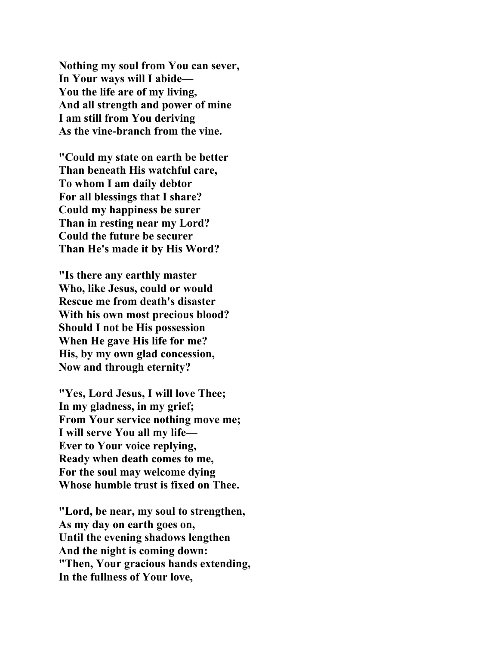**Nothing my soul from You can sever, In Your ways will I abide— You the life are of my living, And all strength and power of mine I am still from You deriving As the vine-branch from the vine.** 

**"Could my state on earth be better Than beneath His watchful care, To whom I am daily debtor For all blessings that I share? Could my happiness be surer Than in resting near my Lord? Could the future be securer Than He's made it by His Word?** 

**"Is there any earthly master Who, like Jesus, could or would Rescue me from death's disaster With his own most precious blood? Should I not be His possession When He gave His life for me? His, by my own glad concession, Now and through eternity?** 

**"Yes, Lord Jesus, I will love Thee; In my gladness, in my grief; From Your service nothing move me; I will serve You all my life— Ever to Your voice replying, Ready when death comes to me, For the soul may welcome dying Whose humble trust is fixed on Thee.** 

**"Lord, be near, my soul to strengthen, As my day on earth goes on, Until the evening shadows lengthen And the night is coming down: "Then, Your gracious hands extending, In the fullness of Your love,**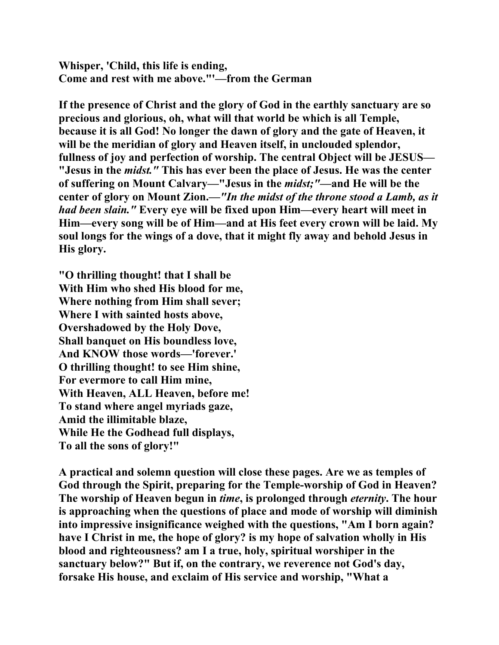**Whisper, 'Child, this life is ending, Come and rest with me above."'—from the German** 

**If the presence of Christ and the glory of God in the earthly sanctuary are so precious and glorious, oh, what will that world be which is all Temple, because it is all God! No longer the dawn of glory and the gate of Heaven, it will be the meridian of glory and Heaven itself, in unclouded splendor, fullness of joy and perfection of worship. The central Object will be JESUS— "Jesus in the** *midst."* **This has ever been the place of Jesus. He was the center of suffering on Mount Calvary—"Jesus in the** *midst;"***—and He will be the center of glory on Mount Zion.—***"In the midst of the throne stood a Lamb, as it had been slain."* **Every eye will be fixed upon Him—every heart will meet in Him—every song will be of Him—and at His feet every crown will be laid. My soul longs for the wings of a dove, that it might fly away and behold Jesus in His glory.** 

**"O thrilling thought! that I shall be With Him who shed His blood for me, Where nothing from Him shall sever; Where I with sainted hosts above, Overshadowed by the Holy Dove, Shall banquet on His boundless love, And KNOW those words—'forever.' O thrilling thought! to see Him shine, For evermore to call Him mine, With Heaven, ALL Heaven, before me! To stand where angel myriads gaze, Amid the illimitable blaze, While He the Godhead full displays, To all the sons of glory!"** 

**A practical and solemn question will close these pages. Are we as temples of God through the Spirit, preparing for the Temple-worship of God in Heaven? The worship of Heaven begun in** *time***, is prolonged through** *eternity***. The hour is approaching when the questions of place and mode of worship will diminish into impressive insignificance weighed with the questions, "Am I born again? have I Christ in me, the hope of glory? is my hope of salvation wholly in His blood and righteousness? am I a true, holy, spiritual worshiper in the sanctuary below?" But if, on the contrary, we reverence not God's day, forsake His house, and exclaim of His service and worship, "What a**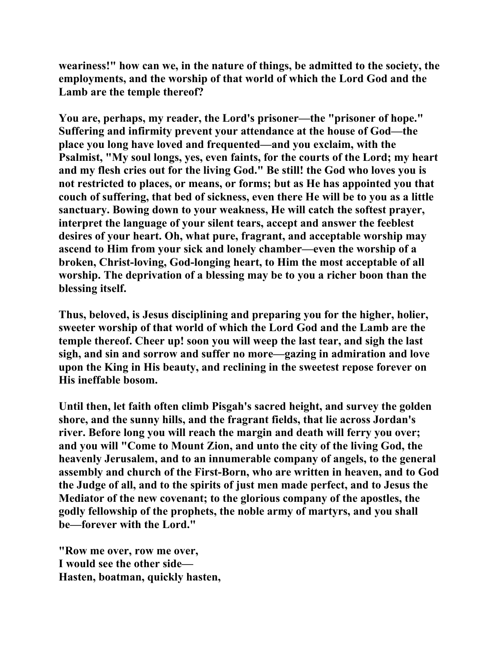**weariness!" how can we, in the nature of things, be admitted to the society, the employments, and the worship of that world of which the Lord God and the Lamb are the temple thereof?** 

**You are, perhaps, my reader, the Lord's prisoner—the "prisoner of hope." Suffering and infirmity prevent your attendance at the house of God—the place you long have loved and frequented—and you exclaim, with the Psalmist, "My soul longs, yes, even faints, for the courts of the Lord; my heart and my flesh cries out for the living God." Be still! the God who loves you is not restricted to places, or means, or forms; but as He has appointed you that couch of suffering, that bed of sickness, even there He will be to you as a little sanctuary. Bowing down to your weakness, He will catch the softest prayer, interpret the language of your silent tears, accept and answer the feeblest desires of your heart. Oh, what pure, fragrant, and acceptable worship may ascend to Him from your sick and lonely chamber—even the worship of a broken, Christ-loving, God-longing heart, to Him the most acceptable of all worship. The deprivation of a blessing may be to you a richer boon than the blessing itself.** 

**Thus, beloved, is Jesus disciplining and preparing you for the higher, holier, sweeter worship of that world of which the Lord God and the Lamb are the temple thereof. Cheer up! soon you will weep the last tear, and sigh the last sigh, and sin and sorrow and suffer no more—gazing in admiration and love upon the King in His beauty, and reclining in the sweetest repose forever on His ineffable bosom.** 

**Until then, let faith often climb Pisgah's sacred height, and survey the golden shore, and the sunny hills, and the fragrant fields, that lie across Jordan's river. Before long you will reach the margin and death will ferry you over; and you will "Come to Mount Zion, and unto the city of the living God, the heavenly Jerusalem, and to an innumerable company of angels, to the general assembly and church of the First-Born, who are written in heaven, and to God the Judge of all, and to the spirits of just men made perfect, and to Jesus the Mediator of the new covenant; to the glorious company of the apostles, the godly fellowship of the prophets, the noble army of martyrs, and you shall be—forever with the Lord."** 

**"Row me over, row me over, I would see the other side— Hasten, boatman, quickly hasten,**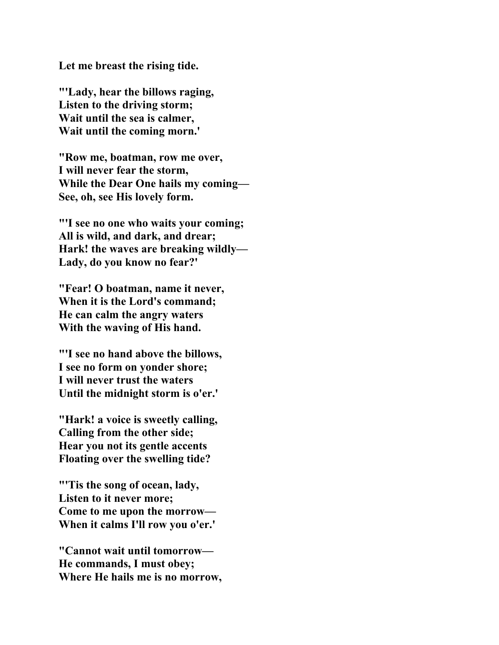**Let me breast the rising tide.** 

**"'Lady, hear the billows raging, Listen to the driving storm; Wait until the sea is calmer, Wait until the coming morn.'** 

**"Row me, boatman, row me over, I will never fear the storm, While the Dear One hails my coming— See, oh, see His lovely form.** 

**"'I see no one who waits your coming; All is wild, and dark, and drear; Hark! the waves are breaking wildly— Lady, do you know no fear?'** 

**"Fear! O boatman, name it never, When it is the Lord's command; He can calm the angry waters With the waving of His hand.** 

**"'I see no hand above the billows, I see no form on yonder shore; I will never trust the waters Until the midnight storm is o'er.'** 

**"Hark! a voice is sweetly calling, Calling from the other side; Hear you not its gentle accents Floating over the swelling tide?** 

**"'Tis the song of ocean, lady, Listen to it never more; Come to me upon the morrow— When it calms I'll row you o'er.'** 

**"Cannot wait until tomorrow— He commands, I must obey; Where He hails me is no morrow,**